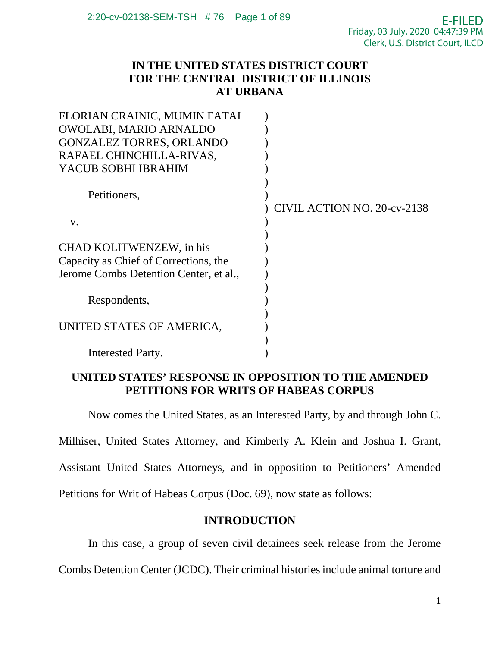## **IN THE UNITED STATES DISTRICT COURT FOR THE CENTRAL DISTRICT OF ILLINOIS AT URBANA**

| FLORIAN CRAINIC, MUMIN FATAI           |                             |
|----------------------------------------|-----------------------------|
| OWOLABI, MARIO ARNALDO                 |                             |
| <b>GONZALEZ TORRES, ORLANDO</b>        |                             |
| RAFAEL CHINCHILLA-RIVAS,               |                             |
| YACUB SOBHI IBRAHIM                    |                             |
|                                        |                             |
| Petitioners,                           |                             |
|                                        | CIVIL ACTION NO. 20-cv-2138 |
| V.                                     |                             |
|                                        |                             |
| CHAD KOLITWENZEW, in his               |                             |
| Capacity as Chief of Corrections, the  |                             |
| Jerome Combs Detention Center, et al., |                             |
|                                        |                             |
| Respondents,                           |                             |
|                                        |                             |
| UNITED STATES OF AMERICA,              |                             |
|                                        |                             |
| Interested Party.                      |                             |
|                                        |                             |

## **UNITED STATES' RESPONSE IN OPPOSITION TO THE AMENDED PETITIONS FOR WRITS OF HABEAS CORPUS**

Now comes the United States, as an Interested Party, by and through John C.

Milhiser, United States Attorney, and Kimberly A. Klein and Joshua I. Grant,

Assistant United States Attorneys, and in opposition to Petitioners' Amended

Petitions for Writ of Habeas Corpus (Doc. 69), now state as follows:

# **INTRODUCTION**

In this case, a group of seven civil detainees seek release from the Jerome

Combs Detention Center (JCDC). Their criminal histories include animal torture and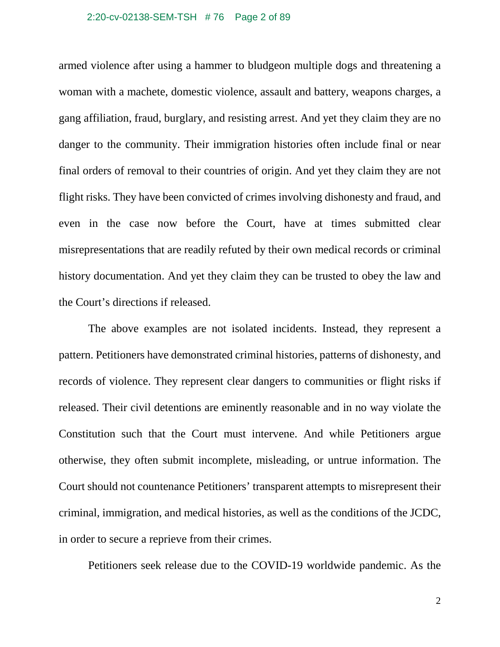armed violence after using a hammer to bludgeon multiple dogs and threatening a woman with a machete, domestic violence, assault and battery, weapons charges, a gang affiliation, fraud, burglary, and resisting arrest. And yet they claim they are no danger to the community. Their immigration histories often include final or near final orders of removal to their countries of origin. And yet they claim they are not flight risks. They have been convicted of crimes involving dishonesty and fraud, and even in the case now before the Court, have at times submitted clear misrepresentations that are readily refuted by their own medical records or criminal history documentation. And yet they claim they can be trusted to obey the law and the Court's directions if released.

The above examples are not isolated incidents. Instead, they represent a pattern. Petitioners have demonstrated criminal histories, patterns of dishonesty, and records of violence. They represent clear dangers to communities or flight risks if released. Their civil detentions are eminently reasonable and in no way violate the Constitution such that the Court must intervene. And while Petitioners argue otherwise, they often submit incomplete, misleading, or untrue information. The Court should not countenance Petitioners' transparent attempts to misrepresent their criminal, immigration, and medical histories, as well as the conditions of the JCDC, in order to secure a reprieve from their crimes.

Petitioners seek release due to the COVID-19 worldwide pandemic. As the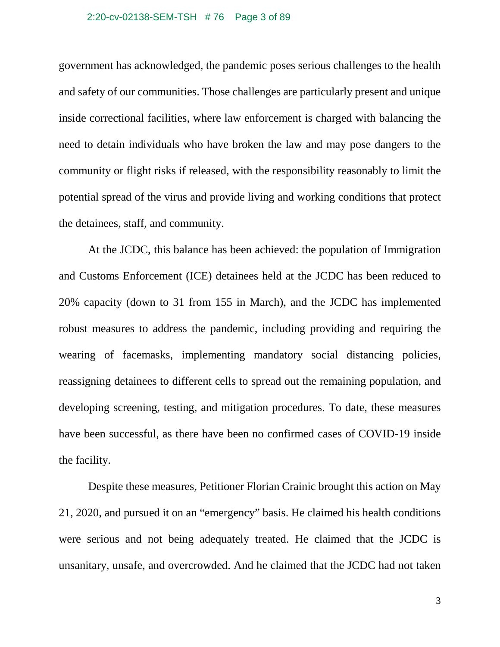government has acknowledged, the pandemic poses serious challenges to the health and safety of our communities. Those challenges are particularly present and unique inside correctional facilities, where law enforcement is charged with balancing the need to detain individuals who have broken the law and may pose dangers to the community or flight risks if released, with the responsibility reasonably to limit the potential spread of the virus and provide living and working conditions that protect the detainees, staff, and community.

At the JCDC, this balance has been achieved: the population of Immigration and Customs Enforcement (ICE) detainees held at the JCDC has been reduced to 20% capacity (down to 31 from 155 in March), and the JCDC has implemented robust measures to address the pandemic, including providing and requiring the wearing of facemasks, implementing mandatory social distancing policies, reassigning detainees to different cells to spread out the remaining population, and developing screening, testing, and mitigation procedures. To date, these measures have been successful, as there have been no confirmed cases of COVID-19 inside the facility.

Despite these measures, Petitioner Florian Crainic brought this action on May 21, 2020, and pursued it on an "emergency" basis. He claimed his health conditions were serious and not being adequately treated. He claimed that the JCDC is unsanitary, unsafe, and overcrowded. And he claimed that the JCDC had not taken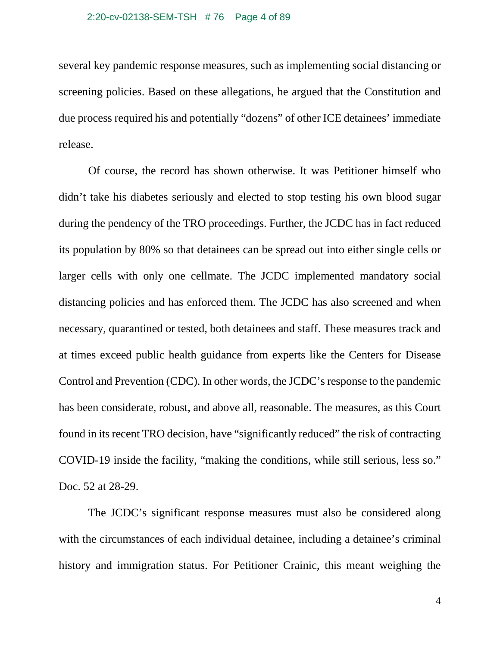several key pandemic response measures, such as implementing social distancing or screening policies. Based on these allegations, he argued that the Constitution and due process required his and potentially "dozens" of other ICE detainees' immediate release.

Of course, the record has shown otherwise. It was Petitioner himself who didn't take his diabetes seriously and elected to stop testing his own blood sugar during the pendency of the TRO proceedings. Further, the JCDC has in fact reduced its population by 80% so that detainees can be spread out into either single cells or larger cells with only one cellmate. The JCDC implemented mandatory social distancing policies and has enforced them. The JCDC has also screened and when necessary, quarantined or tested, both detainees and staff. These measures track and at times exceed public health guidance from experts like the Centers for Disease Control and Prevention (CDC). In other words, the JCDC's response to the pandemic has been considerate, robust, and above all, reasonable. The measures, as this Court found in its recent TRO decision, have "significantly reduced" the risk of contracting COVID-19 inside the facility, "making the conditions, while still serious, less so." Doc. 52 at 28-29.

The JCDC's significant response measures must also be considered along with the circumstances of each individual detainee, including a detainee's criminal history and immigration status. For Petitioner Crainic, this meant weighing the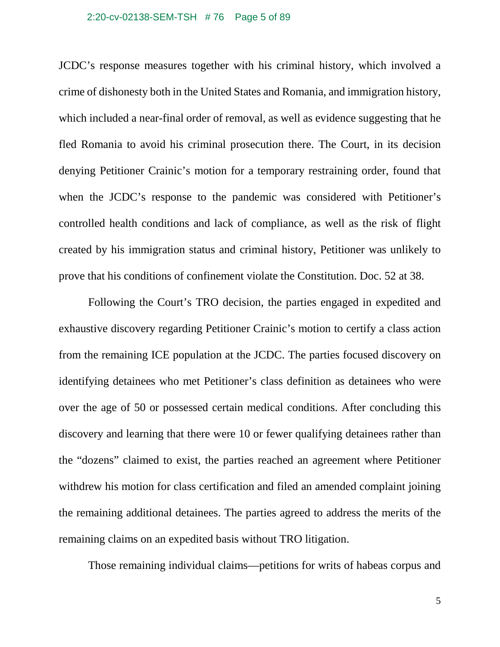#### 2:20-cv-02138-SEM-TSH # 76 Page 5 of 89

JCDC's response measures together with his criminal history, which involved a crime of dishonesty both in the United States and Romania, and immigration history, which included a near-final order of removal, as well as evidence suggesting that he fled Romania to avoid his criminal prosecution there. The Court, in its decision denying Petitioner Crainic's motion for a temporary restraining order, found that when the JCDC's response to the pandemic was considered with Petitioner's controlled health conditions and lack of compliance, as well as the risk of flight created by his immigration status and criminal history, Petitioner was unlikely to prove that his conditions of confinement violate the Constitution. Doc. 52 at 38.

Following the Court's TRO decision, the parties engaged in expedited and exhaustive discovery regarding Petitioner Crainic's motion to certify a class action from the remaining ICE population at the JCDC. The parties focused discovery on identifying detainees who met Petitioner's class definition as detainees who were over the age of 50 or possessed certain medical conditions. After concluding this discovery and learning that there were 10 or fewer qualifying detainees rather than the "dozens" claimed to exist, the parties reached an agreement where Petitioner withdrew his motion for class certification and filed an amended complaint joining the remaining additional detainees. The parties agreed to address the merits of the remaining claims on an expedited basis without TRO litigation.

Those remaining individual claims—petitions for writs of habeas corpus and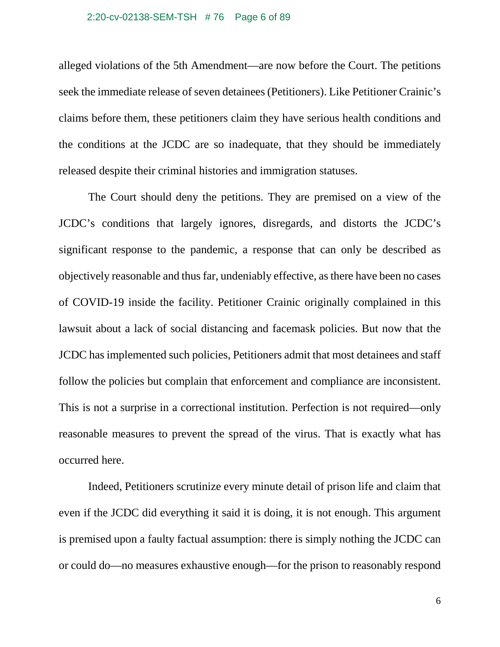#### 2:20-cv-02138-SEM-TSH # 76 Page 6 of 89

alleged violations of the 5th Amendment—are now before the Court. The petitions seek the immediate release of seven detainees (Petitioners). Like Petitioner Crainic's claims before them, these petitioners claim they have serious health conditions and the conditions at the JCDC are so inadequate, that they should be immediately released despite their criminal histories and immigration statuses.

The Court should deny the petitions. They are premised on a view of the JCDC's conditions that largely ignores, disregards, and distorts the JCDC's significant response to the pandemic, a response that can only be described as objectively reasonable and thus far, undeniably effective, as there have been no cases of COVID-19 inside the facility. Petitioner Crainic originally complained in this lawsuit about a lack of social distancing and facemask policies. But now that the JCDC has implemented such policies, Petitioners admit that most detainees and staff follow the policies but complain that enforcement and compliance are inconsistent. This is not a surprise in a correctional institution. Perfection is not required—only reasonable measures to prevent the spread of the virus. That is exactly what has occurred here.

Indeed, Petitioners scrutinize every minute detail of prison life and claim that even if the JCDC did everything it said it is doing, it is not enough. This argument is premised upon a faulty factual assumption: there is simply nothing the JCDC can or could do—no measures exhaustive enough—for the prison to reasonably respond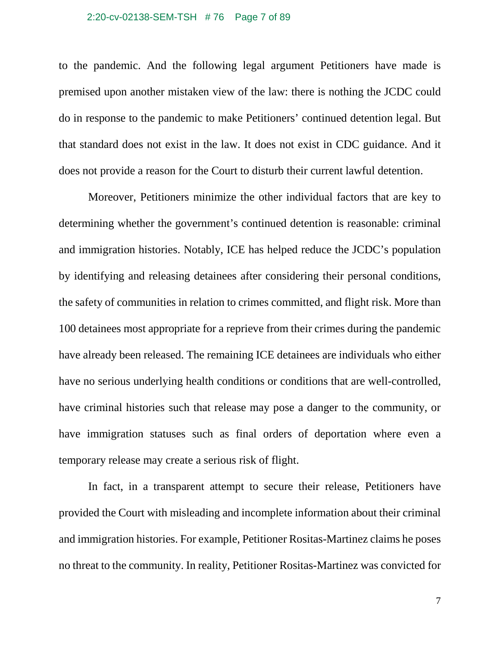#### 2:20-cv-02138-SEM-TSH # 76 Page 7 of 89

to the pandemic. And the following legal argument Petitioners have made is premised upon another mistaken view of the law: there is nothing the JCDC could do in response to the pandemic to make Petitioners' continued detention legal. But that standard does not exist in the law. It does not exist in CDC guidance. And it does not provide a reason for the Court to disturb their current lawful detention.

Moreover, Petitioners minimize the other individual factors that are key to determining whether the government's continued detention is reasonable: criminal and immigration histories. Notably, ICE has helped reduce the JCDC's population by identifying and releasing detainees after considering their personal conditions, the safety of communities in relation to crimes committed, and flight risk. More than 100 detainees most appropriate for a reprieve from their crimes during the pandemic have already been released. The remaining ICE detainees are individuals who either have no serious underlying health conditions or conditions that are well-controlled, have criminal histories such that release may pose a danger to the community, or have immigration statuses such as final orders of deportation where even a temporary release may create a serious risk of flight.

In fact, in a transparent attempt to secure their release, Petitioners have provided the Court with misleading and incomplete information about their criminal and immigration histories. For example, Petitioner Rositas-Martinez claims he poses no threat to the community. In reality, Petitioner Rositas-Martinez was convicted for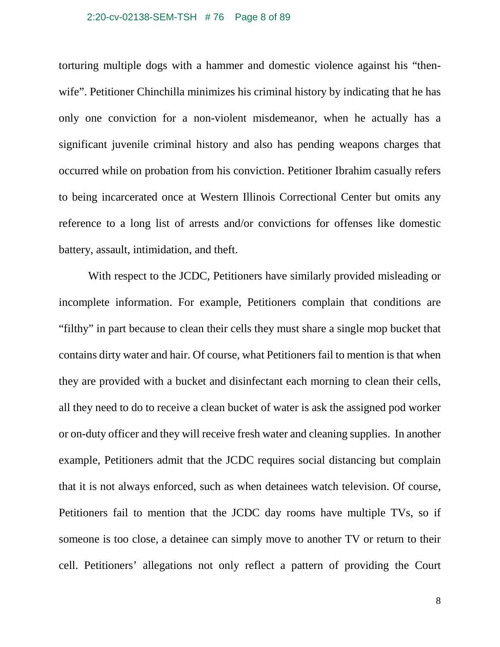### 2:20-cv-02138-SEM-TSH # 76 Page 8 of 89

torturing multiple dogs with a hammer and domestic violence against his "thenwife". Petitioner Chinchilla minimizes his criminal history by indicating that he has only one conviction for a non-violent misdemeanor, when he actually has a significant juvenile criminal history and also has pending weapons charges that occurred while on probation from his conviction. Petitioner Ibrahim casually refers to being incarcerated once at Western Illinois Correctional Center but omits any reference to a long list of arrests and/or convictions for offenses like domestic battery, assault, intimidation, and theft.

With respect to the JCDC, Petitioners have similarly provided misleading or incomplete information. For example, Petitioners complain that conditions are "filthy" in part because to clean their cells they must share a single mop bucket that contains dirty water and hair. Of course, what Petitioners fail to mention is that when they are provided with a bucket and disinfectant each morning to clean their cells, all they need to do to receive a clean bucket of water is ask the assigned pod worker or on-duty officer and they will receive fresh water and cleaning supplies. In another example, Petitioners admit that the JCDC requires social distancing but complain that it is not always enforced, such as when detainees watch television. Of course, Petitioners fail to mention that the JCDC day rooms have multiple TVs, so if someone is too close, a detainee can simply move to another TV or return to their cell. Petitioners' allegations not only reflect a pattern of providing the Court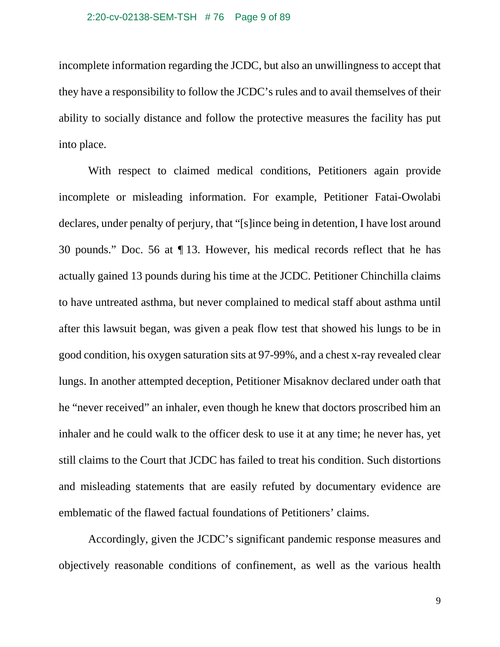incomplete information regarding the JCDC, but also an unwillingness to accept that they have a responsibility to follow the JCDC's rules and to avail themselves of their ability to socially distance and follow the protective measures the facility has put into place.

With respect to claimed medical conditions, Petitioners again provide incomplete or misleading information. For example, Petitioner Fatai-Owolabi declares, under penalty of perjury, that "[s]ince being in detention, I have lost around 30 pounds." Doc. 56 at ¶ 13. However, his medical records reflect that he has actually gained 13 pounds during his time at the JCDC. Petitioner Chinchilla claims to have untreated asthma, but never complained to medical staff about asthma until after this lawsuit began, was given a peak flow test that showed his lungs to be in good condition, his oxygen saturation sits at 97-99%, and a chest x-ray revealed clear lungs. In another attempted deception, Petitioner Misaknov declared under oath that he "never received" an inhaler, even though he knew that doctors proscribed him an inhaler and he could walk to the officer desk to use it at any time; he never has, yet still claims to the Court that JCDC has failed to treat his condition. Such distortions and misleading statements that are easily refuted by documentary evidence are emblematic of the flawed factual foundations of Petitioners' claims.

Accordingly, given the JCDC's significant pandemic response measures and objectively reasonable conditions of confinement, as well as the various health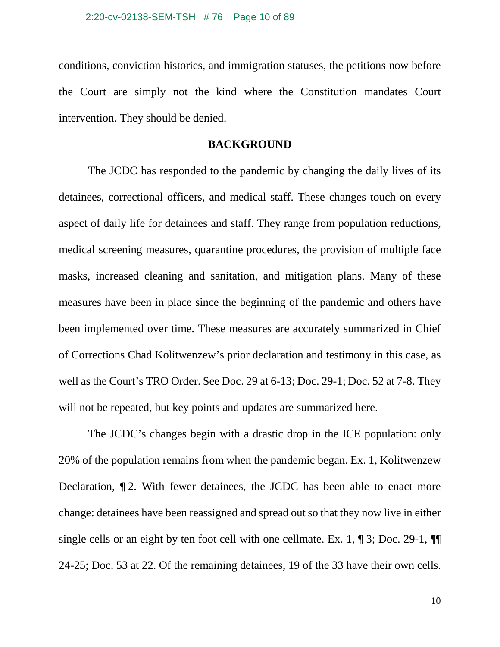conditions, conviction histories, and immigration statuses, the petitions now before the Court are simply not the kind where the Constitution mandates Court intervention. They should be denied.

### **BACKGROUND**

The JCDC has responded to the pandemic by changing the daily lives of its detainees, correctional officers, and medical staff. These changes touch on every aspect of daily life for detainees and staff. They range from population reductions, medical screening measures, quarantine procedures, the provision of multiple face masks, increased cleaning and sanitation, and mitigation plans. Many of these measures have been in place since the beginning of the pandemic and others have been implemented over time. These measures are accurately summarized in Chief of Corrections Chad Kolitwenzew's prior declaration and testimony in this case, as well as the Court's TRO Order. See Doc. 29 at 6-13; Doc. 29-1; Doc. 52 at 7-8. They will not be repeated, but key points and updates are summarized here.

The JCDC's changes begin with a drastic drop in the ICE population: only 20% of the population remains from when the pandemic began. Ex. 1, Kolitwenzew Declaration, ¶ 2. With fewer detainees, the JCDC has been able to enact more change: detainees have been reassigned and spread out so that they now live in either single cells or an eight by ten foot cell with one cellmate. Ex. 1, ¶ 3; Doc. 29-1, ¶¶ 24-25; Doc. 53 at 22. Of the remaining detainees, 19 of the 33 have their own cells.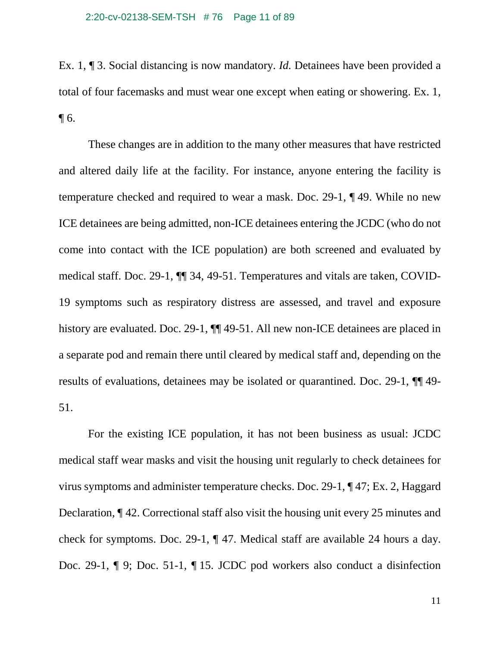### 2:20-cv-02138-SEM-TSH # 76 Page 11 of 89

Ex. 1, ¶ 3. Social distancing is now mandatory. *Id.* Detainees have been provided a total of four facemasks and must wear one except when eating or showering. Ex. 1,  $\P$  6.

These changes are in addition to the many other measures that have restricted and altered daily life at the facility. For instance, anyone entering the facility is temperature checked and required to wear a mask. Doc. 29-1, ¶ 49. While no new ICE detainees are being admitted, non-ICE detainees entering the JCDC (who do not come into contact with the ICE population) are both screened and evaluated by medical staff. Doc. 29-1, ¶¶ 34, 49-51. Temperatures and vitals are taken, COVID-19 symptoms such as respiratory distress are assessed, and travel and exposure history are evaluated. Doc. 29-1,  $\P\P$  49-51. All new non-ICE detainees are placed in a separate pod and remain there until cleared by medical staff and, depending on the results of evaluations, detainees may be isolated or quarantined. Doc. 29-1, ¶¶ 49- 51.

For the existing ICE population, it has not been business as usual: JCDC medical staff wear masks and visit the housing unit regularly to check detainees for virus symptoms and administer temperature checks. Doc. 29-1, ¶ 47; Ex. 2, Haggard Declaration, ¶ 42. Correctional staff also visit the housing unit every 25 minutes and check for symptoms. Doc. 29-1, ¶ 47. Medical staff are available 24 hours a day. Doc. 29-1, ¶ 9; Doc. 51-1, ¶ 15. JCDC pod workers also conduct a disinfection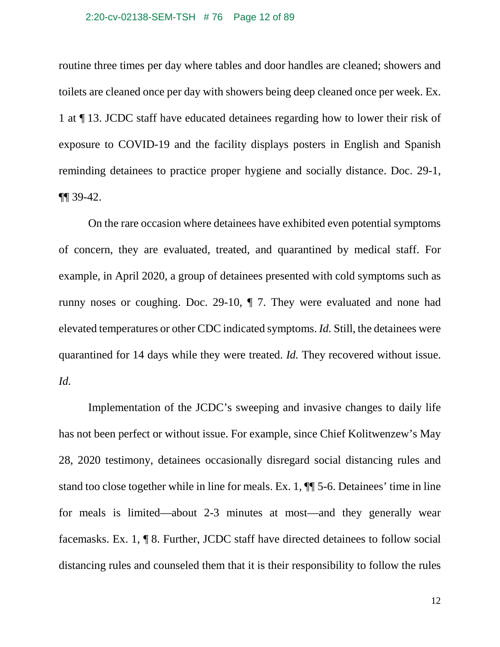### 2:20-cv-02138-SEM-TSH # 76 Page 12 of 89

routine three times per day where tables and door handles are cleaned; showers and toilets are cleaned once per day with showers being deep cleaned once per week. Ex. 1 at ¶ 13. JCDC staff have educated detainees regarding how to lower their risk of exposure to COVID-19 and the facility displays posters in English and Spanish reminding detainees to practice proper hygiene and socially distance. Doc. 29-1, ¶¶ 39-42.

On the rare occasion where detainees have exhibited even potential symptoms of concern, they are evaluated, treated, and quarantined by medical staff. For example, in April 2020, a group of detainees presented with cold symptoms such as runny noses or coughing. Doc. 29-10, ¶ 7. They were evaluated and none had elevated temperatures or other CDC indicated symptoms. *Id.* Still, the detainees were quarantined for 14 days while they were treated. *Id.* They recovered without issue. *Id.*

Implementation of the JCDC's sweeping and invasive changes to daily life has not been perfect or without issue. For example, since Chief Kolitwenzew's May 28, 2020 testimony, detainees occasionally disregard social distancing rules and stand too close together while in line for meals. Ex. 1, ¶¶ 5-6. Detainees' time in line for meals is limited—about 2-3 minutes at most—and they generally wear facemasks. Ex. 1, ¶ 8. Further, JCDC staff have directed detainees to follow social distancing rules and counseled them that it is their responsibility to follow the rules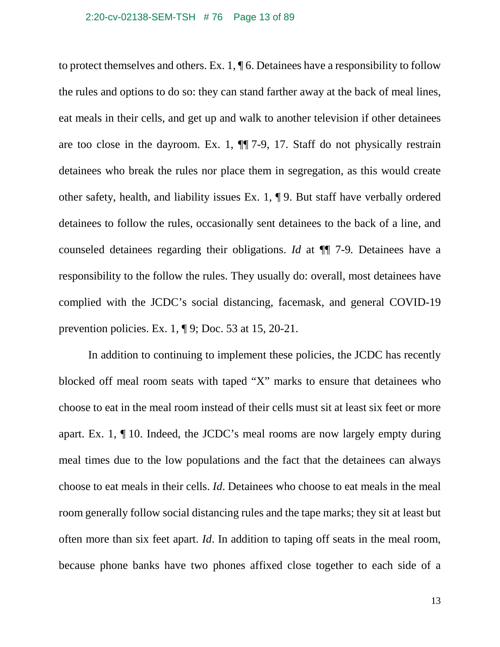### 2:20-cv-02138-SEM-TSH # 76 Page 13 of 89

to protect themselves and others. Ex. 1, ¶ 6. Detainees have a responsibility to follow the rules and options to do so: they can stand farther away at the back of meal lines, eat meals in their cells, and get up and walk to another television if other detainees are too close in the dayroom. Ex. 1, ¶¶ 7-9, 17. Staff do not physically restrain detainees who break the rules nor place them in segregation, as this would create other safety, health, and liability issues Ex. 1, ¶ 9. But staff have verbally ordered detainees to follow the rules, occasionally sent detainees to the back of a line, and counseled detainees regarding their obligations. *Id* at ¶¶ 7-9*.* Detainees have a responsibility to the follow the rules. They usually do: overall, most detainees have complied with the JCDC's social distancing, facemask, and general COVID-19 prevention policies. Ex. 1, ¶ 9; Doc. 53 at 15, 20-21.

In addition to continuing to implement these policies, the JCDC has recently blocked off meal room seats with taped "X" marks to ensure that detainees who choose to eat in the meal room instead of their cells must sit at least six feet or more apart. Ex. 1, ¶ 10. Indeed, the JCDC's meal rooms are now largely empty during meal times due to the low populations and the fact that the detainees can always choose to eat meals in their cells. *Id*. Detainees who choose to eat meals in the meal room generally follow social distancing rules and the tape marks; they sit at least but often more than six feet apart. *Id*. In addition to taping off seats in the meal room, because phone banks have two phones affixed close together to each side of a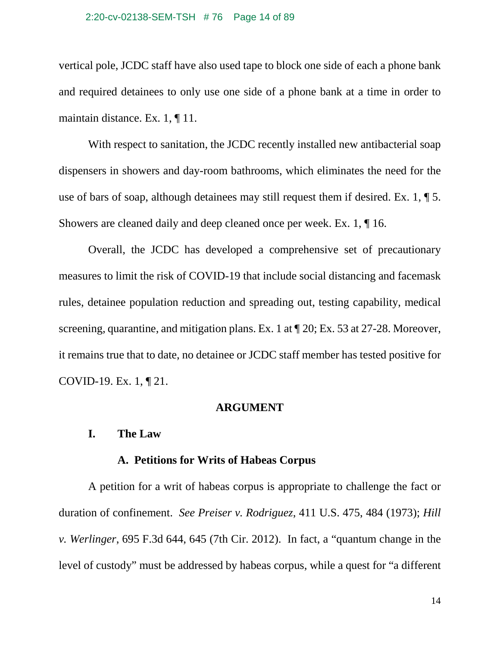### 2:20-cv-02138-SEM-TSH # 76 Page 14 of 89

vertical pole, JCDC staff have also used tape to block one side of each a phone bank and required detainees to only use one side of a phone bank at a time in order to maintain distance. Ex. 1, ¶ 11.

With respect to sanitation, the JCDC recently installed new antibacterial soap dispensers in showers and day-room bathrooms, which eliminates the need for the use of bars of soap, although detainees may still request them if desired. Ex. 1, ¶ 5. Showers are cleaned daily and deep cleaned once per week. Ex. 1, ¶ 16.

Overall, the JCDC has developed a comprehensive set of precautionary measures to limit the risk of COVID-19 that include social distancing and facemask rules, detainee population reduction and spreading out, testing capability, medical screening, quarantine, and mitigation plans. Ex. 1 at ¶ 20; Ex. 53 at 27-28. Moreover, it remains true that to date, no detainee or JCDC staff member has tested positive for COVID-19. Ex. 1, ¶ 21.

### **ARGUMENT**

## **I. The Law**

## **A. Petitions for Writs of Habeas Corpus**

A petition for a writ of habeas corpus is appropriate to challenge the fact or duration of confinement. *See Preiser v. Rodriguez*, 411 U.S. 475, 484 (1973); *Hill v. Werlinger*, 695 F.3d 644, 645 (7th Cir. 2012). In fact, a "quantum change in the level of custody" must be addressed by habeas corpus, while a quest for "a different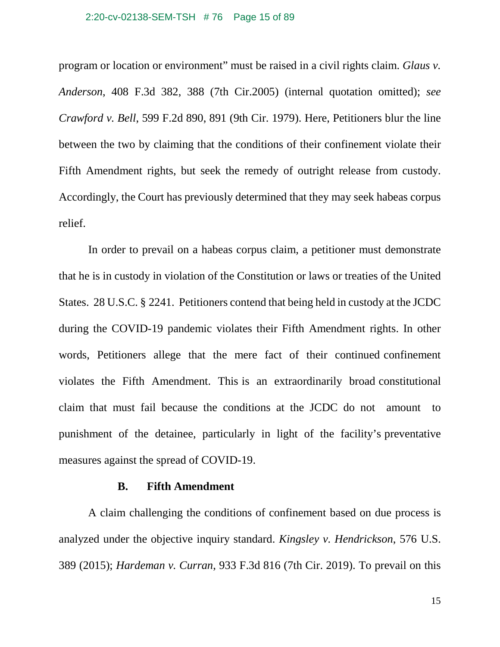### 2:20-cv-02138-SEM-TSH # 76 Page 15 of 89

program or location or environment" must be raised in a civil rights claim. *Glaus v. Anderson*, 408 F.3d 382, 388 (7th Cir.2005) (internal quotation omitted); *see Crawford v. Bell*, 599 F.2d 890, 891 (9th Cir. 1979). Here, Petitioners blur the line between the two by claiming that the conditions of their confinement violate their Fifth Amendment rights, but seek the remedy of outright release from custody. Accordingly, the Court has previously determined that they may seek habeas corpus relief.

In order to prevail on a habeas corpus claim, a petitioner must demonstrate that he is in custody in violation of the Constitution or laws or treaties of the United States. 28 U.S.C. § 2241. Petitioners contend that being held in custody at the JCDC during the COVID-19 pandemic violates their Fifth Amendment rights. In other words, Petitioners allege that the mere fact of their continued confinement violates the Fifth Amendment. This is an extraordinarily broad constitutional claim that must fail because the conditions at the JCDC do not amount to punishment of the detainee, particularly in light of the facility's preventative measures against the spread of COVID-19.

### **B. Fifth Amendment**

A claim challenging the conditions of confinement based on due process is analyzed under the objective inquiry standard. *Kingsley v. Hendrickson*, 576 U.S. 389 (2015); *Hardeman v. Curran*, 933 F.3d 816 (7th Cir. 2019). To prevail on this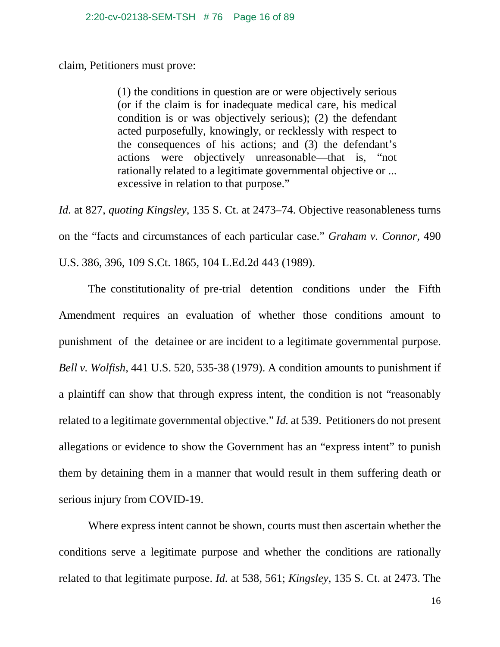claim, Petitioners must prove:

(1) the conditions in question are or were objectively serious (or if the claim is for inadequate medical care, his medical condition is or was objectively serious); (2) the defendant acted purposefully, knowingly, or recklessly with respect to the consequences of his actions; and (3) the defendant's actions were objectively unreasonable—that is, "not rationally related to a legitimate governmental objective or ... excessive in relation to that purpose."

*Id.* at 827, *quoting Kingsley*, 135 S. Ct. at 2473–74. Objective reasonableness turns on the "facts and circumstances of each particular case." *Graham v. Connor,* 490 U.S. 386, 396, 109 S.Ct. 1865, 104 L.Ed.2d 443 (1989).

The constitutionality of pre-trial detention conditions under the Fifth Amendment requires an evaluation of whether those conditions amount to punishment of the detainee or are incident to a legitimate governmental purpose. *Bell v. Wolfish*, 441 U.S. 520, 535-38 (1979). A condition amounts to punishment if a plaintiff can show that through express intent, the condition is not "reasonably related to a legitimate governmental objective." *Id.* at 539. Petitioners do not present allegations or evidence to show the Government has an "express intent" to punish them by detaining them in a manner that would result in them suffering death or serious injury from COVID-19.

Where express intent cannot be shown, courts must then ascertain whether the conditions serve a legitimate purpose and whether the conditions are rationally related to that legitimate purpose. *Id.* at 538, 561; *Kingsley*, 135 S. Ct. at 2473. The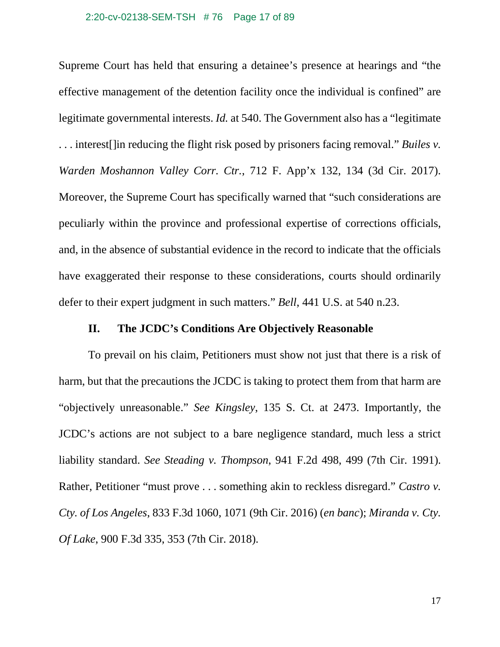#### 2:20-cv-02138-SEM-TSH # 76 Page 17 of 89

Supreme Court has held that ensuring a detainee's presence at hearings and "the effective management of the detention facility once the individual is confined" are legitimate governmental interests. *Id.* at 540. The Government also has a "legitimate . . . interest[]in reducing the flight risk posed by prisoners facing removal." *Builes v. Warden Moshannon Valley Corr. Ctr.*, 712 F. App'x 132, 134 (3d Cir. 2017). Moreover, the Supreme Court has specifically warned that "such considerations are peculiarly within the province and professional expertise of corrections officials, and, in the absence of substantial evidence in the record to indicate that the officials have exaggerated their response to these considerations, courts should ordinarily defer to their expert judgment in such matters." *Bell*, 441 U.S. at 540 n.23.

## **II. The JCDC's Conditions Are Objectively Reasonable**

To prevail on his claim, Petitioners must show not just that there is a risk of harm, but that the precautions the JCDC is taking to protect them from that harm are "objectively unreasonable." *See Kingsley*, 135 S. Ct. at 2473. Importantly, the JCDC's actions are not subject to a bare negligence standard, much less a strict liability standard. *See Steading v. Thompson*, 941 F.2d 498, 499 (7th Cir. 1991). Rather, Petitioner "must prove . . . something akin to reckless disregard." *Castro v. Cty. of Los Angeles*, 833 F.3d 1060, 1071 (9th Cir. 2016) (*en banc*); *Miranda v. Cty. Of Lake*, 900 F.3d 335, 353 (7th Cir. 2018).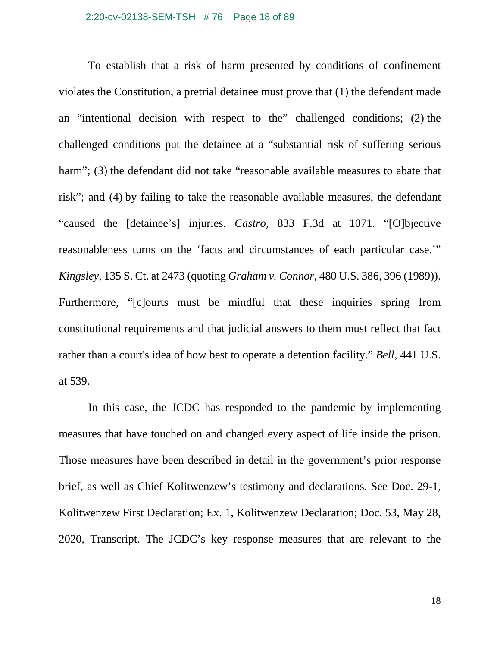### 2:20-cv-02138-SEM-TSH # 76 Page 18 of 89

To establish that a risk of harm presented by conditions of confinement violates the Constitution, a pretrial detainee must prove that (1) the defendant made an "intentional decision with respect to the" challenged conditions; (2) the challenged conditions put the detainee at a "substantial risk of suffering serious harm"; (3) the defendant did not take "reasonable available measures to abate that risk"; and (4) by failing to take the reasonable available measures, the defendant "caused the [detainee's] injuries. *Castro*, 833 F.3d at 1071*.* "[O]bjective reasonableness turns on the 'facts and circumstances of each particular case.'" *Kingsley*, 135 S. Ct. at 2473 (quoting *Graham v. Connor*, 480 U.S. 386, 396 (1989)). Furthermore, "[c]ourts must be mindful that these inquiries spring from constitutional requirements and that judicial answers to them must reflect that fact rather than a court's idea of how best to operate a detention facility." *Bell*, 441 U.S. at 539.

In this case, the JCDC has responded to the pandemic by implementing measures that have touched on and changed every aspect of life inside the prison. Those measures have been described in detail in the government's prior response brief, as well as Chief Kolitwenzew's testimony and declarations. See Doc. 29-1, Kolitwenzew First Declaration; Ex. 1, Kolitwenzew Declaration; Doc. 53, May 28, 2020, Transcript. The JCDC's key response measures that are relevant to the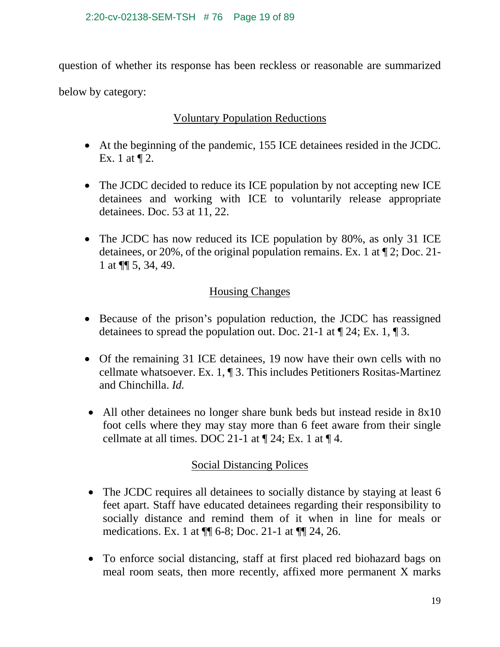question of whether its response has been reckless or reasonable are summarized below by category:

## Voluntary Population Reductions

- At the beginning of the pandemic, 155 ICE detainees resided in the JCDC. Ex. 1 at ¶ 2.
- The JCDC decided to reduce its ICE population by not accepting new ICE detainees and working with ICE to voluntarily release appropriate detainees. Doc. 53 at 11, 22.
- The JCDC has now reduced its ICE population by 80%, as only 31 ICE detainees, or 20%, of the original population remains. Ex. 1 at ¶ 2; Doc. 21- 1 at ¶¶ 5, 34, 49.

# Housing Changes

- Because of the prison's population reduction, the JCDC has reassigned detainees to spread the population out. Doc. 21-1 at ¶ 24; Ex. 1, ¶ 3.
- Of the remaining 31 ICE detainees, 19 now have their own cells with no cellmate whatsoever. Ex. 1, ¶ 3. This includes Petitioners Rositas-Martinez and Chinchilla. *Id.*
- All other detainees no longer share bunk beds but instead reside in 8x10 foot cells where they may stay more than 6 feet aware from their single cellmate at all times. DOC 21-1 at  $\P$  24; Ex. 1 at  $\P$  4.

## Social Distancing Polices

- The JCDC requires all detainees to socially distance by staying at least 6 feet apart. Staff have educated detainees regarding their responsibility to socially distance and remind them of it when in line for meals or medications. Ex. 1 at ¶¶ 6-8; Doc. 21-1 at ¶¶ 24, 26.
- To enforce social distancing, staff at first placed red biohazard bags on meal room seats, then more recently, affixed more permanent X marks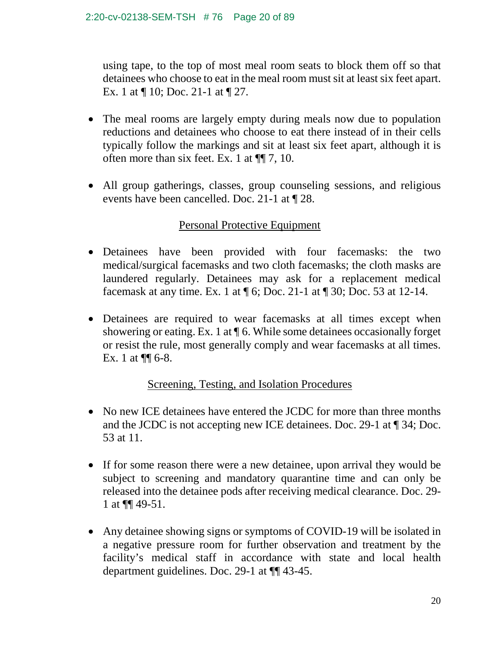using tape, to the top of most meal room seats to block them off so that detainees who choose to eat in the meal room must sit at least six feet apart. Ex. 1 at ¶ 10; Doc. 21-1 at ¶ 27.

- The meal rooms are largely empty during meals now due to population reductions and detainees who choose to eat there instead of in their cells typically follow the markings and sit at least six feet apart, although it is often more than six feet. Ex. 1 at ¶¶ 7, 10.
- All group gatherings, classes, group counseling sessions, and religious events have been cancelled. Doc. 21-1 at ¶ 28.

# Personal Protective Equipment

- Detainees have been provided with four facemasks: the two medical/surgical facemasks and two cloth facemasks; the cloth masks are laundered regularly. Detainees may ask for a replacement medical facemask at any time. Ex. 1 at ¶ 6; Doc. 21-1 at ¶ 30; Doc. 53 at 12-14.
- Detainees are required to wear facemasks at all times except when showering or eating. Ex. 1 at ¶ 6. While some detainees occasionally forget or resist the rule, most generally comply and wear facemasks at all times. Ex. 1 at  $\P\P$  6-8.

# Screening, Testing, and Isolation Procedures

- No new ICE detainees have entered the JCDC for more than three months and the JCDC is not accepting new ICE detainees. Doc. 29-1 at ¶ 34; Doc. 53 at 11.
- If for some reason there were a new detainee, upon arrival they would be subject to screening and mandatory quarantine time and can only be released into the detainee pods after receiving medical clearance. Doc. 29- 1 at ¶¶ 49-51.
- Any detainee showing signs or symptoms of COVID-19 will be isolated in a negative pressure room for further observation and treatment by the facility's medical staff in accordance with state and local health department guidelines. Doc. 29-1 at ¶¶ 43-45.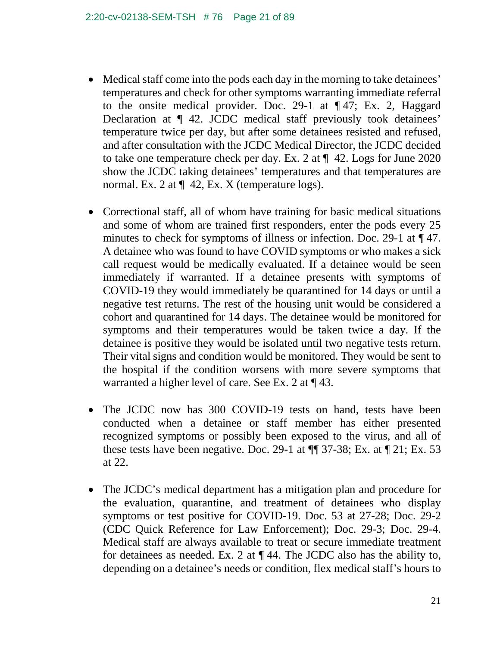- Medical staff come into the pods each day in the morning to take detainees' temperatures and check for other symptoms warranting immediate referral to the onsite medical provider. Doc. 29-1 at ¶ 47; Ex. 2, Haggard Declaration at ¶ 42. JCDC medical staff previously took detainees' temperature twice per day, but after some detainees resisted and refused, and after consultation with the JCDC Medical Director, the JCDC decided to take one temperature check per day. Ex. 2 at  $\P$  42. Logs for June 2020 show the JCDC taking detainees' temperatures and that temperatures are normal. Ex. 2 at  $\P$  42, Ex. X (temperature logs).
- Correctional staff, all of whom have training for basic medical situations and some of whom are trained first responders, enter the pods every 25 minutes to check for symptoms of illness or infection. Doc. 29-1 at  $\P$  47. A detainee who was found to have COVID symptoms or who makes a sick call request would be medically evaluated. If a detainee would be seen immediately if warranted. If a detainee presents with symptoms of COVID-19 they would immediately be quarantined for 14 days or until a negative test returns. The rest of the housing unit would be considered a cohort and quarantined for 14 days. The detainee would be monitored for symptoms and their temperatures would be taken twice a day. If the detainee is positive they would be isolated until two negative tests return. Their vital signs and condition would be monitored. They would be sent to the hospital if the condition worsens with more severe symptoms that warranted a higher level of care. See Ex. 2 at ¶ 43.
- The JCDC now has 300 COVID-19 tests on hand, tests have been conducted when a detainee or staff member has either presented recognized symptoms or possibly been exposed to the virus, and all of these tests have been negative. Doc. 29-1 at  $\P$  37-38; Ex. at  $\P$  21; Ex. 53 at 22.
- The JCDC's medical department has a mitigation plan and procedure for the evaluation, quarantine, and treatment of detainees who display symptoms or test positive for COVID-19. Doc. 53 at 27-28; Doc. 29-2 (CDC Quick Reference for Law Enforcement); Doc. 29-3; Doc. 29-4. Medical staff are always available to treat or secure immediate treatment for detainees as needed. Ex. 2 at ¶ 44. The JCDC also has the ability to, depending on a detainee's needs or condition, flex medical staff's hours to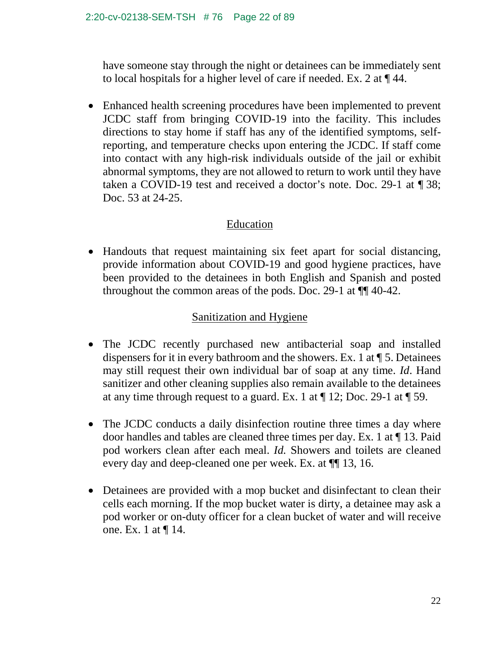have someone stay through the night or detainees can be immediately sent to local hospitals for a higher level of care if needed. Ex. 2 at ¶ 44.

• Enhanced health screening procedures have been implemented to prevent JCDC staff from bringing COVID-19 into the facility. This includes directions to stay home if staff has any of the identified symptoms, selfreporting, and temperature checks upon entering the JCDC. If staff come into contact with any high-risk individuals outside of the jail or exhibit abnormal symptoms, they are not allowed to return to work until they have taken a COVID-19 test and received a doctor's note. Doc. 29-1 at ¶ 38; Doc. 53 at 24-25.

# Education

• Handouts that request maintaining six feet apart for social distancing, provide information about COVID-19 and good hygiene practices, have been provided to the detainees in both English and Spanish and posted throughout the common areas of the pods. Doc. 29-1 at ¶¶ 40-42.

# Sanitization and Hygiene

- The JCDC recently purchased new antibacterial soap and installed dispensers for it in every bathroom and the showers. Ex. 1 at ¶ 5. Detainees may still request their own individual bar of soap at any time. *Id*. Hand sanitizer and other cleaning supplies also remain available to the detainees at any time through request to a guard. Ex. 1 at  $\P$  12; Doc. 29-1 at  $\P$  59.
- The JCDC conducts a daily disinfection routine three times a day where door handles and tables are cleaned three times per day. Ex. 1 at ¶ 13. Paid pod workers clean after each meal. *Id.* Showers and toilets are cleaned every day and deep-cleaned one per week. Ex. at ¶¶ 13, 16.
- Detainees are provided with a mop bucket and disinfectant to clean their cells each morning. If the mop bucket water is dirty, a detainee may ask a pod worker or on-duty officer for a clean bucket of water and will receive one. Ex. 1 at ¶ 14.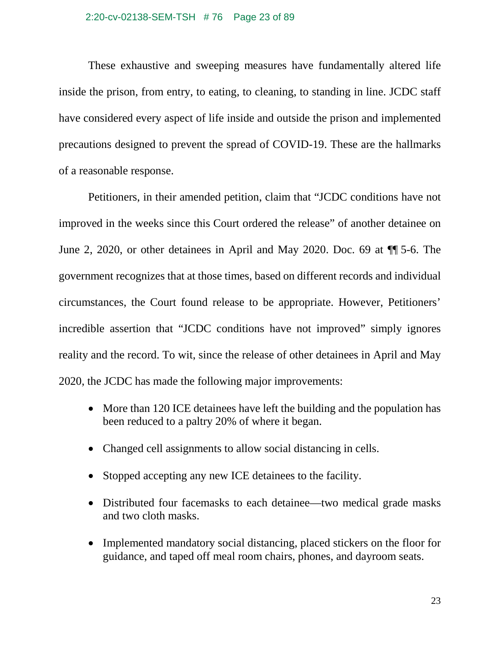These exhaustive and sweeping measures have fundamentally altered life inside the prison, from entry, to eating, to cleaning, to standing in line. JCDC staff have considered every aspect of life inside and outside the prison and implemented precautions designed to prevent the spread of COVID-19. These are the hallmarks of a reasonable response.

Petitioners, in their amended petition, claim that "JCDC conditions have not improved in the weeks since this Court ordered the release" of another detainee on June 2, 2020, or other detainees in April and May 2020. Doc. 69 at ¶¶ 5-6. The government recognizes that at those times, based on different records and individual circumstances, the Court found release to be appropriate. However, Petitioners' incredible assertion that "JCDC conditions have not improved" simply ignores reality and the record. To wit, since the release of other detainees in April and May 2020, the JCDC has made the following major improvements:

- More than 120 ICE detainees have left the building and the population has been reduced to a paltry 20% of where it began.
- Changed cell assignments to allow social distancing in cells.
- Stopped accepting any new ICE detainees to the facility.
- Distributed four facemasks to each detainee—two medical grade masks and two cloth masks.
- Implemented mandatory social distancing, placed stickers on the floor for guidance, and taped off meal room chairs, phones, and dayroom seats.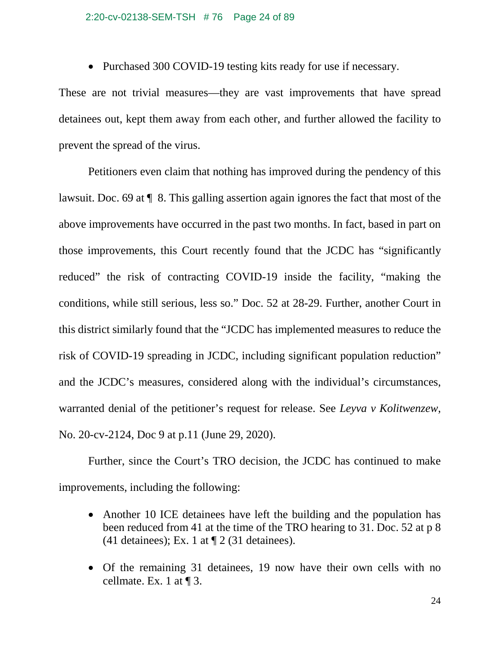### 2:20-cv-02138-SEM-TSH # 76 Page 24 of 89

• Purchased 300 COVID-19 testing kits ready for use if necessary.

These are not trivial measures—they are vast improvements that have spread detainees out, kept them away from each other, and further allowed the facility to prevent the spread of the virus.

Petitioners even claim that nothing has improved during the pendency of this lawsuit. Doc. 69 at ¶ 8. This galling assertion again ignores the fact that most of the above improvements have occurred in the past two months. In fact, based in part on those improvements, this Court recently found that the JCDC has "significantly reduced" the risk of contracting COVID-19 inside the facility, "making the conditions, while still serious, less so." Doc. 52 at 28-29. Further, another Court in this district similarly found that the "JCDC has implemented measures to reduce the risk of COVID-19 spreading in JCDC, including significant population reduction" and the JCDC's measures, considered along with the individual's circumstances, warranted denial of the petitioner's request for release. See *Leyva v Kolitwenzew*, No. 20-cv-2124, Doc 9 at p.11 (June 29, 2020).

Further, since the Court's TRO decision, the JCDC has continued to make improvements, including the following:

- Another 10 ICE detainees have left the building and the population has been reduced from 41 at the time of the TRO hearing to 31. Doc. 52 at p 8 (41 detainees); Ex. 1 at  $\P$  2 (31 detainees).
- Of the remaining 31 detainees, 19 now have their own cells with no cellmate. Ex. 1 at  $\P$  3.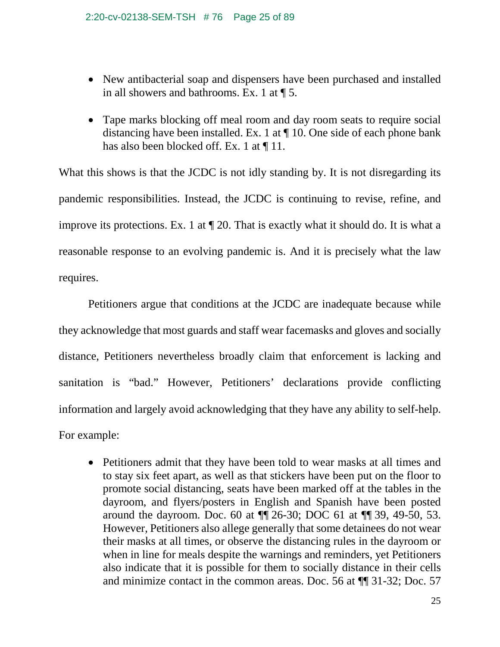- New antibacterial soap and dispensers have been purchased and installed in all showers and bathrooms. Ex. 1 at ¶ 5.
- Tape marks blocking off meal room and day room seats to require social distancing have been installed. Ex. 1 at ¶ 10. One side of each phone bank has also been blocked off. Ex. 1 at  $\P$  11.

What this shows is that the JCDC is not idly standing by. It is not disregarding its pandemic responsibilities. Instead, the JCDC is continuing to revise, refine, and improve its protections. Ex. 1 at ¶ 20. That is exactly what it should do. It is what a reasonable response to an evolving pandemic is. And it is precisely what the law requires.

Petitioners argue that conditions at the JCDC are inadequate because while they acknowledge that most guards and staff wear facemasks and gloves and socially distance, Petitioners nevertheless broadly claim that enforcement is lacking and sanitation is "bad." However, Petitioners' declarations provide conflicting information and largely avoid acknowledging that they have any ability to self-help. For example:

• Petitioners admit that they have been told to wear masks at all times and to stay six feet apart, as well as that stickers have been put on the floor to promote social distancing, seats have been marked off at the tables in the dayroom, and flyers/posters in English and Spanish have been posted around the dayroom. Doc. 60 at ¶¶ 26-30; DOC 61 at ¶¶ 39, 49-50, 53. However, Petitioners also allege generally that some detainees do not wear their masks at all times, or observe the distancing rules in the dayroom or when in line for meals despite the warnings and reminders, yet Petitioners also indicate that it is possible for them to socially distance in their cells and minimize contact in the common areas. Doc. 56 at ¶¶ 31-32; Doc. 57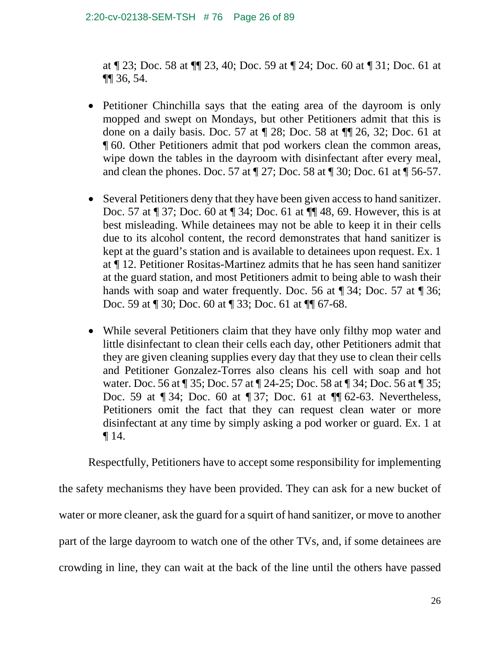### 2:20-cv-02138-SEM-TSH # 76 Page 26 of 89

at ¶ 23; Doc. 58 at ¶¶ 23, 40; Doc. 59 at ¶ 24; Doc. 60 at ¶ 31; Doc. 61 at ¶¶ 36, 54.

- Petitioner Chinchilla says that the eating area of the dayroom is only mopped and swept on Mondays, but other Petitioners admit that this is done on a daily basis. Doc. 57 at ¶ 28; Doc. 58 at ¶¶ 26, 32; Doc. 61 at ¶ 60. Other Petitioners admit that pod workers clean the common areas, wipe down the tables in the dayroom with disinfectant after every meal, and clean the phones. Doc. 57 at ¶ 27; Doc. 58 at ¶ 30; Doc. 61 at ¶ 56-57.
- Several Petitioners deny that they have been given access to hand sanitizer. Doc. 57 at ¶ 37; Doc. 60 at ¶ 34; Doc. 61 at ¶¶ 48, 69. However, this is at best misleading. While detainees may not be able to keep it in their cells due to its alcohol content, the record demonstrates that hand sanitizer is kept at the guard's station and is available to detainees upon request. Ex. 1 at ¶ 12. Petitioner Rositas-Martinez admits that he has seen hand sanitizer at the guard station, and most Petitioners admit to being able to wash their hands with soap and water frequently. Doc. 56 at ¶ 34; Doc. 57 at ¶ 36; Doc. 59 at ¶ 30; Doc. 60 at ¶ 33; Doc. 61 at ¶¶ 67-68.
- While several Petitioners claim that they have only filthy mop water and little disinfectant to clean their cells each day, other Petitioners admit that they are given cleaning supplies every day that they use to clean their cells and Petitioner Gonzalez-Torres also cleans his cell with soap and hot water. Doc. 56 at ¶ 35; Doc. 57 at ¶ 24-25; Doc. 58 at ¶ 34; Doc. 56 at ¶ 35; Doc. 59 at ¶ 34; Doc. 60 at ¶ 37; Doc. 61 at ¶¶ 62-63. Nevertheless, Petitioners omit the fact that they can request clean water or more disinfectant at any time by simply asking a pod worker or guard. Ex. 1 at ¶ 14.

Respectfully, Petitioners have to accept some responsibility for implementing the safety mechanisms they have been provided. They can ask for a new bucket of water or more cleaner, ask the guard for a squirt of hand sanitizer, or move to another part of the large dayroom to watch one of the other TVs, and, if some detainees are crowding in line, they can wait at the back of the line until the others have passed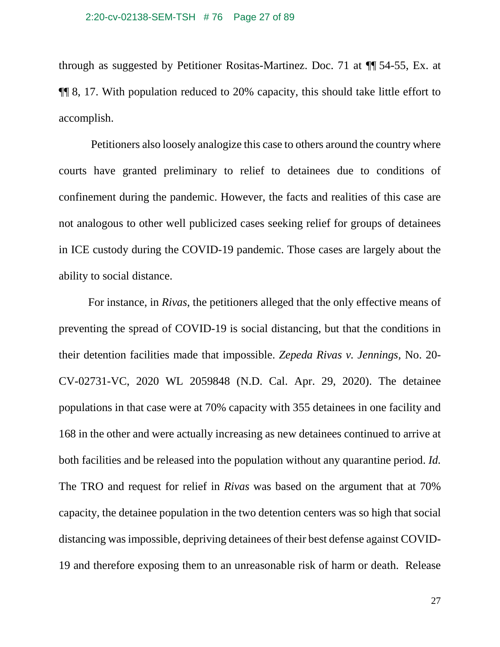through as suggested by Petitioner Rositas-Martinez. Doc. 71 at ¶¶ 54-55, Ex. at ¶¶ 8, 17. With population reduced to 20% capacity, this should take little effort to accomplish.

Petitioners also loosely analogize this case to others around the country where courts have granted preliminary to relief to detainees due to conditions of confinement during the pandemic. However, the facts and realities of this case are not analogous to other well publicized cases seeking relief for groups of detainees in ICE custody during the COVID-19 pandemic. Those cases are largely about the ability to social distance.

For instance, in *Rivas*, the petitioners alleged that the only effective means of preventing the spread of COVID-19 is social distancing, but that the conditions in their detention facilities made that impossible. *Zepeda Rivas v. Jennings,* No. 20- CV-02731-VC, 2020 WL 2059848 (N.D. Cal. Apr. 29, 2020). The detainee populations in that case were at 70% capacity with 355 detainees in one facility and 168 in the other and were actually increasing as new detainees continued to arrive at both facilities and be released into the population without any quarantine period. *Id.* The TRO and request for relief in *Rivas* was based on the argument that at 70% capacity, the detainee population in the two detention centers was so high that social distancing was impossible, depriving detainees of their best defense against COVID-19 and therefore exposing them to an unreasonable risk of harm or death. Release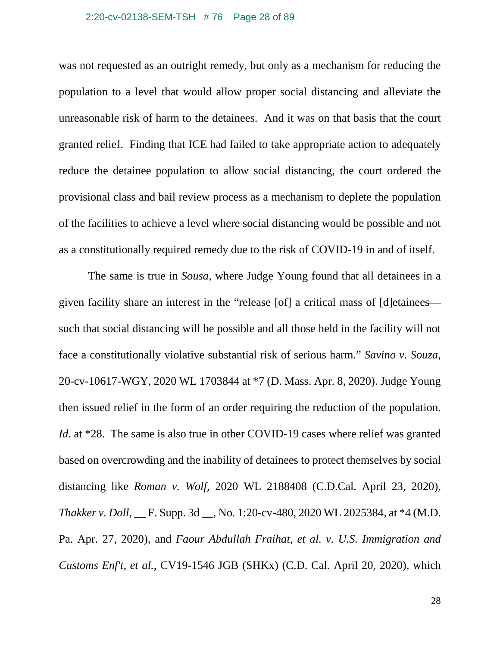#### 2:20-cv-02138-SEM-TSH # 76 Page 28 of 89

was not requested as an outright remedy, but only as a mechanism for reducing the population to a level that would allow proper social distancing and alleviate the unreasonable risk of harm to the detainees. And it was on that basis that the court granted relief. Finding that ICE had failed to take appropriate action to adequately reduce the detainee population to allow social distancing, the court ordered the provisional class and bail review process as a mechanism to deplete the population of the facilities to achieve a level where social distancing would be possible and not as a constitutionally required remedy due to the risk of COVID-19 in and of itself.

The same is true in *Sousa*, where Judge Young found that all detainees in a given facility share an interest in the "release [of] a critical mass of [d]etainees such that social distancing will be possible and all those held in the facility will not face a constitutionally violative substantial risk of serious harm." *Savino v. Souza*, 20-cv-10617-WGY, 2020 WL 1703844 at \*7 (D. Mass. Apr. 8, 2020). Judge Young then issued relief in the form of an order requiring the reduction of the population. *Id.* at \*28. The same is also true in other COVID-19 cases where relief was granted based on overcrowding and the inability of detainees to protect themselves by social distancing like *Roman v. Wolf,* 2020 WL 2188408 (C.D.Cal. April 23, 2020), *Thakker v. Doll*, \_\_ F. Supp. 3d \_\_, No. 1:20-cv-480, 2020 WL 2025384, at \*4 (M.D. Pa. Apr. 27, 2020), and *Faour Abdullah Fraihat, et al. v. U.S. Immigration and Customs Enf't, et al.*, CV19-1546 JGB (SHKx) (C.D. Cal. April 20, 2020), which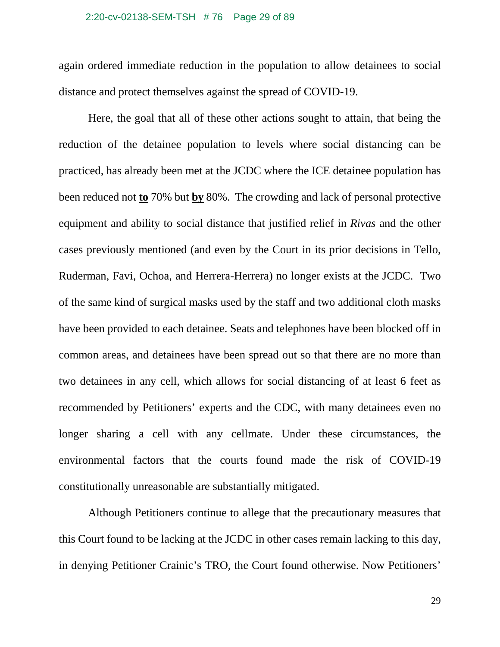#### 2:20-cv-02138-SEM-TSH # 76 Page 29 of 89

again ordered immediate reduction in the population to allow detainees to social distance and protect themselves against the spread of COVID-19.

Here, the goal that all of these other actions sought to attain, that being the reduction of the detainee population to levels where social distancing can be practiced, has already been met at the JCDC where the ICE detainee population has been reduced not **to** 70% but **by** 80%. The crowding and lack of personal protective equipment and ability to social distance that justified relief in *Rivas* and the other cases previously mentioned (and even by the Court in its prior decisions in Tello, Ruderman, Favi, Ochoa, and Herrera-Herrera) no longer exists at the JCDC. Two of the same kind of surgical masks used by the staff and two additional cloth masks have been provided to each detainee. Seats and telephones have been blocked off in common areas, and detainees have been spread out so that there are no more than two detainees in any cell, which allows for social distancing of at least 6 feet as recommended by Petitioners' experts and the CDC, with many detainees even no longer sharing a cell with any cellmate. Under these circumstances, the environmental factors that the courts found made the risk of COVID-19 constitutionally unreasonable are substantially mitigated.

Although Petitioners continue to allege that the precautionary measures that this Court found to be lacking at the JCDC in other cases remain lacking to this day, in denying Petitioner Crainic's TRO, the Court found otherwise. Now Petitioners'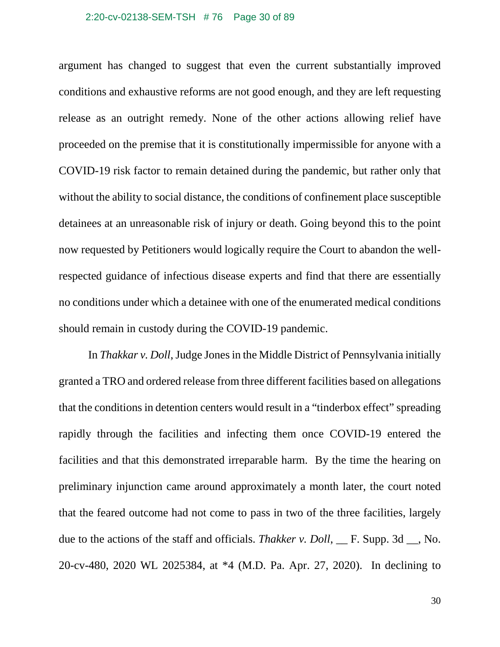#### 2:20-cv-02138-SEM-TSH # 76 Page 30 of 89

argument has changed to suggest that even the current substantially improved conditions and exhaustive reforms are not good enough, and they are left requesting release as an outright remedy. None of the other actions allowing relief have proceeded on the premise that it is constitutionally impermissible for anyone with a COVID-19 risk factor to remain detained during the pandemic, but rather only that without the ability to social distance, the conditions of confinement place susceptible detainees at an unreasonable risk of injury or death. Going beyond this to the point now requested by Petitioners would logically require the Court to abandon the wellrespected guidance of infectious disease experts and find that there are essentially no conditions under which a detainee with one of the enumerated medical conditions should remain in custody during the COVID-19 pandemic.

In *Thakkar v. Doll*, Judge Jones in the Middle District of Pennsylvania initially granted a TRO and ordered release from three different facilities based on allegations that the conditions in detention centers would result in a "tinderbox effect" spreading rapidly through the facilities and infecting them once COVID-19 entered the facilities and that this demonstrated irreparable harm. By the time the hearing on preliminary injunction came around approximately a month later, the court noted that the feared outcome had not come to pass in two of the three facilities, largely due to the actions of the staff and officials. *Thakker v. Doll*, F. Supp. 3d , No. 20-cv-480, 2020 WL 2025384, at \*4 (M.D. Pa. Apr. 27, 2020). In declining to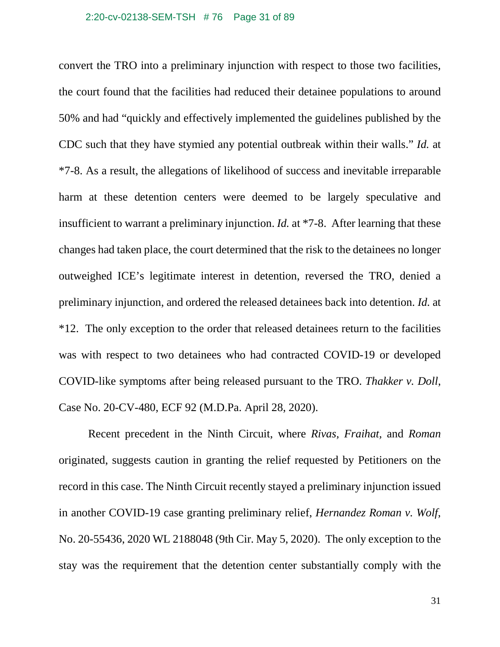#### 2:20-cv-02138-SEM-TSH # 76 Page 31 of 89

convert the TRO into a preliminary injunction with respect to those two facilities, the court found that the facilities had reduced their detainee populations to around 50% and had "quickly and effectively implemented the guidelines published by the CDC such that they have stymied any potential outbreak within their walls." *Id.* at \*7-8. As a result, the allegations of likelihood of success and inevitable irreparable harm at these detention centers were deemed to be largely speculative and insufficient to warrant a preliminary injunction. *Id.* at \*7-8. After learning that these changes had taken place, the court determined that the risk to the detainees no longer outweighed ICE's legitimate interest in detention, reversed the TRO, denied a preliminary injunction, and ordered the released detainees back into detention. *Id.* at \*12. The only exception to the order that released detainees return to the facilities was with respect to two detainees who had contracted COVID-19 or developed COVID-like symptoms after being released pursuant to the TRO. *Thakker v. Doll*, Case No. 20-CV-480, ECF 92 (M.D.Pa. April 28, 2020).

Recent precedent in the Ninth Circuit, where *Rivas, Fraihat,* and *Roman* originated, suggests caution in granting the relief requested by Petitioners on the record in this case. The Ninth Circuit recently stayed a preliminary injunction issued in another COVID-19 case granting preliminary relief, *Hernandez Roman v. Wolf*, No. 20-55436, 2020 WL 2188048 (9th Cir. May 5, 2020). The only exception to the stay was the requirement that the detention center substantially comply with the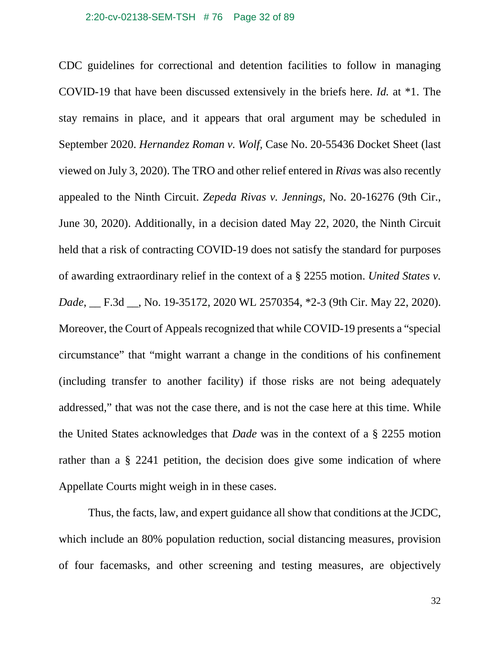### 2:20-cv-02138-SEM-TSH # 76 Page 32 of 89

CDC guidelines for correctional and detention facilities to follow in managing COVID-19 that have been discussed extensively in the briefs here. *Id.* at \*1. The stay remains in place, and it appears that oral argument may be scheduled in September 2020. *Hernandez Roman v. Wolf,* Case No. 20-55436 Docket Sheet (last viewed on July 3, 2020). The TRO and other relief entered in *Rivas* was also recently appealed to the Ninth Circuit. *Zepeda Rivas v. Jennings,* No. 20-16276 (9th Cir., June 30, 2020). Additionally, in a decision dated May 22, 2020, the Ninth Circuit held that a risk of contracting COVID-19 does not satisfy the standard for purposes of awarding extraordinary relief in the context of a § 2255 motion. *United States v. Dade*, \_\_ F.3d \_\_, No. 19-35172, 2020 WL 2570354, \*2-3 (9th Cir. May 22, 2020). Moreover, the Court of Appeals recognized that while COVID-19 presents a "special circumstance" that "might warrant a change in the conditions of his confinement (including transfer to another facility) if those risks are not being adequately addressed," that was not the case there, and is not the case here at this time. While the United States acknowledges that *Dade* was in the context of a § 2255 motion rather than a § 2241 petition, the decision does give some indication of where Appellate Courts might weigh in in these cases.

Thus, the facts, law, and expert guidance all show that conditions at the JCDC, which include an 80% population reduction, social distancing measures, provision of four facemasks, and other screening and testing measures, are objectively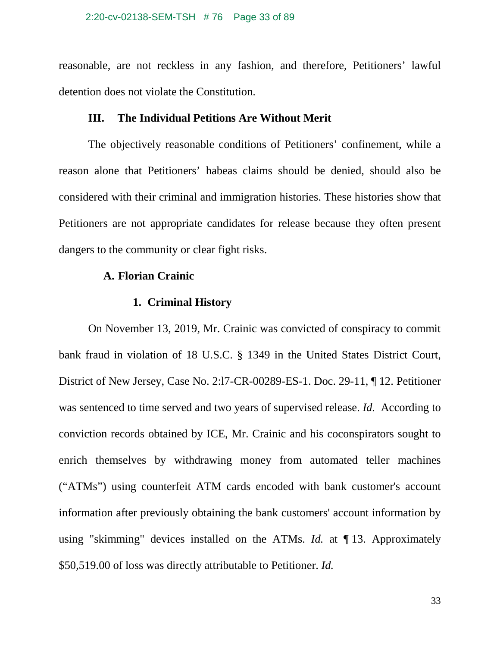reasonable, are not reckless in any fashion, and therefore, Petitioners' lawful detention does not violate the Constitution.

## **III. The Individual Petitions Are Without Merit**

The objectively reasonable conditions of Petitioners' confinement, while a reason alone that Petitioners' habeas claims should be denied, should also be considered with their criminal and immigration histories. These histories show that Petitioners are not appropriate candidates for release because they often present dangers to the community or clear fight risks.

## **A. Florian Crainic**

## **1. Criminal History**

On November 13, 2019, Mr. Crainic was convicted of conspiracy to commit bank fraud in violation of 18 U.S.C. § 1349 in the United States District Court, District of New Jersey, Case No. 2:l7-CR-00289-ES-1. Doc. 29-11, ¶ 12. Petitioner was sentenced to time served and two years of supervised release. *Id.* According to conviction records obtained by ICE, Mr. Crainic and his coconspirators sought to enrich themselves by withdrawing money from automated teller machines ("ATMs") using counterfeit ATM cards encoded with bank customer's account information after previously obtaining the bank customers' account information by using "skimming" devices installed on the ATMs. *Id.* at ¶ 13. Approximately \$50,519.00 of loss was directly attributable to Petitioner. *Id.*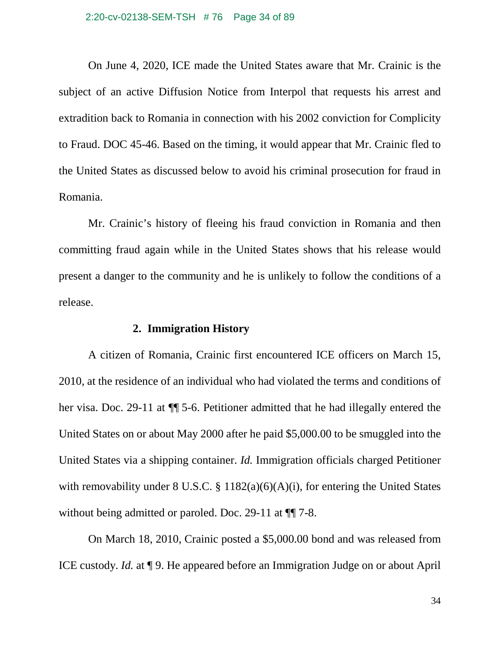### 2:20-cv-02138-SEM-TSH # 76 Page 34 of 89

On June 4, 2020, ICE made the United States aware that Mr. Crainic is the subject of an active Diffusion Notice from Interpol that requests his arrest and extradition back to Romania in connection with his 2002 conviction for Complicity to Fraud. DOC 45-46. Based on the timing, it would appear that Mr. Crainic fled to the United States as discussed below to avoid his criminal prosecution for fraud in Romania.

Mr. Crainic's history of fleeing his fraud conviction in Romania and then committing fraud again while in the United States shows that his release would present a danger to the community and he is unlikely to follow the conditions of a release.

### **2. Immigration History**

A citizen of Romania, Crainic first encountered ICE officers on March 15, 2010, at the residence of an individual who had violated the terms and conditions of her visa. Doc. 29-11 at ¶¶ 5-6. Petitioner admitted that he had illegally entered the United States on or about May 2000 after he paid \$5,000.00 to be smuggled into the United States via a shipping container. *Id.* Immigration officials charged Petitioner with removability under  $8 \text{ U.S.C.}$   $\frac{8}{3}$  1182(a)(6)(A)(i), for entering the United States without being admitted or paroled. Doc. 29-11 at  $\P$  7-8.

On March 18, 2010, Crainic posted a \$5,000.00 bond and was released from ICE custody. *Id.* at ¶ 9. He appeared before an Immigration Judge on or about April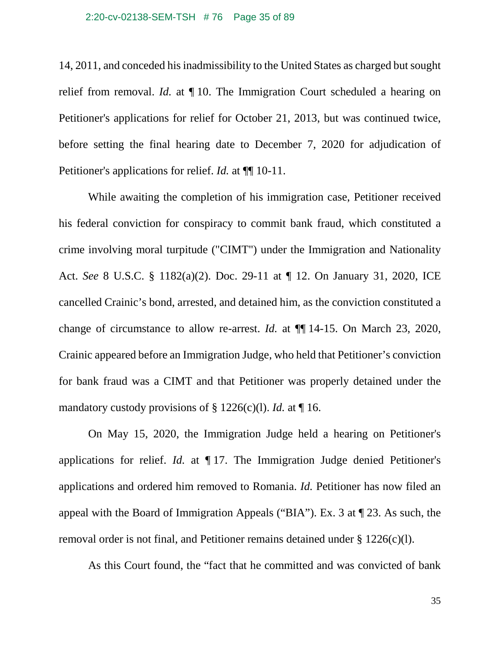#### 2:20-cv-02138-SEM-TSH # 76 Page 35 of 89

14, 2011, and conceded his inadmissibility to the United States as charged but sought relief from removal. *Id.* at ¶ 10. The Immigration Court scheduled a hearing on Petitioner's applications for relief for October 21, 2013, but was continued twice, before setting the final hearing date to December 7, 2020 for adjudication of Petitioner's applications for relief. *Id.* at  $\P$  10-11.

While awaiting the completion of his immigration case, Petitioner received his federal conviction for conspiracy to commit bank fraud, which constituted a crime involving moral turpitude ("CIMT") under the Immigration and Nationality Act. *See* 8 U.S.C. § 1182(a)(2). Doc. 29-11 at ¶ 12. On January 31, 2020, ICE cancelled Crainic's bond, arrested, and detained him, as the conviction constituted a change of circumstance to allow re-arrest. *Id.* at ¶¶ 14-15. On March 23, 2020, Crainic appeared before an Immigration Judge, who held that Petitioner's conviction for bank fraud was a CIMT and that Petitioner was properly detained under the mandatory custody provisions of § 1226(c)(l). *Id.* at ¶ 16.

On May 15, 2020, the Immigration Judge held a hearing on Petitioner's applications for relief. *Id.* at ¶ 17. The Immigration Judge denied Petitioner's applications and ordered him removed to Romania. *Id.* Petitioner has now filed an appeal with the Board of Immigration Appeals ("BIA"). Ex. 3 at ¶ 23. As such, the removal order is not final, and Petitioner remains detained under § 1226(c)(l).

As this Court found, the "fact that he committed and was convicted of bank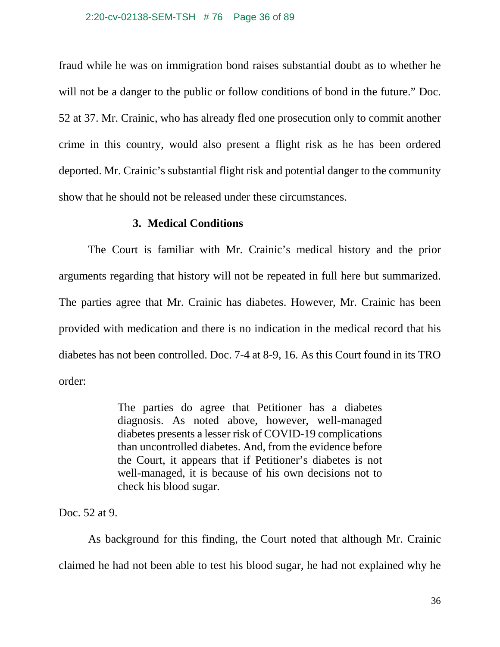### 2:20-cv-02138-SEM-TSH # 76 Page 36 of 89

fraud while he was on immigration bond raises substantial doubt as to whether he will not be a danger to the public or follow conditions of bond in the future." Doc. 52 at 37. Mr. Crainic, who has already fled one prosecution only to commit another crime in this country, would also present a flight risk as he has been ordered deported. Mr. Crainic's substantial flight risk and potential danger to the community show that he should not be released under these circumstances.

## **3. Medical Conditions**

The Court is familiar with Mr. Crainic's medical history and the prior arguments regarding that history will not be repeated in full here but summarized. The parties agree that Mr. Crainic has diabetes. However, Mr. Crainic has been provided with medication and there is no indication in the medical record that his diabetes has not been controlled. Doc. 7-4 at 8-9, 16. As this Court found in its TRO order:

> The parties do agree that Petitioner has a diabetes diagnosis. As noted above, however, well-managed diabetes presents a lesser risk of COVID-19 complications than uncontrolled diabetes. And, from the evidence before the Court, it appears that if Petitioner's diabetes is not well-managed, it is because of his own decisions not to check his blood sugar.

Doc. 52 at 9.

As background for this finding, the Court noted that although Mr. Crainic claimed he had not been able to test his blood sugar, he had not explained why he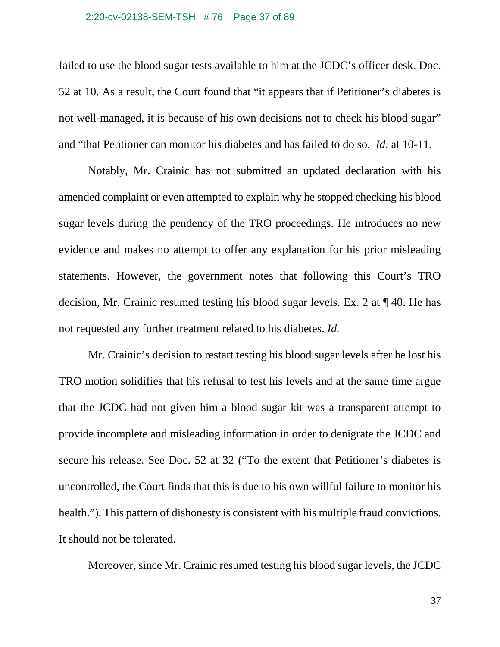## 2:20-cv-02138-SEM-TSH # 76 Page 37 of 89

failed to use the blood sugar tests available to him at the JCDC's officer desk. Doc. 52 at 10. As a result, the Court found that "it appears that if Petitioner's diabetes is not well-managed, it is because of his own decisions not to check his blood sugar" and "that Petitioner can monitor his diabetes and has failed to do so. *Id.* at 10-11.

Notably, Mr. Crainic has not submitted an updated declaration with his amended complaint or even attempted to explain why he stopped checking his blood sugar levels during the pendency of the TRO proceedings. He introduces no new evidence and makes no attempt to offer any explanation for his prior misleading statements. However, the government notes that following this Court's TRO decision, Mr. Crainic resumed testing his blood sugar levels. Ex. 2 at ¶ 40. He has not requested any further treatment related to his diabetes. *Id.*

Mr. Crainic's decision to restart testing his blood sugar levels after he lost his TRO motion solidifies that his refusal to test his levels and at the same time argue that the JCDC had not given him a blood sugar kit was a transparent attempt to provide incomplete and misleading information in order to denigrate the JCDC and secure his release. See Doc. 52 at 32 ("To the extent that Petitioner's diabetes is uncontrolled, the Court finds that this is due to his own willful failure to monitor his health."). This pattern of dishonesty is consistent with his multiple fraud convictions. It should not be tolerated.

Moreover, since Mr. Crainic resumed testing his blood sugar levels, the JCDC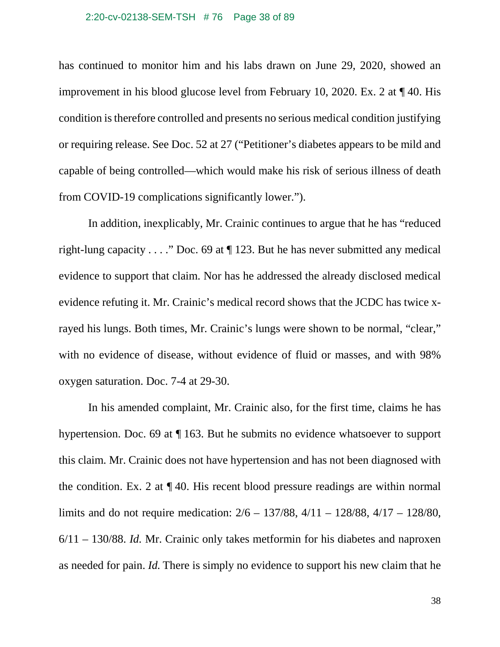### 2:20-cv-02138-SEM-TSH # 76 Page 38 of 89

has continued to monitor him and his labs drawn on June 29, 2020, showed an improvement in his blood glucose level from February 10, 2020. Ex. 2 at ¶ 40. His condition is therefore controlled and presents no serious medical condition justifying or requiring release. See Doc. 52 at 27 ("Petitioner's diabetes appears to be mild and capable of being controlled—which would make his risk of serious illness of death from COVID-19 complications significantly lower.").

In addition, inexplicably, Mr. Crainic continues to argue that he has "reduced right-lung capacity . . . ." Doc. 69 at  $\P$  123. But he has never submitted any medical evidence to support that claim. Nor has he addressed the already disclosed medical evidence refuting it. Mr. Crainic's medical record shows that the JCDC has twice xrayed his lungs. Both times, Mr. Crainic's lungs were shown to be normal, "clear," with no evidence of disease, without evidence of fluid or masses, and with 98% oxygen saturation. Doc. 7-4 at 29-30.

In his amended complaint, Mr. Crainic also, for the first time, claims he has hypertension. Doc. 69 at ¶ 163. But he submits no evidence whatsoever to support this claim. Mr. Crainic does not have hypertension and has not been diagnosed with the condition. Ex. 2 at ¶ 40. His recent blood pressure readings are within normal limits and do not require medication: 2/6 – 137/88, 4/11 – 128/88, 4/17 – 128/80, 6/11 – 130/88. *Id.* Mr. Crainic only takes metformin for his diabetes and naproxen as needed for pain. *Id.* There is simply no evidence to support his new claim that he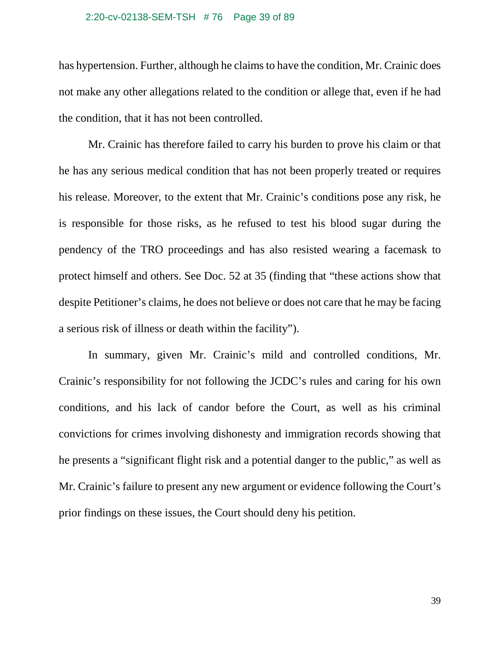#### 2:20-cv-02138-SEM-TSH # 76 Page 39 of 89

has hypertension. Further, although he claims to have the condition, Mr. Crainic does not make any other allegations related to the condition or allege that, even if he had the condition, that it has not been controlled.

Mr. Crainic has therefore failed to carry his burden to prove his claim or that he has any serious medical condition that has not been properly treated or requires his release. Moreover, to the extent that Mr. Crainic's conditions pose any risk, he is responsible for those risks, as he refused to test his blood sugar during the pendency of the TRO proceedings and has also resisted wearing a facemask to protect himself and others. See Doc. 52 at 35 (finding that "these actions show that despite Petitioner's claims, he does not believe or does not care that he may be facing a serious risk of illness or death within the facility").

In summary, given Mr. Crainic's mild and controlled conditions, Mr. Crainic's responsibility for not following the JCDC's rules and caring for his own conditions, and his lack of candor before the Court, as well as his criminal convictions for crimes involving dishonesty and immigration records showing that he presents a "significant flight risk and a potential danger to the public," as well as Mr. Crainic's failure to present any new argument or evidence following the Court's prior findings on these issues, the Court should deny his petition.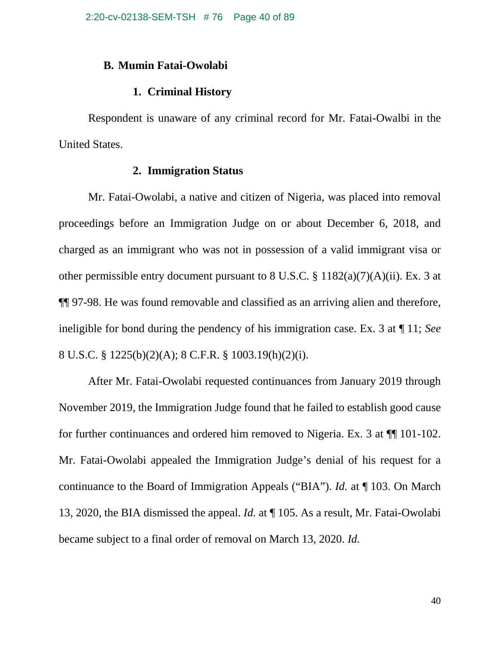# **B. Mumin Fatai-Owolabi**

# **1. Criminal History**

Respondent is unaware of any criminal record for Mr. Fatai-Owalbi in the United States.

## **2. Immigration Status**

Mr. Fatai-Owolabi, a native and citizen of Nigeria, was placed into removal proceedings before an Immigration Judge on or about December 6, 2018, and charged as an immigrant who was not in possession of a valid immigrant visa or other permissible entry document pursuant to 8 U.S.C. § 1182(a)(7)(A)(ii). Ex. 3 at ¶¶ 97-98. He was found removable and classified as an arriving alien and therefore, ineligible for bond during the pendency of his immigration case. Ex. 3 at ¶ 11; *See* 8 U.S.C. § 1225(b)(2)(A); 8 C.F.R. § 1003.19(h)(2)(i).

After Mr. Fatai-Owolabi requested continuances from January 2019 through November 2019, the Immigration Judge found that he failed to establish good cause for further continuances and ordered him removed to Nigeria. Ex. 3 at ¶¶ 101-102. Mr. Fatai-Owolabi appealed the Immigration Judge's denial of his request for a continuance to the Board of Immigration Appeals ("BIA"). *Id.* at ¶ 103. On March 13, 2020, the BIA dismissed the appeal. *Id.* at ¶ 105. As a result, Mr. Fatai-Owolabi became subject to a final order of removal on March 13, 2020. *Id.*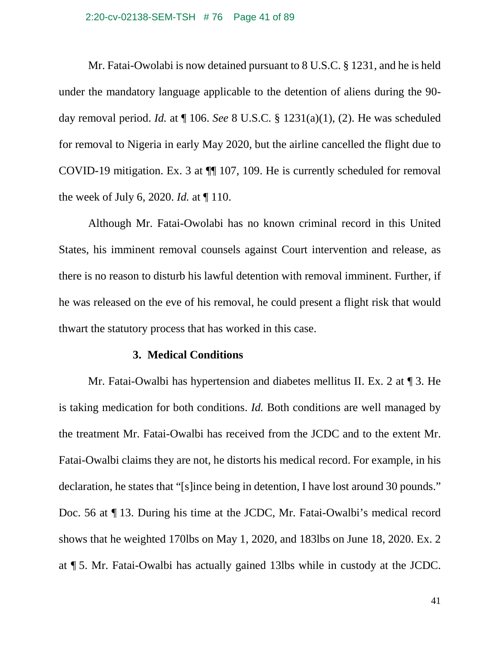## 2:20-cv-02138-SEM-TSH # 76 Page 41 of 89

Mr. Fatai-Owolabi is now detained pursuant to 8 U.S.C. § 1231, and he is held under the mandatory language applicable to the detention of aliens during the 90 day removal period. *Id.* at ¶ 106. *See* 8 U.S.C. § 1231(a)(1), (2). He was scheduled for removal to Nigeria in early May 2020, but the airline cancelled the flight due to COVID-19 mitigation. Ex. 3 at ¶¶ 107, 109. He is currently scheduled for removal the week of July 6, 2020. *Id.* at ¶ 110.

Although Mr. Fatai-Owolabi has no known criminal record in this United States, his imminent removal counsels against Court intervention and release, as there is no reason to disturb his lawful detention with removal imminent. Further, if he was released on the eve of his removal, he could present a flight risk that would thwart the statutory process that has worked in this case.

## **3. Medical Conditions**

Mr. Fatai-Owalbi has hypertension and diabetes mellitus II. Ex. 2 at ¶ 3. He is taking medication for both conditions. *Id.* Both conditions are well managed by the treatment Mr. Fatai-Owalbi has received from the JCDC and to the extent Mr. Fatai-Owalbi claims they are not, he distorts his medical record. For example, in his declaration, he states that "[s]ince being in detention, I have lost around 30 pounds." Doc. 56 at ¶ 13. During his time at the JCDC, Mr. Fatai-Owalbi's medical record shows that he weighted 170lbs on May 1, 2020, and 183lbs on June 18, 2020. Ex. 2 at ¶ 5. Mr. Fatai-Owalbi has actually gained 13lbs while in custody at the JCDC.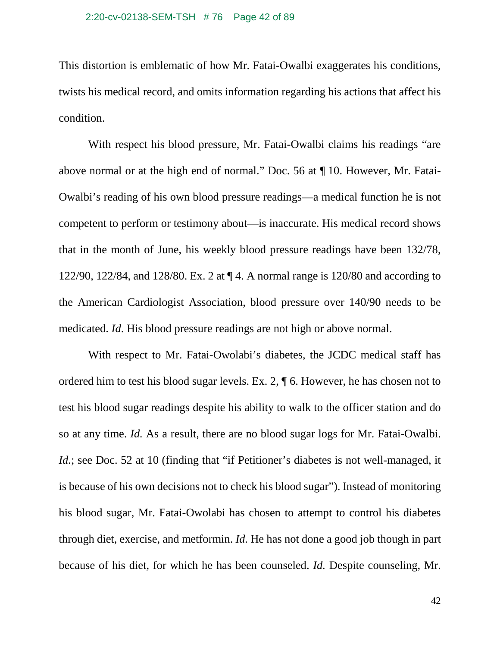This distortion is emblematic of how Mr. Fatai-Owalbi exaggerates his conditions, twists his medical record, and omits information regarding his actions that affect his condition.

With respect his blood pressure, Mr. Fatai-Owalbi claims his readings "are above normal or at the high end of normal." Doc. 56 at ¶ 10. However, Mr. Fatai-Owalbi's reading of his own blood pressure readings—a medical function he is not competent to perform or testimony about—is inaccurate. His medical record shows that in the month of June, his weekly blood pressure readings have been 132/78, 122/90, 122/84, and 128/80. Ex. 2 at ¶ 4. A normal range is 120/80 and according to the American Cardiologist Association, blood pressure over 140/90 needs to be medicated. *Id*. His blood pressure readings are not high or above normal.

With respect to Mr. Fatai-Owolabi's diabetes, the JCDC medical staff has ordered him to test his blood sugar levels. Ex. 2, ¶ 6. However, he has chosen not to test his blood sugar readings despite his ability to walk to the officer station and do so at any time. *Id.* As a result, there are no blood sugar logs for Mr. Fatai-Owalbi. *Id.*; see Doc. 52 at 10 (finding that "if Petitioner's diabetes is not well-managed, it is because of his own decisions not to check his blood sugar"). Instead of monitoring his blood sugar, Mr. Fatai-Owolabi has chosen to attempt to control his diabetes through diet, exercise, and metformin. *Id.* He has not done a good job though in part because of his diet, for which he has been counseled. *Id.* Despite counseling, Mr.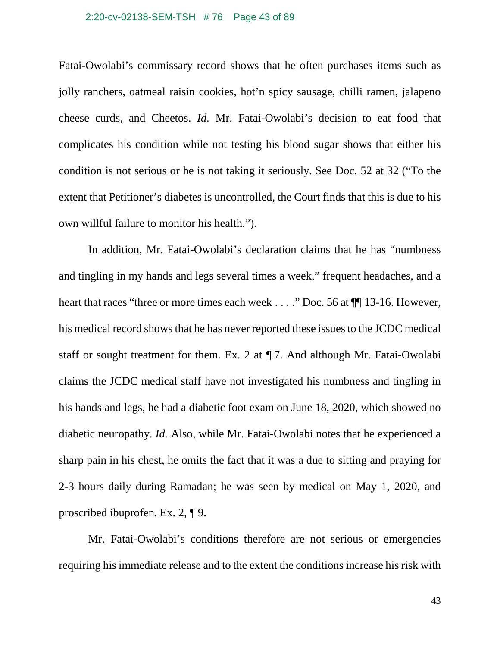## 2:20-cv-02138-SEM-TSH # 76 Page 43 of 89

Fatai-Owolabi's commissary record shows that he often purchases items such as jolly ranchers, oatmeal raisin cookies, hot'n spicy sausage, chilli ramen, jalapeno cheese curds, and Cheetos. *Id.* Mr. Fatai-Owolabi's decision to eat food that complicates his condition while not testing his blood sugar shows that either his condition is not serious or he is not taking it seriously. See Doc. 52 at 32 ("To the extent that Petitioner's diabetes is uncontrolled, the Court finds that this is due to his own willful failure to monitor his health.").

In addition, Mr. Fatai-Owolabi's declaration claims that he has "numbness and tingling in my hands and legs several times a week," frequent headaches, and a heart that races "three or more times each week . . . ." Doc. 56 at  $\P$  13-16. However, his medical record shows that he has never reported these issues to the JCDC medical staff or sought treatment for them. Ex. 2 at ¶ 7. And although Mr. Fatai-Owolabi claims the JCDC medical staff have not investigated his numbness and tingling in his hands and legs, he had a diabetic foot exam on June 18, 2020, which showed no diabetic neuropathy. *Id.* Also, while Mr. Fatai-Owolabi notes that he experienced a sharp pain in his chest, he omits the fact that it was a due to sitting and praying for 2-3 hours daily during Ramadan; he was seen by medical on May 1, 2020, and proscribed ibuprofen. Ex. 2, ¶ 9.

Mr. Fatai-Owolabi's conditions therefore are not serious or emergencies requiring his immediate release and to the extent the conditions increase his risk with

43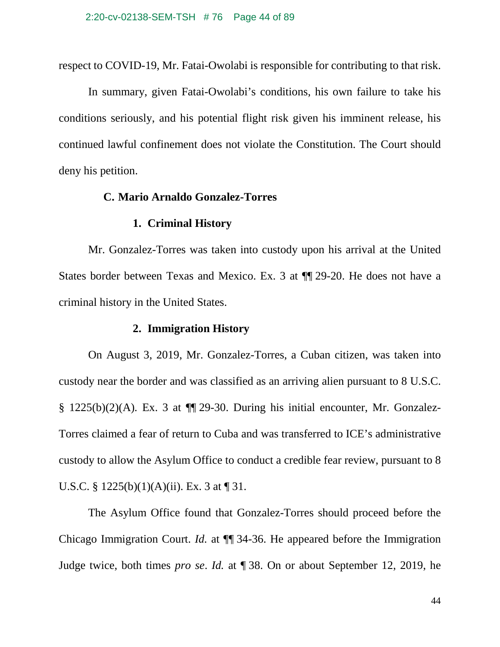respect to COVID-19, Mr. Fatai-Owolabi is responsible for contributing to that risk.

In summary, given Fatai-Owolabi's conditions, his own failure to take his conditions seriously, and his potential flight risk given his imminent release, his continued lawful confinement does not violate the Constitution. The Court should deny his petition.

## **C. Mario Arnaldo Gonzalez-Torres**

## **1. Criminal History**

Mr. Gonzalez-Torres was taken into custody upon his arrival at the United States border between Texas and Mexico. Ex. 3 at ¶¶ 29-20. He does not have a criminal history in the United States.

## **2. Immigration History**

On August 3, 2019, Mr. Gonzalez-Torres, a Cuban citizen, was taken into custody near the border and was classified as an arriving alien pursuant to 8 U.S.C. § 1225(b)(2)(A). Ex. 3 at  $\P$ [29-30. During his initial encounter, Mr. Gonzalez-Torres claimed a fear of return to Cuba and was transferred to ICE's administrative custody to allow the Asylum Office to conduct a credible fear review, pursuant to 8 U.S.C. §  $1225(b)(1)(A)(ii)$ . Ex. 3 at ¶ 31.

The Asylum Office found that Gonzalez-Torres should proceed before the Chicago Immigration Court. *Id.* at ¶¶ 34-36. He appeared before the Immigration Judge twice, both times *pro se*. *Id.* at ¶ 38. On or about September 12, 2019, he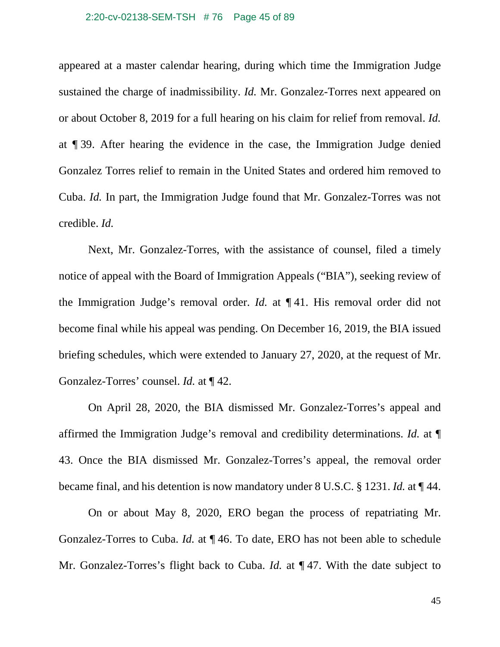#### 2:20-cv-02138-SEM-TSH # 76 Page 45 of 89

appeared at a master calendar hearing, during which time the Immigration Judge sustained the charge of inadmissibility. *Id.* Mr. Gonzalez-Torres next appeared on or about October 8, 2019 for a full hearing on his claim for relief from removal. *Id.* at ¶ 39. After hearing the evidence in the case, the Immigration Judge denied Gonzalez Torres relief to remain in the United States and ordered him removed to Cuba. *Id.* In part, the Immigration Judge found that Mr. Gonzalez-Torres was not credible. *Id.*

Next, Mr. Gonzalez-Torres, with the assistance of counsel, filed a timely notice of appeal with the Board of Immigration Appeals ("BIA"), seeking review of the Immigration Judge's removal order. *Id.* at ¶ 41. His removal order did not become final while his appeal was pending. On December 16, 2019, the BIA issued briefing schedules, which were extended to January 27, 2020, at the request of Mr. Gonzalez-Torres' counsel. *Id.* at ¶ 42.

On April 28, 2020, the BIA dismissed Mr. Gonzalez-Torres's appeal and affirmed the Immigration Judge's removal and credibility determinations. *Id.* at ¶ 43. Once the BIA dismissed Mr. Gonzalez-Torres's appeal, the removal order became final, and his detention is now mandatory under 8 U.S.C. § 1231. *Id.* at ¶ 44.

On or about May 8, 2020, ERO began the process of repatriating Mr. Gonzalez-Torres to Cuba. *Id.* at ¶ 46. To date, ERO has not been able to schedule Mr. Gonzalez-Torres's flight back to Cuba. *Id.* at ¶ 47. With the date subject to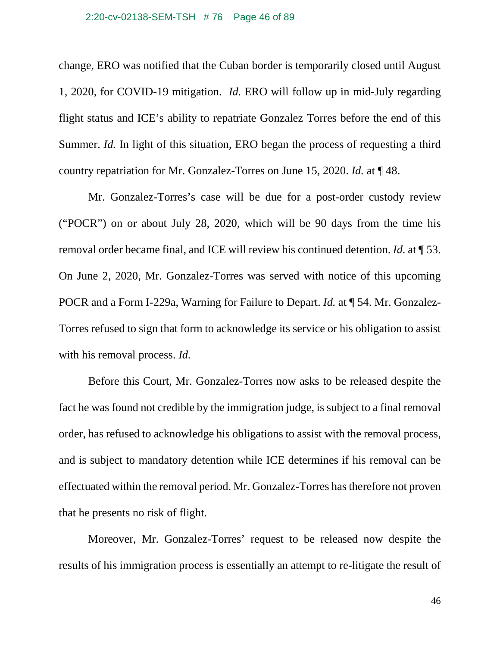#### 2:20-cv-02138-SEM-TSH # 76 Page 46 of 89

change, ERO was notified that the Cuban border is temporarily closed until August 1, 2020, for COVID-19 mitigation. *Id.* ERO will follow up in mid-July regarding flight status and ICE's ability to repatriate Gonzalez Torres before the end of this Summer. *Id.* In light of this situation, ERO began the process of requesting a third country repatriation for Mr. Gonzalez-Torres on June 15, 2020. *Id.* at ¶ 48.

Mr. Gonzalez-Torres's case will be due for a post-order custody review ("POCR") on or about July 28, 2020, which will be 90 days from the time his removal order became final, and ICE will review his continued detention. *Id.* at ¶ 53. On June 2, 2020, Mr. Gonzalez-Torres was served with notice of this upcoming POCR and a Form I-229a, Warning for Failure to Depart. *Id.* at ¶ 54. Mr. Gonzalez-Torres refused to sign that form to acknowledge its service or his obligation to assist with his removal process. *Id.*

Before this Court, Mr. Gonzalez-Torres now asks to be released despite the fact he was found not credible by the immigration judge, is subject to a final removal order, has refused to acknowledge his obligations to assist with the removal process, and is subject to mandatory detention while ICE determines if his removal can be effectuated within the removal period. Mr. Gonzalez-Torres has therefore not proven that he presents no risk of flight.

Moreover, Mr. Gonzalez-Torres' request to be released now despite the results of his immigration process is essentially an attempt to re-litigate the result of

46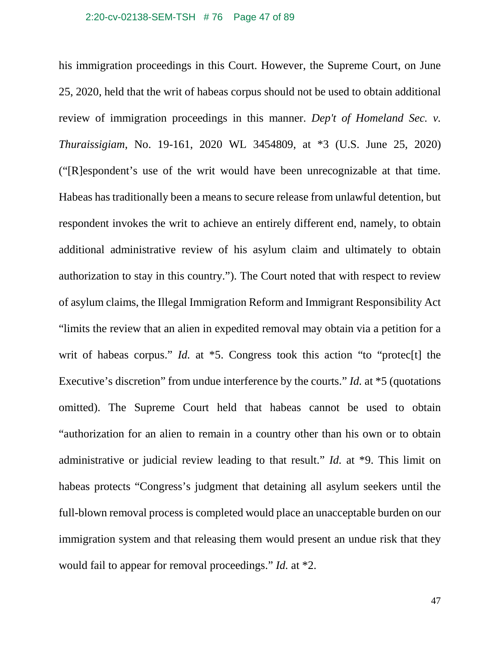his immigration proceedings in this Court. However, the Supreme Court, on June 25, 2020, held that the writ of habeas corpus should not be used to obtain additional review of immigration proceedings in this manner. *Dep't of Homeland Sec. v. Thuraissigiam*, No. 19-161, 2020 WL 3454809, at \*3 (U.S. June 25, 2020) ("[R]espondent's use of the writ would have been unrecognizable at that time. Habeas has traditionally been a means to secure release from unlawful detention, but respondent invokes the writ to achieve an entirely different end, namely, to obtain additional administrative review of his asylum claim and ultimately to obtain authorization to stay in this country."). The Court noted that with respect to review of asylum claims, the Illegal Immigration Reform and Immigrant Responsibility Act "limits the review that an alien in expedited removal may obtain via a petition for a writ of habeas corpus." *Id.* at \*5. Congress took this action "to "protec<sup>[t]</sup> the Executive's discretion" from undue interference by the courts." *Id.* at \*5 (quotations omitted). The Supreme Court held that habeas cannot be used to obtain "authorization for an alien to remain in a country other than his own or to obtain administrative or judicial review leading to that result." *Id.* at \*9. This limit on habeas protects "Congress's judgment that detaining all asylum seekers until the full-blown removal process is completed would place an unacceptable burden on our immigration system and that releasing them would present an undue risk that they would fail to appear for removal proceedings." *Id.* at \*2.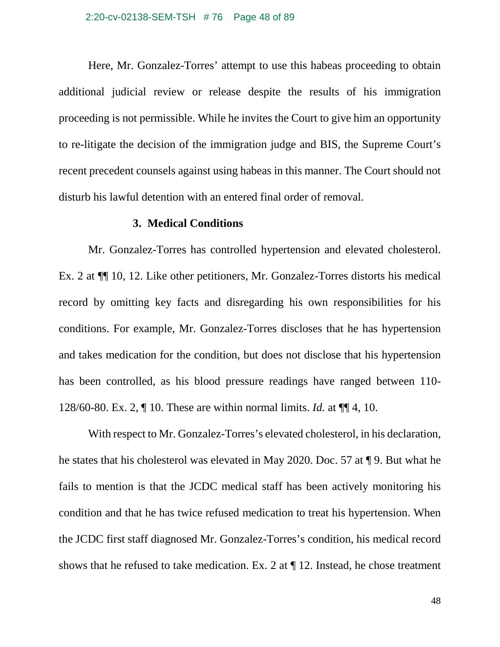### 2:20-cv-02138-SEM-TSH # 76 Page 48 of 89

Here, Mr. Gonzalez-Torres' attempt to use this habeas proceeding to obtain additional judicial review or release despite the results of his immigration proceeding is not permissible. While he invites the Court to give him an opportunity to re-litigate the decision of the immigration judge and BIS, the Supreme Court's recent precedent counsels against using habeas in this manner. The Court should not disturb his lawful detention with an entered final order of removal.

## **3. Medical Conditions**

Mr. Gonzalez-Torres has controlled hypertension and elevated cholesterol. Ex. 2 at ¶¶ 10, 12. Like other petitioners, Mr. Gonzalez-Torres distorts his medical record by omitting key facts and disregarding his own responsibilities for his conditions. For example, Mr. Gonzalez-Torres discloses that he has hypertension and takes medication for the condition, but does not disclose that his hypertension has been controlled, as his blood pressure readings have ranged between 110- 128/60-80. Ex. 2, ¶ 10. These are within normal limits. *Id.* at ¶¶ 4, 10.

With respect to Mr. Gonzalez-Torres's elevated cholesterol, in his declaration, he states that his cholesterol was elevated in May 2020. Doc. 57 at ¶ 9. But what he fails to mention is that the JCDC medical staff has been actively monitoring his condition and that he has twice refused medication to treat his hypertension. When the JCDC first staff diagnosed Mr. Gonzalez-Torres's condition, his medical record shows that he refused to take medication. Ex. 2 at ¶ 12. Instead, he chose treatment

48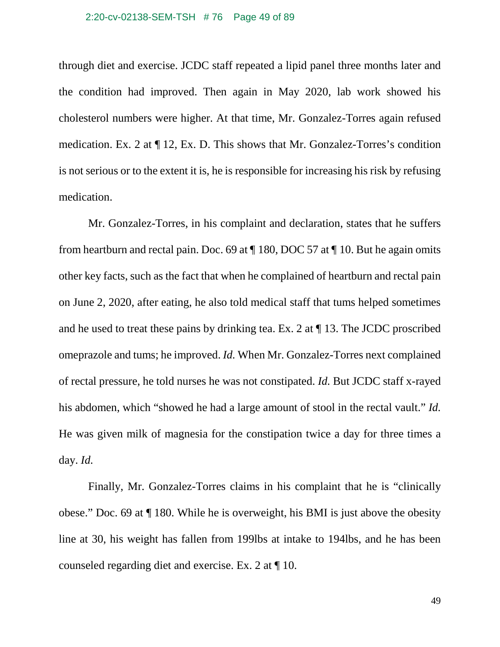#### 2:20-cv-02138-SEM-TSH # 76 Page 49 of 89

through diet and exercise. JCDC staff repeated a lipid panel three months later and the condition had improved. Then again in May 2020, lab work showed his cholesterol numbers were higher. At that time, Mr. Gonzalez-Torres again refused medication. Ex. 2 at ¶ 12, Ex. D. This shows that Mr. Gonzalez-Torres's condition is not serious or to the extent it is, he is responsible for increasing his risk by refusing medication.

Mr. Gonzalez-Torres, in his complaint and declaration, states that he suffers from heartburn and rectal pain. Doc. 69 at ¶ 180, DOC 57 at ¶ 10. But he again omits other key facts, such as the fact that when he complained of heartburn and rectal pain on June 2, 2020, after eating, he also told medical staff that tums helped sometimes and he used to treat these pains by drinking tea. Ex. 2 at ¶ 13. The JCDC proscribed omeprazole and tums; he improved. *Id.* When Mr. Gonzalez-Torres next complained of rectal pressure, he told nurses he was not constipated. *Id.* But JCDC staff x-rayed his abdomen, which "showed he had a large amount of stool in the rectal vault." *Id.* He was given milk of magnesia for the constipation twice a day for three times a day. *Id.*

Finally, Mr. Gonzalez-Torres claims in his complaint that he is "clinically obese." Doc. 69 at ¶ 180. While he is overweight, his BMI is just above the obesity line at 30, his weight has fallen from 199lbs at intake to 194lbs, and he has been counseled regarding diet and exercise. Ex. 2 at ¶ 10.

49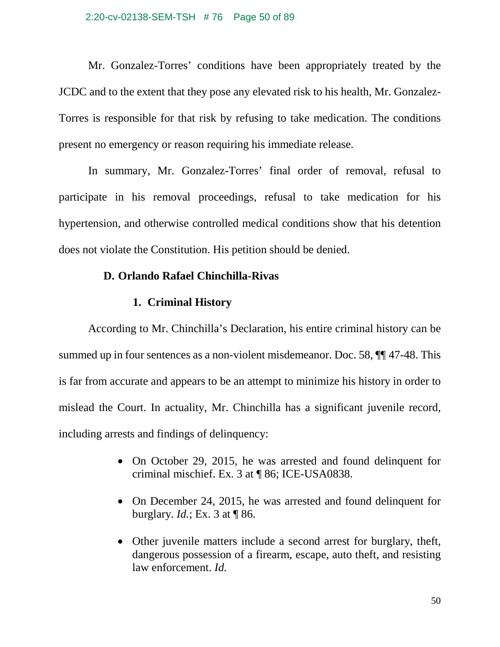### 2:20-cv-02138-SEM-TSH # 76 Page 50 of 89

Mr. Gonzalez-Torres' conditions have been appropriately treated by the JCDC and to the extent that they pose any elevated risk to his health, Mr. Gonzalez-Torres is responsible for that risk by refusing to take medication. The conditions present no emergency or reason requiring his immediate release.

In summary, Mr. Gonzalez-Torres' final order of removal, refusal to participate in his removal proceedings, refusal to take medication for his hypertension, and otherwise controlled medical conditions show that his detention does not violate the Constitution. His petition should be denied.

# **D. Orlando Rafael Chinchilla-Rivas**

# **1. Criminal History**

According to Mr. Chinchilla's Declaration, his entire criminal history can be summed up in four sentences as a non-violent misdemeanor. Doc. 58, ¶¶ 47-48. This is far from accurate and appears to be an attempt to minimize his history in order to mislead the Court. In actuality, Mr. Chinchilla has a significant juvenile record, including arrests and findings of delinquency:

- On October 29, 2015, he was arrested and found delinquent for criminal mischief. Ex. 3 at ¶ 86; ICE-USA0838.
- On December 24, 2015, he was arrested and found delinquent for burglary. *Id.*; Ex. 3 at ¶ 86.
- Other juvenile matters include a second arrest for burglary, theft, dangerous possession of a firearm, escape, auto theft, and resisting law enforcement. *Id.*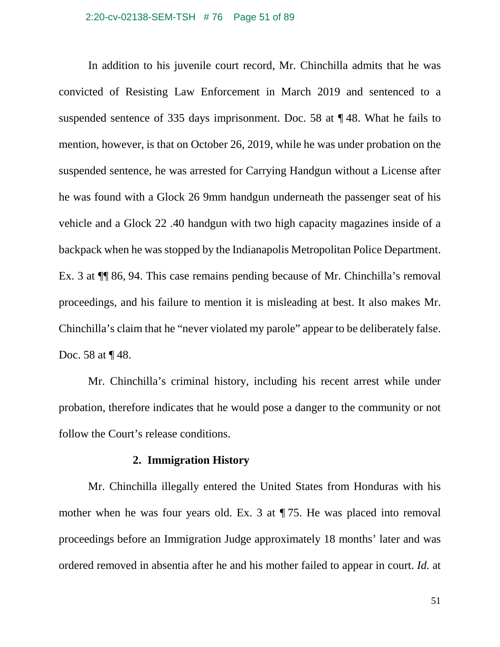#### 2:20-cv-02138-SEM-TSH # 76 Page 51 of 89

In addition to his juvenile court record, Mr. Chinchilla admits that he was convicted of Resisting Law Enforcement in March 2019 and sentenced to a suspended sentence of 335 days imprisonment. Doc. 58 at ¶ 48. What he fails to mention, however, is that on October 26, 2019, while he was under probation on the suspended sentence, he was arrested for Carrying Handgun without a License after he was found with a Glock 26 9mm handgun underneath the passenger seat of his vehicle and a Glock 22 .40 handgun with two high capacity magazines inside of a backpack when he was stopped by the Indianapolis Metropolitan Police Department. Ex. 3 at ¶¶ 86, 94. This case remains pending because of Mr. Chinchilla's removal proceedings, and his failure to mention it is misleading at best. It also makes Mr. Chinchilla's claim that he "never violated my parole" appear to be deliberately false. Doc. 58 at  $\P$  48.

Mr. Chinchilla's criminal history, including his recent arrest while under probation, therefore indicates that he would pose a danger to the community or not follow the Court's release conditions.

## **2. Immigration History**

Mr. Chinchilla illegally entered the United States from Honduras with his mother when he was four years old. Ex. 3 at ¶ 75. He was placed into removal proceedings before an Immigration Judge approximately 18 months' later and was ordered removed in absentia after he and his mother failed to appear in court. *Id.* at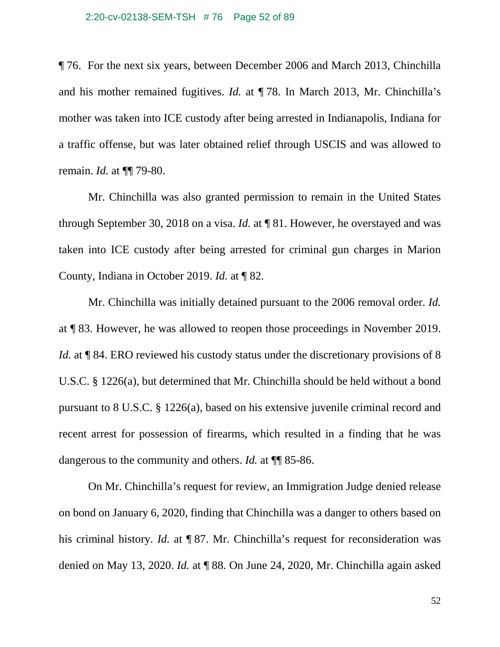¶ 76. For the next six years, between December 2006 and March 2013, Chinchilla and his mother remained fugitives. *Id.* at ¶ 78. In March 2013, Mr. Chinchilla's mother was taken into ICE custody after being arrested in Indianapolis, Indiana for a traffic offense, but was later obtained relief through USCIS and was allowed to remain. *Id.* at ¶¶ 79-80.

Mr. Chinchilla was also granted permission to remain in the United States through September 30, 2018 on a visa. *Id.* at ¶ 81. However, he overstayed and was taken into ICE custody after being arrested for criminal gun charges in Marion County, Indiana in October 2019. *Id.* at ¶ 82.

Mr. Chinchilla was initially detained pursuant to the 2006 removal order. *Id.* at ¶ 83. However, he was allowed to reopen those proceedings in November 2019. *Id.* at **[84. ERO** reviewed his custody status under the discretionary provisions of 8 U.S.C. § 1226(a), but determined that Mr. Chinchilla should be held without a bond pursuant to 8 U.S.C. § 1226(a), based on his extensive juvenile criminal record and recent arrest for possession of firearms, which resulted in a finding that he was dangerous to the community and others. *Id.* at ¶¶ 85-86.

On Mr. Chinchilla's request for review, an Immigration Judge denied release on bond on January 6, 2020, finding that Chinchilla was a danger to others based on his criminal history. *Id.* at ¶ 87. Mr. Chinchilla's request for reconsideration was denied on May 13, 2020. *Id.* at ¶ 88. On June 24, 2020, Mr. Chinchilla again asked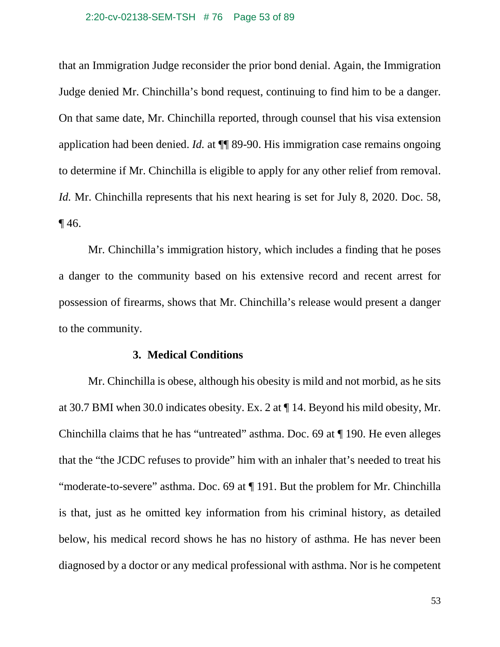## 2:20-cv-02138-SEM-TSH # 76 Page 53 of 89

that an Immigration Judge reconsider the prior bond denial. Again, the Immigration Judge denied Mr. Chinchilla's bond request, continuing to find him to be a danger. On that same date, Mr. Chinchilla reported, through counsel that his visa extension application had been denied. *Id.* at ¶¶ 89-90. His immigration case remains ongoing to determine if Mr. Chinchilla is eligible to apply for any other relief from removal. *Id.* Mr. Chinchilla represents that his next hearing is set for July 8, 2020. Doc. 58,  $\P$  46.

Mr. Chinchilla's immigration history, which includes a finding that he poses a danger to the community based on his extensive record and recent arrest for possession of firearms, shows that Mr. Chinchilla's release would present a danger to the community.

## **3. Medical Conditions**

Mr. Chinchilla is obese, although his obesity is mild and not morbid, as he sits at 30.7 BMI when 30.0 indicates obesity. Ex. 2 at ¶ 14. Beyond his mild obesity, Mr. Chinchilla claims that he has "untreated" asthma. Doc. 69 at ¶ 190. He even alleges that the "the JCDC refuses to provide" him with an inhaler that's needed to treat his "moderate-to-severe" asthma. Doc. 69 at ¶ 191. But the problem for Mr. Chinchilla is that, just as he omitted key information from his criminal history, as detailed below, his medical record shows he has no history of asthma. He has never been diagnosed by a doctor or any medical professional with asthma. Nor is he competent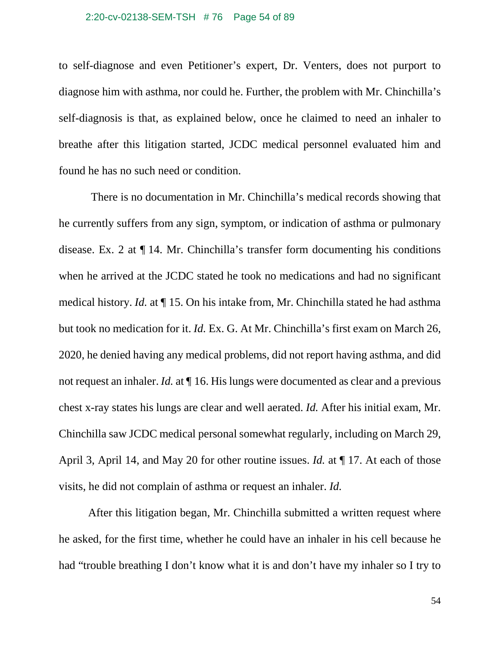to self-diagnose and even Petitioner's expert, Dr. Venters, does not purport to diagnose him with asthma, nor could he. Further, the problem with Mr. Chinchilla's self-diagnosis is that, as explained below, once he claimed to need an inhaler to breathe after this litigation started, JCDC medical personnel evaluated him and found he has no such need or condition.

There is no documentation in Mr. Chinchilla's medical records showing that he currently suffers from any sign, symptom, or indication of asthma or pulmonary disease. Ex. 2 at ¶ 14. Mr. Chinchilla's transfer form documenting his conditions when he arrived at the JCDC stated he took no medications and had no significant medical history. *Id.* at ¶ 15. On his intake from, Mr. Chinchilla stated he had asthma but took no medication for it. *Id.* Ex. G. At Mr. Chinchilla's first exam on March 26, 2020, he denied having any medical problems, did not report having asthma, and did not request an inhaler. *Id.* at  $\P$  16. His lungs were documented as clear and a previous chest x-ray states his lungs are clear and well aerated. *Id.* After his initial exam, Mr. Chinchilla saw JCDC medical personal somewhat regularly, including on March 29, April 3, April 14, and May 20 for other routine issues. *Id.* at  $\P$  17. At each of those visits, he did not complain of asthma or request an inhaler. *Id.*

After this litigation began, Mr. Chinchilla submitted a written request where he asked, for the first time, whether he could have an inhaler in his cell because he had "trouble breathing I don't know what it is and don't have my inhaler so I try to

54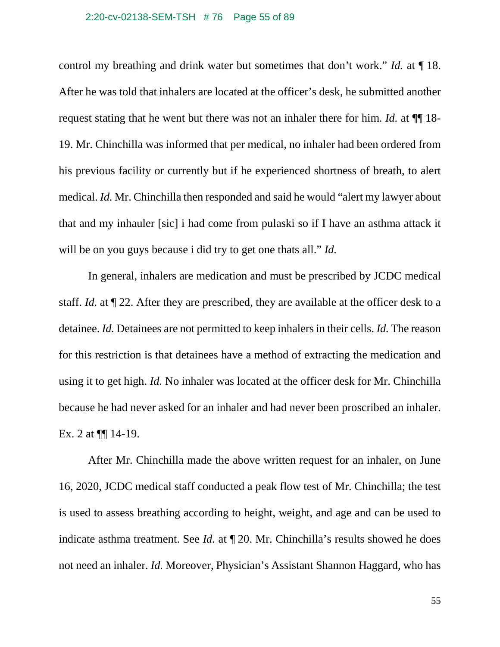### 2:20-cv-02138-SEM-TSH # 76 Page 55 of 89

control my breathing and drink water but sometimes that don't work." *Id.* at ¶ 18. After he was told that inhalers are located at the officer's desk, he submitted another request stating that he went but there was not an inhaler there for him. *Id.* at ¶¶ 18- 19. Mr. Chinchilla was informed that per medical, no inhaler had been ordered from his previous facility or currently but if he experienced shortness of breath, to alert medical. *Id.* Mr. Chinchilla then responded and said he would "alert my lawyer about that and my inhauler [sic] i had come from pulaski so if I have an asthma attack it will be on you guys because i did try to get one thats all." *Id.*

In general, inhalers are medication and must be prescribed by JCDC medical staff. *Id.* at ¶ 22. After they are prescribed, they are available at the officer desk to a detainee. *Id.* Detainees are not permitted to keep inhalers in their cells. *Id.* The reason for this restriction is that detainees have a method of extracting the medication and using it to get high. *Id.* No inhaler was located at the officer desk for Mr. Chinchilla because he had never asked for an inhaler and had never been proscribed an inhaler. Ex. 2 at ¶¶ 14-19.

After Mr. Chinchilla made the above written request for an inhaler, on June 16, 2020, JCDC medical staff conducted a peak flow test of Mr. Chinchilla; the test is used to assess breathing according to height, weight, and age and can be used to indicate asthma treatment. See *Id.* at ¶ 20. Mr. Chinchilla's results showed he does not need an inhaler. *Id.* Moreover, Physician's Assistant Shannon Haggard, who has

55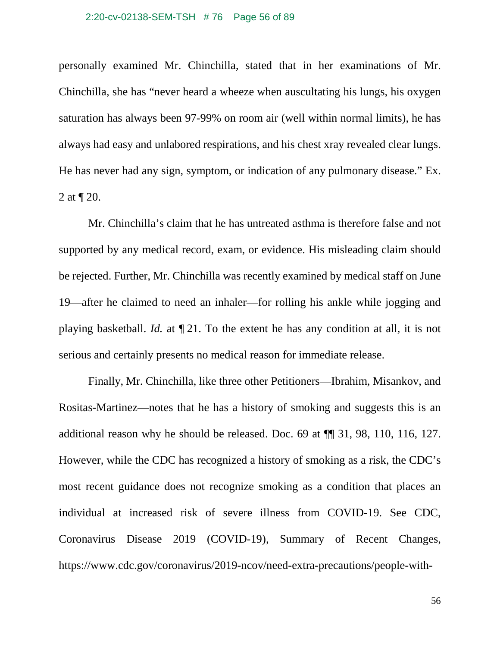## 2:20-cv-02138-SEM-TSH # 76 Page 56 of 89

personally examined Mr. Chinchilla, stated that in her examinations of Mr. Chinchilla, she has "never heard a wheeze when auscultating his lungs, his oxygen saturation has always been 97-99% on room air (well within normal limits), he has always had easy and unlabored respirations, and his chest xray revealed clear lungs. He has never had any sign, symptom, or indication of any pulmonary disease." Ex. 2 at ¶ 20.

Mr. Chinchilla's claim that he has untreated asthma is therefore false and not supported by any medical record, exam, or evidence. His misleading claim should be rejected. Further, Mr. Chinchilla was recently examined by medical staff on June 19—after he claimed to need an inhaler—for rolling his ankle while jogging and playing basketball. *Id.* at ¶ 21. To the extent he has any condition at all, it is not serious and certainly presents no medical reason for immediate release.

Finally, Mr. Chinchilla, like three other Petitioners—Ibrahim, Misankov, and Rositas-Martinez—notes that he has a history of smoking and suggests this is an additional reason why he should be released. Doc. 69 at ¶¶ 31, 98, 110, 116, 127. However, while the CDC has recognized a history of smoking as a risk, the CDC's most recent guidance does not recognize smoking as a condition that places an individual at increased risk of severe illness from COVID-19. See CDC, Coronavirus Disease 2019 (COVID-19), Summary of Recent Changes, https://www.cdc.gov/coronavirus/2019-ncov/need-extra-precautions/people-with-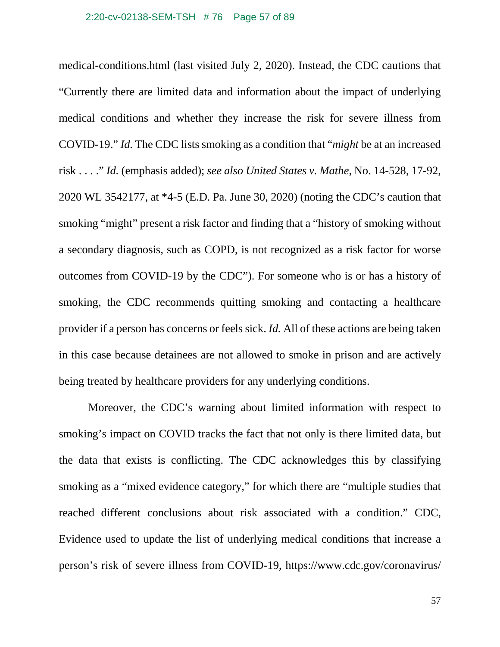#### 2:20-cv-02138-SEM-TSH # 76 Page 57 of 89

medical-conditions.html (last visited July 2, 2020). Instead, the CDC cautions that "Currently there are limited data and information about the impact of underlying medical conditions and whether they increase the risk for severe illness from COVID-19." *Id.* The CDC lists smoking as a condition that "*might* be at an increased risk . . . ." *Id.* (emphasis added); *see also United States v. Mathe*, No. 14-528, 17-92, 2020 WL 3542177, at \*4-5 (E.D. Pa. June 30, 2020) (noting the CDC's caution that smoking "might" present a risk factor and finding that a "history of smoking without a secondary diagnosis, such as COPD, is not recognized as a risk factor for worse outcomes from COVID-19 by the CDC"). For someone who is or has a history of smoking, the CDC recommends quitting smoking and contacting a healthcare provider if a person has concerns or feels sick. *Id.* All of these actions are being taken in this case because detainees are not allowed to smoke in prison and are actively being treated by healthcare providers for any underlying conditions.

Moreover, the CDC's warning about limited information with respect to smoking's impact on COVID tracks the fact that not only is there limited data, but the data that exists is conflicting. The CDC acknowledges this by classifying smoking as a "mixed evidence category," for which there are "multiple studies that reached different conclusions about risk associated with a condition." CDC, Evidence used to update the list of underlying medical conditions that increase a person's risk of severe illness from COVID-19, https://www.cdc.gov/coronavirus/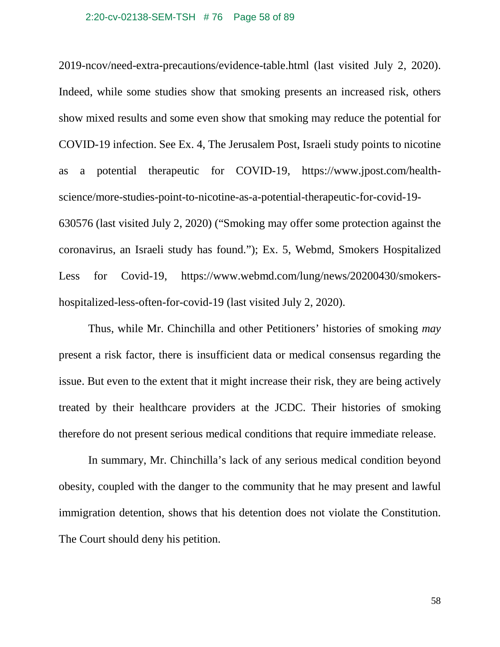#### 2:20-cv-02138-SEM-TSH # 76 Page 58 of 89

2019-ncov/need-extra-precautions/evidence-table.html (last visited July 2, 2020). Indeed, while some studies show that smoking presents an increased risk, others show mixed results and some even show that smoking may reduce the potential for COVID-19 infection. See Ex. 4, The Jerusalem Post, Israeli study points to nicotine as a potential therapeutic for COVID-19, https://www.jpost.com/healthscience/more-studies-point-to-nicotine-as-a-potential-therapeutic-for-covid-19- 630576 (last visited July 2, 2020) ("Smoking may offer some protection against the coronavirus, an Israeli study has found."); Ex. 5, Webmd, Smokers Hospitalized Less for Covid-19, https://www.webmd.com/lung/news/20200430/smokershospitalized-less-often-for-covid-19 (last visited July 2, 2020).

Thus, while Mr. Chinchilla and other Petitioners' histories of smoking *may* present a risk factor, there is insufficient data or medical consensus regarding the issue. But even to the extent that it might increase their risk, they are being actively treated by their healthcare providers at the JCDC. Their histories of smoking therefore do not present serious medical conditions that require immediate release.

In summary, Mr. Chinchilla's lack of any serious medical condition beyond obesity, coupled with the danger to the community that he may present and lawful immigration detention, shows that his detention does not violate the Constitution. The Court should deny his petition.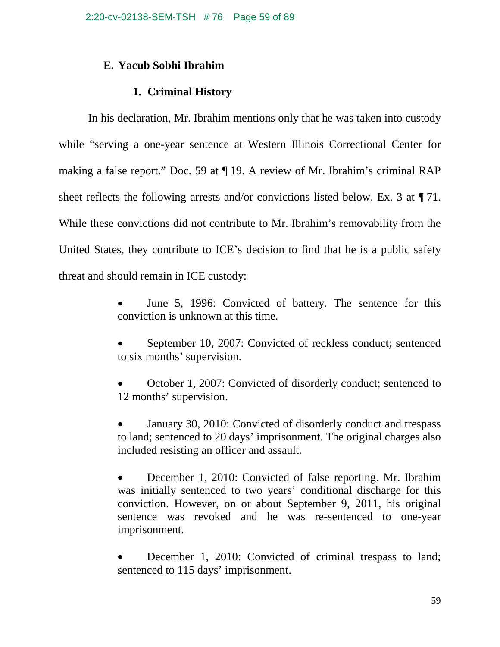# **E. Yacub Sobhi Ibrahim**

# **1. Criminal History**

In his declaration, Mr. Ibrahim mentions only that he was taken into custody while "serving a one-year sentence at Western Illinois Correctional Center for making a false report." Doc. 59 at ¶ 19. A review of Mr. Ibrahim's criminal RAP sheet reflects the following arrests and/or convictions listed below. Ex. 3 at ¶ 71. While these convictions did not contribute to Mr. Ibrahim's removability from the United States, they contribute to ICE's decision to find that he is a public safety threat and should remain in ICE custody:

- June 5, 1996: Convicted of battery. The sentence for this conviction is unknown at this time.
- September 10, 2007: Convicted of reckless conduct; sentenced to six months' supervision.

• October 1, 2007: Convicted of disorderly conduct; sentenced to 12 months' supervision.

• January 30, 2010: Convicted of disorderly conduct and trespass to land; sentenced to 20 days' imprisonment. The original charges also included resisting an officer and assault.

• December 1, 2010: Convicted of false reporting. Mr. Ibrahim was initially sentenced to two years' conditional discharge for this conviction. However, on or about September 9, 2011, his original sentence was revoked and he was re-sentenced to one-year imprisonment.

• December 1, 2010: Convicted of criminal trespass to land; sentenced to 115 days' imprisonment.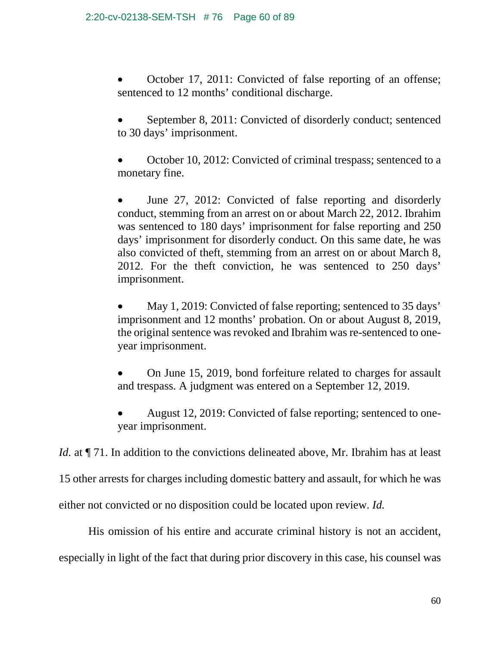• October 17, 2011: Convicted of false reporting of an offense; sentenced to 12 months' conditional discharge.

September 8, 2011: Convicted of disorderly conduct; sentenced to 30 days' imprisonment.

• October 10, 2012: Convicted of criminal trespass; sentenced to a monetary fine.

June 27, 2012: Convicted of false reporting and disorderly conduct, stemming from an arrest on or about March 22, 2012. Ibrahim was sentenced to 180 days' imprisonment for false reporting and 250 days' imprisonment for disorderly conduct. On this same date, he was also convicted of theft, stemming from an arrest on or about March 8, 2012. For the theft conviction, he was sentenced to 250 days' imprisonment.

May 1, 2019: Convicted of false reporting; sentenced to 35 days' imprisonment and 12 months' probation. On or about August 8, 2019, the original sentence was revoked and Ibrahim was re-sentenced to oneyear imprisonment.

• On June 15, 2019, bond forfeiture related to charges for assault and trespass. A judgment was entered on a September 12, 2019.

• August 12, 2019: Convicted of false reporting; sentenced to oneyear imprisonment.

*Id.* at  $\P$  71. In addition to the convictions delineated above, Mr. Ibrahim has at least

15 other arrests for charges including domestic battery and assault, for which he was

either not convicted or no disposition could be located upon review. *Id.*

His omission of his entire and accurate criminal history is not an accident,

especially in light of the fact that during prior discovery in this case, his counsel was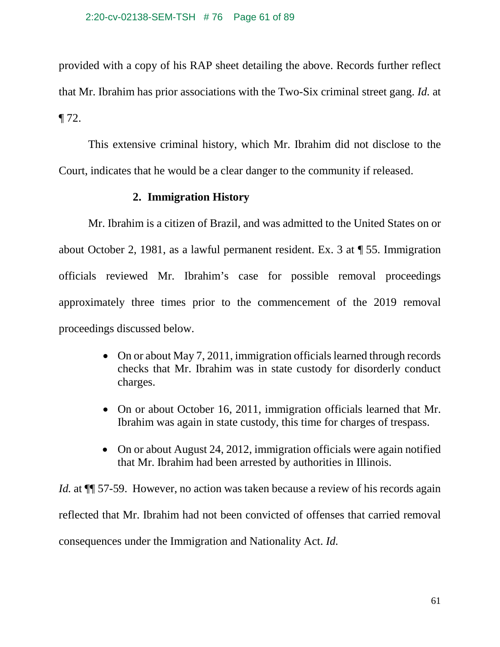provided with a copy of his RAP sheet detailing the above. Records further reflect that Mr. Ibrahim has prior associations with the Two-Six criminal street gang. *Id.* at ¶ 72.

This extensive criminal history, which Mr. Ibrahim did not disclose to the Court, indicates that he would be a clear danger to the community if released.

# **2. Immigration History**

Mr. Ibrahim is a citizen of Brazil, and was admitted to the United States on or about October 2, 1981, as a lawful permanent resident. Ex. 3 at ¶ 55. Immigration officials reviewed Mr. Ibrahim's case for possible removal proceedings approximately three times prior to the commencement of the 2019 removal proceedings discussed below.

- On or about May 7, 2011, immigration officials learned through records checks that Mr. Ibrahim was in state custody for disorderly conduct charges.
- On or about October 16, 2011, immigration officials learned that Mr. Ibrahim was again in state custody, this time for charges of trespass.
- On or about August 24, 2012, immigration officials were again notified that Mr. Ibrahim had been arrested by authorities in Illinois.

*Id.* at  $\P$  57-59. However, no action was taken because a review of his records again reflected that Mr. Ibrahim had not been convicted of offenses that carried removal consequences under the Immigration and Nationality Act. *Id.*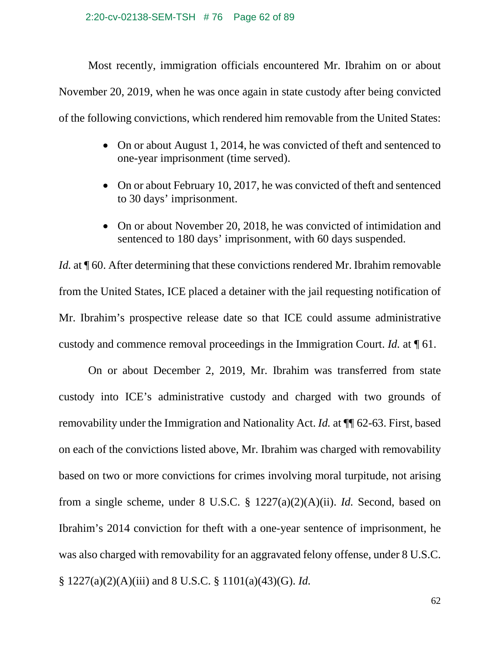### 2:20-cv-02138-SEM-TSH # 76 Page 62 of 89

Most recently, immigration officials encountered Mr. Ibrahim on or about November 20, 2019, when he was once again in state custody after being convicted of the following convictions, which rendered him removable from the United States:

- On or about August 1, 2014, he was convicted of theft and sentenced to one-year imprisonment (time served).
- On or about February 10, 2017, he was convicted of theft and sentenced to 30 days' imprisonment.
- On or about November 20, 2018, he was convicted of intimidation and sentenced to 180 days' imprisonment, with 60 days suspended.

*Id.* at  $\P$  60. After determining that these convictions rendered Mr. Ibrahim removable from the United States, ICE placed a detainer with the jail requesting notification of Mr. Ibrahim's prospective release date so that ICE could assume administrative custody and commence removal proceedings in the Immigration Court. *Id.* at ¶ 61.

On or about December 2, 2019, Mr. Ibrahim was transferred from state custody into ICE's administrative custody and charged with two grounds of removability under the Immigration and Nationality Act. *Id.* at ¶¶ 62-63. First, based on each of the convictions listed above, Mr. Ibrahim was charged with removability based on two or more convictions for crimes involving moral turpitude, not arising from a single scheme, under 8 U.S.C. § 1227(a)(2)(A)(ii). *Id.* Second, based on Ibrahim's 2014 conviction for theft with a one-year sentence of imprisonment, he was also charged with removability for an aggravated felony offense, under 8 U.S.C. § 1227(a)(2)(A)(iii) and 8 U.S.C. § 1101(a)(43)(G). *Id.*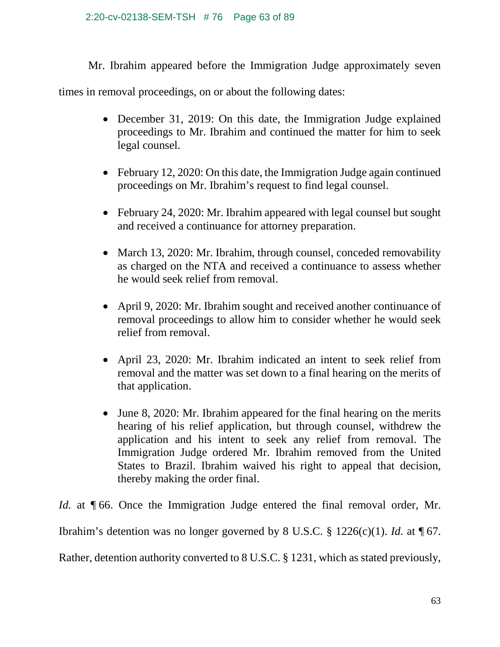Mr. Ibrahim appeared before the Immigration Judge approximately seven

times in removal proceedings, on or about the following dates:

- December 31, 2019: On this date, the Immigration Judge explained proceedings to Mr. Ibrahim and continued the matter for him to seek legal counsel.
- February 12, 2020: On this date, the Immigration Judge again continued proceedings on Mr. Ibrahim's request to find legal counsel.
- February 24, 2020: Mr. Ibrahim appeared with legal counsel but sought and received a continuance for attorney preparation.
- March 13, 2020: Mr. Ibrahim, through counsel, conceded removability as charged on the NTA and received a continuance to assess whether he would seek relief from removal.
- April 9, 2020: Mr. Ibrahim sought and received another continuance of removal proceedings to allow him to consider whether he would seek relief from removal.
- April 23, 2020: Mr. Ibrahim indicated an intent to seek relief from removal and the matter was set down to a final hearing on the merits of that application.
- June 8, 2020: Mr. Ibrahim appeared for the final hearing on the merits hearing of his relief application, but through counsel, withdrew the application and his intent to seek any relief from removal. The Immigration Judge ordered Mr. Ibrahim removed from the United States to Brazil. Ibrahim waived his right to appeal that decision, thereby making the order final.

*Id.* at ¶ 66. Once the Immigration Judge entered the final removal order, Mr. Ibrahim's detention was no longer governed by 8 U.S.C.  $\S$  1226(c)(1). *Id.* at  $\P$  67. Rather, detention authority converted to 8 U.S.C. § 1231, which as stated previously,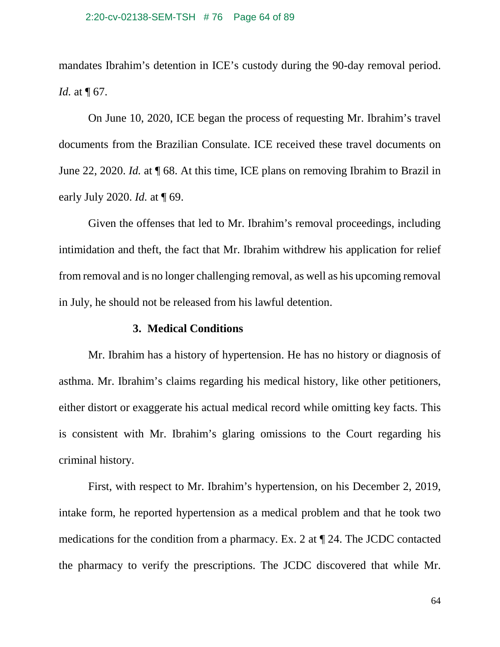mandates Ibrahim's detention in ICE's custody during the 90-day removal period. *Id.* at  $\P$  67.

On June 10, 2020, ICE began the process of requesting Mr. Ibrahim's travel documents from the Brazilian Consulate. ICE received these travel documents on June 22, 2020. *Id.* at ¶ 68. At this time, ICE plans on removing Ibrahim to Brazil in early July 2020. *Id.* at ¶ 69.

Given the offenses that led to Mr. Ibrahim's removal proceedings, including intimidation and theft, the fact that Mr. Ibrahim withdrew his application for relief from removal and is no longer challenging removal, as well as his upcoming removal in July, he should not be released from his lawful detention.

# **3. Medical Conditions**

Mr. Ibrahim has a history of hypertension. He has no history or diagnosis of asthma. Mr. Ibrahim's claims regarding his medical history, like other petitioners, either distort or exaggerate his actual medical record while omitting key facts. This is consistent with Mr. Ibrahim's glaring omissions to the Court regarding his criminal history.

First, with respect to Mr. Ibrahim's hypertension, on his December 2, 2019, intake form, he reported hypertension as a medical problem and that he took two medications for the condition from a pharmacy. Ex. 2 at ¶ 24. The JCDC contacted the pharmacy to verify the prescriptions. The JCDC discovered that while Mr.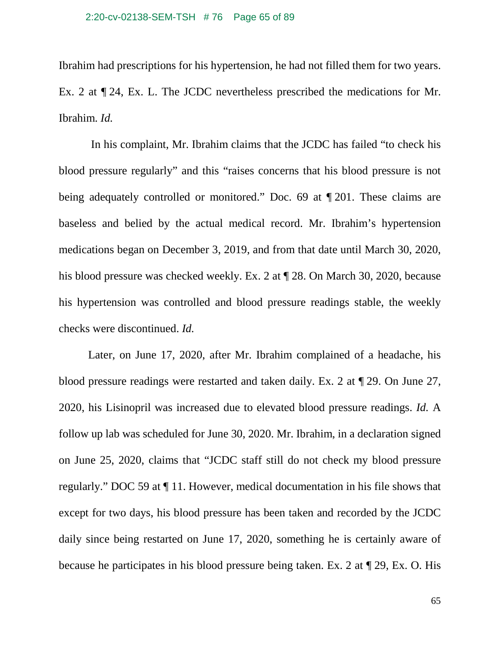Ibrahim had prescriptions for his hypertension, he had not filled them for two years. Ex. 2 at ¶ 24, Ex. L. The JCDC nevertheless prescribed the medications for Mr. Ibrahim. *Id.*

In his complaint, Mr. Ibrahim claims that the JCDC has failed "to check his blood pressure regularly" and this "raises concerns that his blood pressure is not being adequately controlled or monitored." Doc. 69 at ¶ 201. These claims are baseless and belied by the actual medical record. Mr. Ibrahim's hypertension medications began on December 3, 2019, and from that date until March 30, 2020, his blood pressure was checked weekly. Ex. 2 at  $\P$  28. On March 30, 2020, because his hypertension was controlled and blood pressure readings stable, the weekly checks were discontinued. *Id.*

Later, on June 17, 2020, after Mr. Ibrahim complained of a headache, his blood pressure readings were restarted and taken daily. Ex. 2 at ¶ 29. On June 27, 2020, his Lisinopril was increased due to elevated blood pressure readings. *Id.* A follow up lab was scheduled for June 30, 2020. Mr. Ibrahim, in a declaration signed on June 25, 2020, claims that "JCDC staff still do not check my blood pressure regularly." DOC 59 at ¶ 11. However, medical documentation in his file shows that except for two days, his blood pressure has been taken and recorded by the JCDC daily since being restarted on June 17, 2020, something he is certainly aware of because he participates in his blood pressure being taken. Ex. 2 at ¶ 29, Ex. O. His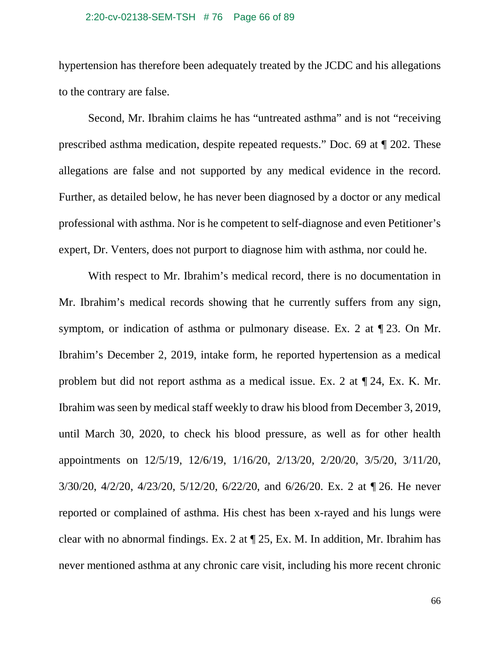#### 2:20-cv-02138-SEM-TSH # 76 Page 66 of 89

hypertension has therefore been adequately treated by the JCDC and his allegations to the contrary are false.

Second, Mr. Ibrahim claims he has "untreated asthma" and is not "receiving prescribed asthma medication, despite repeated requests." Doc. 69 at ¶ 202. These allegations are false and not supported by any medical evidence in the record. Further, as detailed below, he has never been diagnosed by a doctor or any medical professional with asthma. Nor is he competent to self-diagnose and even Petitioner's expert, Dr. Venters, does not purport to diagnose him with asthma, nor could he.

With respect to Mr. Ibrahim's medical record, there is no documentation in Mr. Ibrahim's medical records showing that he currently suffers from any sign, symptom, or indication of asthma or pulmonary disease. Ex. 2 at ¶ 23. On Mr. Ibrahim's December 2, 2019, intake form, he reported hypertension as a medical problem but did not report asthma as a medical issue. Ex. 2 at ¶ 24, Ex. K. Mr. Ibrahim was seen by medical staff weekly to draw his blood from December 3, 2019, until March 30, 2020, to check his blood pressure, as well as for other health appointments on 12/5/19, 12/6/19, 1/16/20, 2/13/20, 2/20/20, 3/5/20, 3/11/20, 3/30/20, 4/2/20, 4/23/20, 5/12/20, 6/22/20, and 6/26/20. Ex. 2 at ¶ 26. He never reported or complained of asthma. His chest has been x-rayed and his lungs were clear with no abnormal findings. Ex. 2 at ¶ 25, Ex. M. In addition, Mr. Ibrahim has never mentioned asthma at any chronic care visit, including his more recent chronic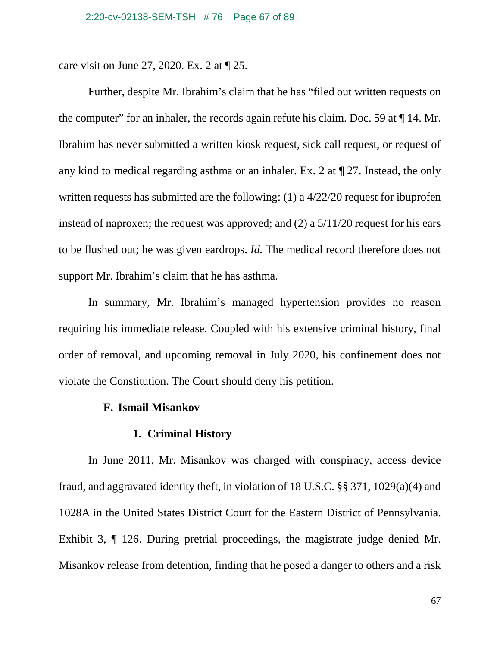care visit on June 27, 2020. Ex. 2 at ¶ 25.

Further, despite Mr. Ibrahim's claim that he has "filed out written requests on the computer" for an inhaler, the records again refute his claim. Doc. 59 at ¶ 14. Mr. Ibrahim has never submitted a written kiosk request, sick call request, or request of any kind to medical regarding asthma or an inhaler. Ex. 2 at ¶ 27. Instead, the only written requests has submitted are the following: (1) a 4/22/20 request for ibuprofen instead of naproxen; the request was approved; and (2) a 5/11/20 request for his ears to be flushed out; he was given eardrops. *Id.* The medical record therefore does not support Mr. Ibrahim's claim that he has asthma.

In summary, Mr. Ibrahim's managed hypertension provides no reason requiring his immediate release. Coupled with his extensive criminal history, final order of removal, and upcoming removal in July 2020, his confinement does not violate the Constitution. The Court should deny his petition.

## **F. Ismail Misankov**

# **1. Criminal History**

In June 2011, Mr. Misankov was charged with conspiracy, access device fraud, and aggravated identity theft, in violation of 18 U.S.C. §§ 371, 1029(a)(4) and 1028A in the United States District Court for the Eastern District of Pennsylvania. Exhibit 3, ¶ 126. During pretrial proceedings, the magistrate judge denied Mr. Misankov release from detention, finding that he posed a danger to others and a risk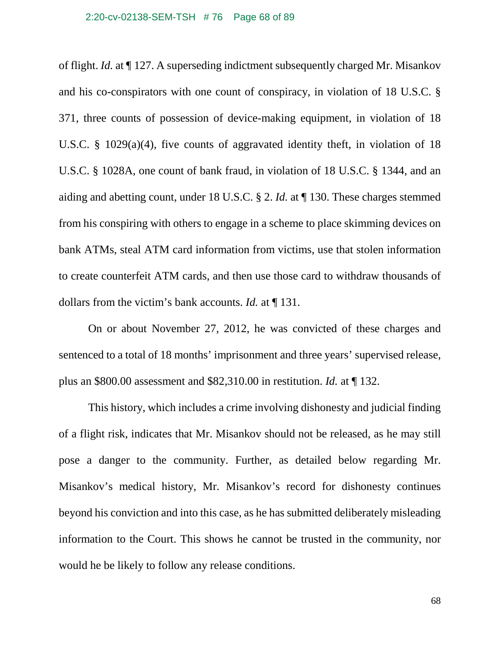#### 2:20-cv-02138-SEM-TSH # 76 Page 68 of 89

of flight. *Id.* at ¶ 127. A superseding indictment subsequently charged Mr. Misankov and his co-conspirators with one count of conspiracy, in violation of 18 U.S.C. § 371, three counts of possession of device-making equipment, in violation of 18 U.S.C. § 1029(a)(4), five counts of aggravated identity theft, in violation of 18 U.S.C. § 1028A, one count of bank fraud, in violation of 18 U.S.C. § 1344, and an aiding and abetting count, under 18 U.S.C. § 2. *Id.* at ¶ 130. These charges stemmed from his conspiring with others to engage in a scheme to place skimming devices on bank ATMs, steal ATM card information from victims, use that stolen information to create counterfeit ATM cards, and then use those card to withdraw thousands of dollars from the victim's bank accounts. *Id.* at ¶ 131.

On or about November 27, 2012, he was convicted of these charges and sentenced to a total of 18 months' imprisonment and three years' supervised release, plus an \$800.00 assessment and \$82,310.00 in restitution. *Id.* at ¶ 132.

This history, which includes a crime involving dishonesty and judicial finding of a flight risk, indicates that Mr. Misankov should not be released, as he may still pose a danger to the community. Further, as detailed below regarding Mr. Misankov's medical history, Mr. Misankov's record for dishonesty continues beyond his conviction and into this case, as he has submitted deliberately misleading information to the Court. This shows he cannot be trusted in the community, nor would he be likely to follow any release conditions.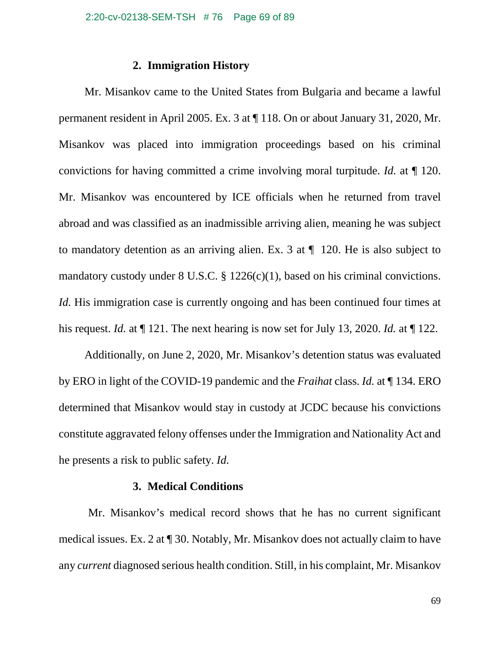## **2. Immigration History**

Mr. Misankov came to the United States from Bulgaria and became a lawful permanent resident in April 2005. Ex. 3 at ¶ 118. On or about January 31, 2020, Mr. Misankov was placed into immigration proceedings based on his criminal convictions for having committed a crime involving moral turpitude. *Id.* at ¶ 120. Mr. Misankov was encountered by ICE officials when he returned from travel abroad and was classified as an inadmissible arriving alien, meaning he was subject to mandatory detention as an arriving alien. Ex. 3 at ¶ 120. He is also subject to mandatory custody under 8 U.S.C. § 1226(c)(1), based on his criminal convictions. *Id.* His immigration case is currently ongoing and has been continued four times at his request. *Id.* at ¶ 121. The next hearing is now set for July 13, 2020. *Id.* at ¶ 122.

Additionally, on June 2, 2020, Mr. Misankov's detention status was evaluated by ERO in light of the COVID-19 pandemic and the *Fraihat* class. *Id.* at ¶ 134. ERO determined that Misankov would stay in custody at JCDC because his convictions constitute aggravated felony offenses under the Immigration and Nationality Act and he presents a risk to public safety. *Id.*

## **3. Medical Conditions**

Mr. Misankov's medical record shows that he has no current significant medical issues. Ex. 2 at ¶ 30. Notably, Mr. Misankov does not actually claim to have any *current* diagnosed serious health condition. Still, in his complaint, Mr. Misankov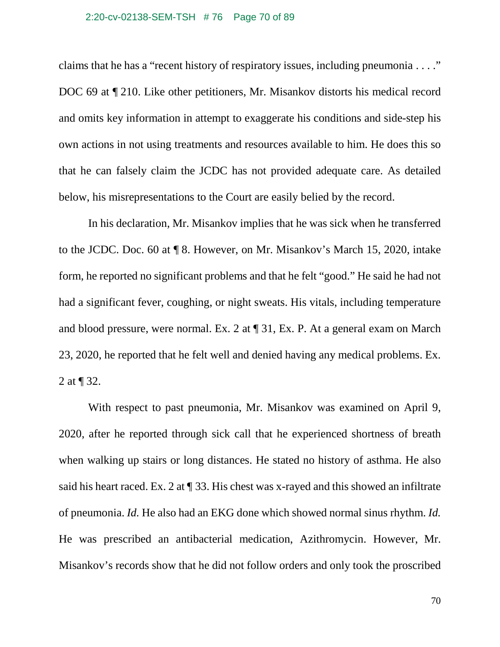#### 2:20-cv-02138-SEM-TSH # 76 Page 70 of 89

claims that he has a "recent history of respiratory issues, including pneumonia . . . ." DOC 69 at ¶ 210. Like other petitioners, Mr. Misankov distorts his medical record and omits key information in attempt to exaggerate his conditions and side-step his own actions in not using treatments and resources available to him. He does this so that he can falsely claim the JCDC has not provided adequate care. As detailed below, his misrepresentations to the Court are easily belied by the record.

In his declaration, Mr. Misankov implies that he was sick when he transferred to the JCDC. Doc. 60 at ¶ 8. However, on Mr. Misankov's March 15, 2020, intake form, he reported no significant problems and that he felt "good." He said he had not had a significant fever, coughing, or night sweats. His vitals, including temperature and blood pressure, were normal. Ex. 2 at ¶ 31, Ex. P. At a general exam on March 23, 2020, he reported that he felt well and denied having any medical problems. Ex. 2 at ¶ 32.

With respect to past pneumonia, Mr. Misankov was examined on April 9, 2020, after he reported through sick call that he experienced shortness of breath when walking up stairs or long distances. He stated no history of asthma. He also said his heart raced. Ex. 2 at  $\P$  33. His chest was x-rayed and this showed an infiltrate of pneumonia. *Id.* He also had an EKG done which showed normal sinus rhythm. *Id.* He was prescribed an antibacterial medication, Azithromycin. However, Mr. Misankov's records show that he did not follow orders and only took the proscribed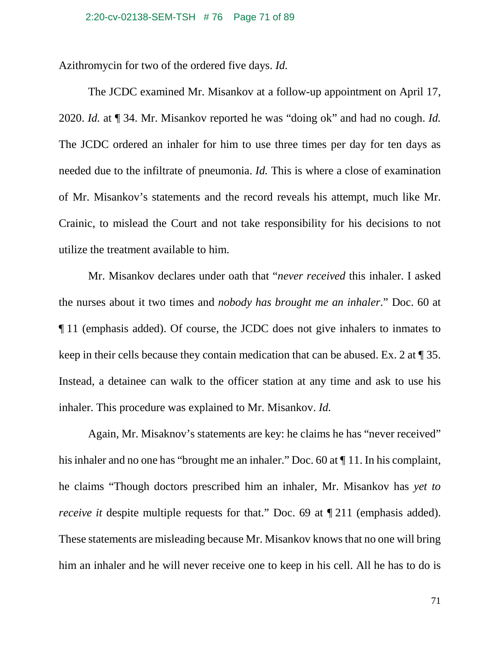Azithromycin for two of the ordered five days. *Id.*

The JCDC examined Mr. Misankov at a follow-up appointment on April 17, 2020. *Id.* at ¶ 34. Mr. Misankov reported he was "doing ok" and had no cough. *Id.* The JCDC ordered an inhaler for him to use three times per day for ten days as needed due to the infiltrate of pneumonia. *Id.* This is where a close of examination of Mr. Misankov's statements and the record reveals his attempt, much like Mr. Crainic, to mislead the Court and not take responsibility for his decisions to not utilize the treatment available to him.

Mr. Misankov declares under oath that "*never received* this inhaler. I asked the nurses about it two times and *nobody has brought me an inhaler*." Doc. 60 at ¶ 11 (emphasis added). Of course, the JCDC does not give inhalers to inmates to keep in their cells because they contain medication that can be abused. Ex. 2 at ¶ 35. Instead, a detainee can walk to the officer station at any time and ask to use his inhaler. This procedure was explained to Mr. Misankov. *Id.*

Again, Mr. Misaknov's statements are key: he claims he has "never received" his inhaler and no one has "brought me an inhaler." Doc. 60 at  $\P$  11. In his complaint, he claims "Though doctors prescribed him an inhaler, Mr. Misankov has *yet to receive it* despite multiple requests for that." Doc. 69 at  $\P$  211 (emphasis added). These statements are misleading because Mr. Misankov knows that no one will bring him an inhaler and he will never receive one to keep in his cell. All he has to do is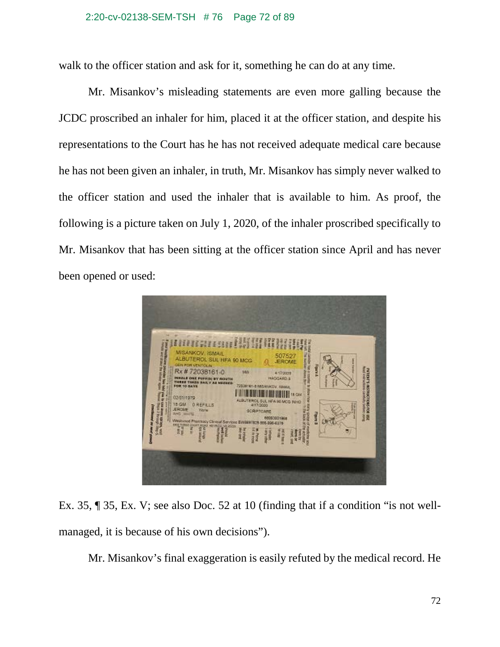### 2:20-cv-02138-SEM-TSH # 76 Page 72 of 89

walk to the officer station and ask for it, something he can do at any time.

Mr. Misankov's misleading statements are even more galling because the JCDC proscribed an inhaler for him, placed it at the officer station, and despite his representations to the Court has he has not received adequate medical care because he has not been given an inhaler, in truth, Mr. Misankov has simply never walked to the officer station and used the inhaler that is available to him. As proof, the following is a picture taken on July 1, 2020, of the inhaler proscribed specifically to Mr. Misankov that has been sitting at the officer station since April and has never been opened or used:



Ex. 35, ¶ 35, Ex. V; see also Doc. 52 at 10 (finding that if a condition "is not wellmanaged, it is because of his own decisions").

Mr. Misankov's final exaggeration is easily refuted by the medical record. He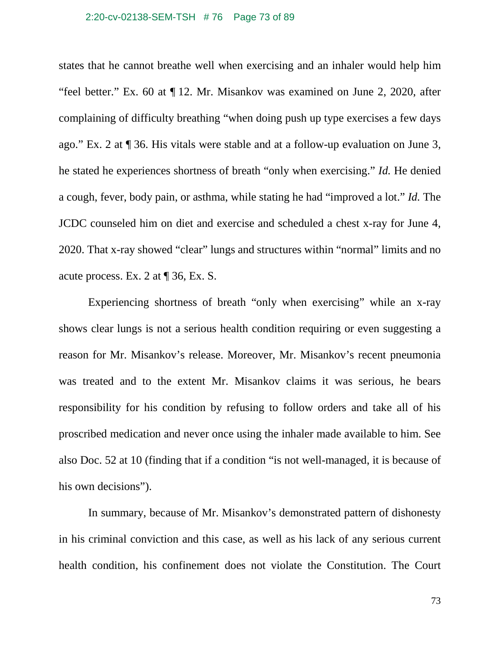### 2:20-cv-02138-SEM-TSH # 76 Page 73 of 89

states that he cannot breathe well when exercising and an inhaler would help him "feel better." Ex. 60 at ¶ 12. Mr. Misankov was examined on June 2, 2020, after complaining of difficulty breathing "when doing push up type exercises a few days ago." Ex. 2 at ¶ 36. His vitals were stable and at a follow-up evaluation on June 3, he stated he experiences shortness of breath "only when exercising." *Id.* He denied a cough, fever, body pain, or asthma, while stating he had "improved a lot." *Id.* The JCDC counseled him on diet and exercise and scheduled a chest x-ray for June 4, 2020. That x-ray showed "clear" lungs and structures within "normal" limits and no acute process. Ex. 2 at ¶ 36, Ex. S.

Experiencing shortness of breath "only when exercising" while an x-ray shows clear lungs is not a serious health condition requiring or even suggesting a reason for Mr. Misankov's release. Moreover, Mr. Misankov's recent pneumonia was treated and to the extent Mr. Misankov claims it was serious, he bears responsibility for his condition by refusing to follow orders and take all of his proscribed medication and never once using the inhaler made available to him. See also Doc. 52 at 10 (finding that if a condition "is not well-managed, it is because of his own decisions").

In summary, because of Mr. Misankov's demonstrated pattern of dishonesty in his criminal conviction and this case, as well as his lack of any serious current health condition, his confinement does not violate the Constitution. The Court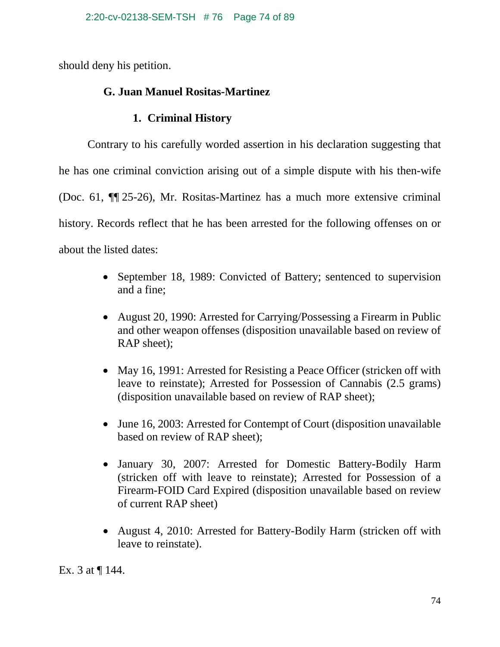should deny his petition.

# **G. Juan Manuel Rositas-Martinez**

## **1. Criminal History**

Contrary to his carefully worded assertion in his declaration suggesting that he has one criminal conviction arising out of a simple dispute with his then-wife (Doc. 61, ¶¶ 25-26), Mr. Rositas-Martinez has a much more extensive criminal history. Records reflect that he has been arrested for the following offenses on or about the listed dates:

- September 18, 1989: Convicted of Battery; sentenced to supervision and a fine;
- August 20, 1990: Arrested for Carrying/Possessing a Firearm in Public and other weapon offenses (disposition unavailable based on review of RAP sheet);
- May 16, 1991: Arrested for Resisting a Peace Officer (stricken off with leave to reinstate); Arrested for Possession of Cannabis (2.5 grams) (disposition unavailable based on review of RAP sheet);
- June 16, 2003: Arrested for Contempt of Court (disposition unavailable based on review of RAP sheet);
- January 30, 2007: Arrested for Domestic Battery-Bodily Harm (stricken off with leave to reinstate); Arrested for Possession of a Firearm-FOID Card Expired (disposition unavailable based on review of current RAP sheet)
- August 4, 2010: Arrested for Battery-Bodily Harm (stricken off with leave to reinstate).

Ex. 3 at ¶ 144.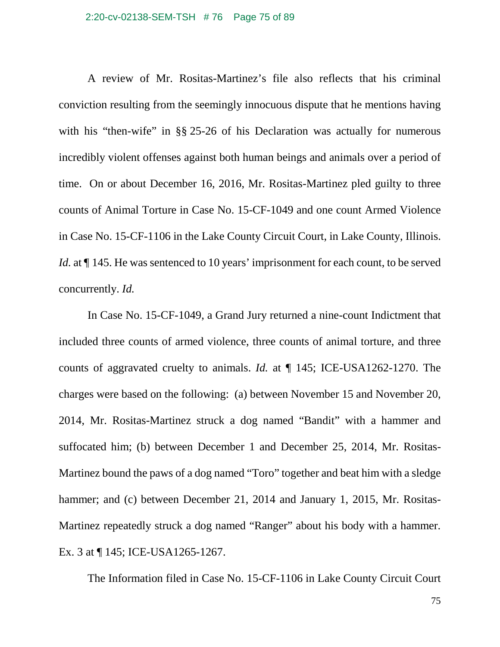### 2:20-cv-02138-SEM-TSH # 76 Page 75 of 89

A review of Mr. Rositas-Martinez's file also reflects that his criminal conviction resulting from the seemingly innocuous dispute that he mentions having with his "then-wife" in §§ 25-26 of his Declaration was actually for numerous incredibly violent offenses against both human beings and animals over a period of time. On or about December 16, 2016, Mr. Rositas-Martinez pled guilty to three counts of Animal Torture in Case No. 15-CF-1049 and one count Armed Violence in Case No. 15-CF-1106 in the Lake County Circuit Court, in Lake County, Illinois. *Id.* at  $\P$  145. He was sentenced to 10 years' imprisonment for each count, to be served concurrently. *Id.*

In Case No. 15-CF-1049, a Grand Jury returned a nine-count Indictment that included three counts of armed violence, three counts of animal torture, and three counts of aggravated cruelty to animals. *Id.* at ¶ 145; ICE-USA1262-1270. The charges were based on the following: (a) between November 15 and November 20, 2014, Mr. Rositas-Martinez struck a dog named "Bandit" with a hammer and suffocated him; (b) between December 1 and December 25, 2014, Mr. Rositas-Martinez bound the paws of a dog named "Toro" together and beat him with a sledge hammer; and (c) between December 21, 2014 and January 1, 2015, Mr. Rositas-Martinez repeatedly struck a dog named "Ranger" about his body with a hammer. Ex. 3 at ¶ 145; ICE-USA1265-1267.

The Information filed in Case No. 15-CF-1106 in Lake County Circuit Court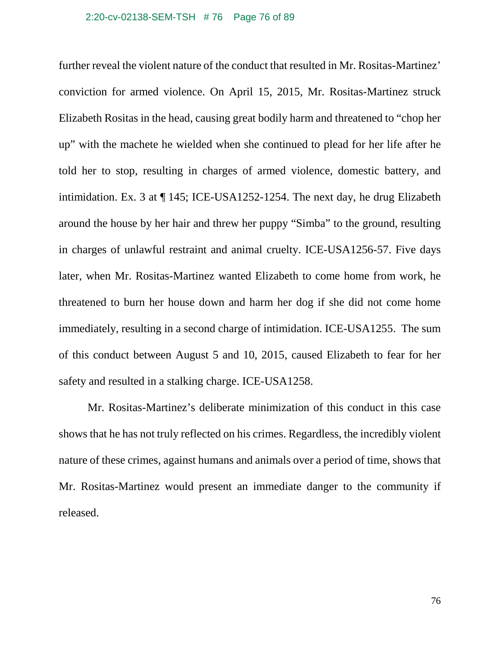#### 2:20-cv-02138-SEM-TSH # 76 Page 76 of 89

further reveal the violent nature of the conduct that resulted in Mr. Rositas-Martinez' conviction for armed violence. On April 15, 2015, Mr. Rositas-Martinez struck Elizabeth Rositas in the head, causing great bodily harm and threatened to "chop her up" with the machete he wielded when she continued to plead for her life after he told her to stop, resulting in charges of armed violence, domestic battery, and intimidation. Ex. 3 at ¶ 145; ICE-USA1252-1254. The next day, he drug Elizabeth around the house by her hair and threw her puppy "Simba" to the ground, resulting in charges of unlawful restraint and animal cruelty. ICE-USA1256-57. Five days later, when Mr. Rositas-Martinez wanted Elizabeth to come home from work, he threatened to burn her house down and harm her dog if she did not come home immediately, resulting in a second charge of intimidation. ICE-USA1255. The sum of this conduct between August 5 and 10, 2015, caused Elizabeth to fear for her safety and resulted in a stalking charge. ICE-USA1258.

Mr. Rositas-Martinez's deliberate minimization of this conduct in this case shows that he has not truly reflected on his crimes. Regardless, the incredibly violent nature of these crimes, against humans and animals over a period of time, shows that Mr. Rositas-Martinez would present an immediate danger to the community if released.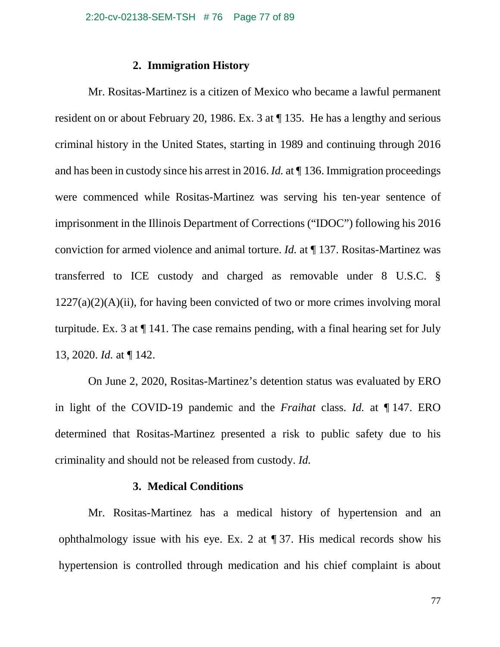## **2. Immigration History**

Mr. Rositas-Martinez is a citizen of Mexico who became a lawful permanent resident on or about February 20, 1986. Ex. 3 at ¶ 135. He has a lengthy and serious criminal history in the United States, starting in 1989 and continuing through 2016 and has been in custody since his arrest in 2016. *Id.* at ¶ 136. Immigration proceedings were commenced while Rositas-Martinez was serving his ten-year sentence of imprisonment in the Illinois Department of Corrections ("IDOC") following his 2016 conviction for armed violence and animal torture. *Id.* at ¶ 137. Rositas-Martinez was transferred to ICE custody and charged as removable under 8 U.S.C. §  $1227(a)(2)(A)(ii)$ , for having been convicted of two or more crimes involving moral turpitude. Ex. 3 at ¶ 141. The case remains pending, with a final hearing set for July 13, 2020. *Id.* at ¶ 142.

On June 2, 2020, Rositas-Martinez's detention status was evaluated by ERO in light of the COVID-19 pandemic and the *Fraihat* class. *Id.* at ¶ 147. ERO determined that Rositas-Martinez presented a risk to public safety due to his criminality and should not be released from custody. *Id.*

## **3. Medical Conditions**

Mr. Rositas-Martinez has a medical history of hypertension and an ophthalmology issue with his eye. Ex. 2 at ¶ 37. His medical records show his hypertension is controlled through medication and his chief complaint is about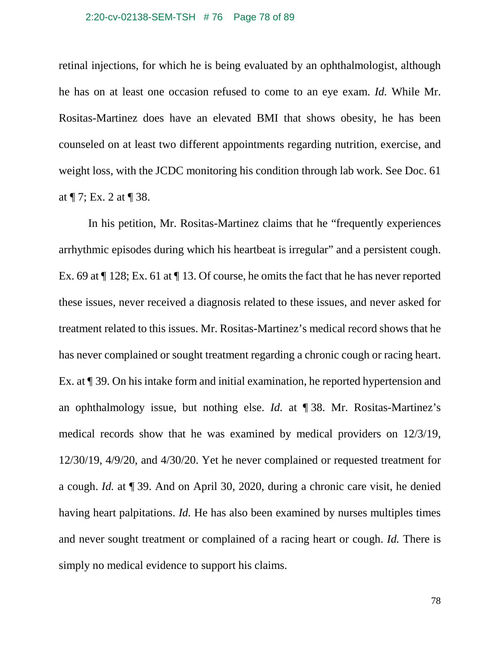#### 2:20-cv-02138-SEM-TSH # 76 Page 78 of 89

retinal injections, for which he is being evaluated by an ophthalmologist, although he has on at least one occasion refused to come to an eye exam. *Id.* While Mr. Rositas-Martinez does have an elevated BMI that shows obesity, he has been counseled on at least two different appointments regarding nutrition, exercise, and weight loss, with the JCDC monitoring his condition through lab work. See Doc. 61 at ¶ 7; Ex. 2 at ¶ 38.

In his petition, Mr. Rositas-Martinez claims that he "frequently experiences arrhythmic episodes during which his heartbeat is irregular" and a persistent cough. Ex. 69 at ¶ 128; Ex. 61 at ¶ 13. Of course, he omits the fact that he has never reported these issues, never received a diagnosis related to these issues, and never asked for treatment related to this issues. Mr. Rositas-Martinez's medical record shows that he has never complained or sought treatment regarding a chronic cough or racing heart. Ex. at ¶ 39. On his intake form and initial examination, he reported hypertension and an ophthalmology issue, but nothing else. *Id.* at ¶ 38. Mr. Rositas-Martinez's medical records show that he was examined by medical providers on 12/3/19, 12/30/19, 4/9/20, and 4/30/20. Yet he never complained or requested treatment for a cough. *Id.* at ¶ 39. And on April 30, 2020, during a chronic care visit, he denied having heart palpitations. *Id.* He has also been examined by nurses multiples times and never sought treatment or complained of a racing heart or cough. *Id.* There is simply no medical evidence to support his claims.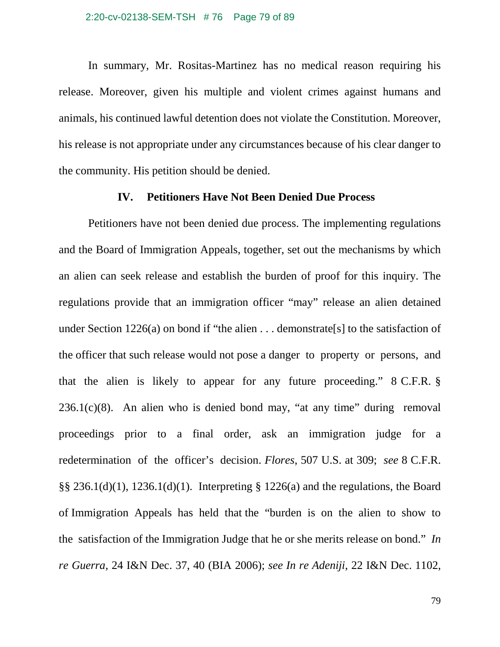In summary, Mr. Rositas-Martinez has no medical reason requiring his release. Moreover, given his multiple and violent crimes against humans and animals, his continued lawful detention does not violate the Constitution. Moreover, his release is not appropriate under any circumstances because of his clear danger to the community. His petition should be denied.

### **IV. Petitioners Have Not Been Denied Due Process**

Petitioners have not been denied due process. The implementing regulations and the Board of Immigration Appeals, together, set out the mechanisms by which an alien can seek release and establish the burden of proof for this inquiry. The regulations provide that an immigration officer "may" release an alien detained under Section 1226(a) on bond if "the alien . . . demonstrate [s] to the satisfaction of the officer that such release would not pose a danger to property or persons, and that the alien is likely to appear for any future proceeding." 8 C.F.R. §  $236.1(c)(8)$ . An alien who is denied bond may, "at any time" during removal proceedings prior to a final order, ask an immigration judge for a redetermination of the officer's decision. *Flores*, 507 U.S. at 309; *see* 8 C.F.R. §§ 236.1(d)(1), 1236.1(d)(1). Interpreting § 1226(a) and the regulations, the Board of Immigration Appeals has held that the "burden is on the alien to show to the satisfaction of the Immigration Judge that he or she merits release on bond." *In re Guerra*, 24 I&N Dec. 37, 40 (BIA 2006); *see In re Adeniji*, 22 I&N Dec. 1102,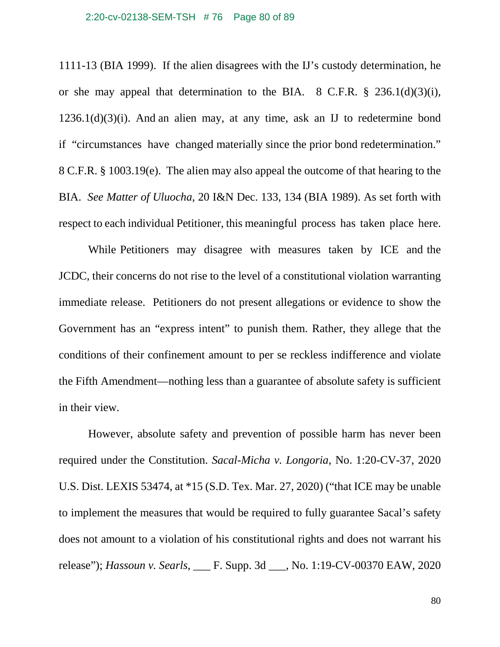#### 2:20-cv-02138-SEM-TSH # 76 Page 80 of 89

1111-13 (BIA 1999). If the alien disagrees with the IJ's custody determination, he or she may appeal that determination to the BIA. 8 C.F.R. § 236.1(d)(3)(i),  $1236.1(d)(3)(i)$ . And an alien may, at any time, ask an IJ to redetermine bond if "circumstances have changed materially since the prior bond redetermination." 8 C.F.R. § 1003.19(e). The alien may also appeal the outcome of that hearing to the BIA. *See Matter of Uluocha*, 20 I&N Dec. 133, 134 (BIA 1989). As set forth with respect to each individual Petitioner, this meaningful process has taken place here.

While Petitioners may disagree with measures taken by ICE and the JCDC, their concerns do not rise to the level of a constitutional violation warranting immediate release. Petitioners do not present allegations or evidence to show the Government has an "express intent" to punish them. Rather, they allege that the conditions of their confinement amount to per se reckless indifference and violate the Fifth Amendment—nothing less than a guarantee of absolute safety is sufficient in their view.

However, absolute safety and prevention of possible harm has never been required under the Constitution. *Sacal-Micha v. Longoria*, No. 1:20-CV-37, 2020 U.S. Dist. LEXIS 53474, at \*15 (S.D. Tex. Mar. 27, 2020) ("that ICE may be unable to implement the measures that would be required to fully guarantee Sacal's safety does not amount to a violation of his constitutional rights and does not warrant his release"); *Hassoun v. Searls*, \_\_\_ F. Supp. 3d \_\_\_, No. 1:19-CV-00370 EAW, 2020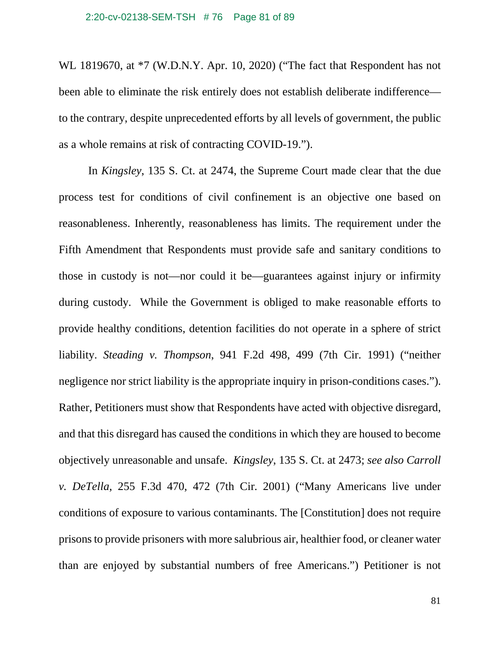#### 2:20-cv-02138-SEM-TSH # 76 Page 81 of 89

WL 1819670, at \*7 (W.D.N.Y. Apr. 10, 2020) ("The fact that Respondent has not been able to eliminate the risk entirely does not establish deliberate indifference to the contrary, despite unprecedented efforts by all levels of government, the public as a whole remains at risk of contracting COVID-19.").

In *Kingsley*, 135 S. Ct. at 2474, the Supreme Court made clear that the due process test for conditions of civil confinement is an objective one based on reasonableness. Inherently, reasonableness has limits. The requirement under the Fifth Amendment that Respondents must provide safe and sanitary conditions to those in custody is not—nor could it be—guarantees against injury or infirmity during custody. While the Government is obliged to make reasonable efforts to provide healthy conditions, detention facilities do not operate in a sphere of strict liability. *Steading v. Thompson*, 941 F.2d 498, 499 (7th Cir. 1991) ("neither negligence nor strict liability is the appropriate inquiry in prison-conditions cases."). Rather, Petitioners must show that Respondents have acted with objective disregard, and that this disregard has caused the conditions in which they are housed to become objectively unreasonable and unsafe. *Kingsley*, 135 S. Ct. at 2473; *see also Carroll v. DeTella*, 255 F.3d 470, 472 (7th Cir. 2001) ("Many Americans live under conditions of exposure to various contaminants. The [Constitution] does not require prisons to provide prisoners with more salubrious air, healthier food, or cleaner water than are enjoyed by substantial numbers of free Americans.") Petitioner is not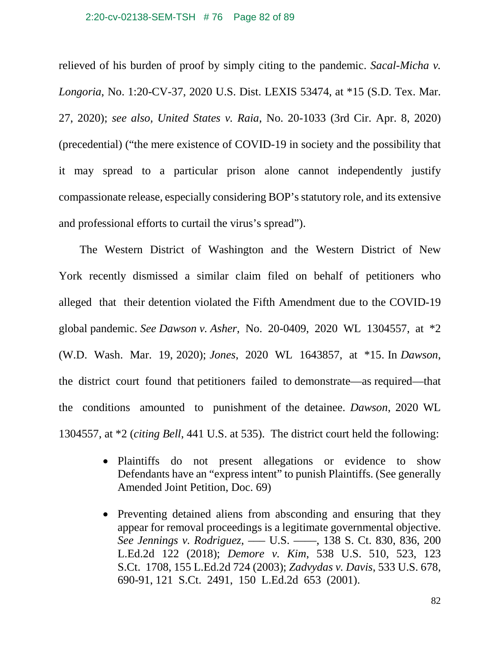#### 2:20-cv-02138-SEM-TSH # 76 Page 82 of 89

relieved of his burden of proof by simply citing to the pandemic. *Sacal-Micha v. Longoria*, No. 1:20-CV-37, 2020 U.S. Dist. LEXIS 53474, at \*15 (S.D. Tex. Mar. 27, 2020); *see also, United States v. Raia*, No. 20-1033 (3rd Cir. Apr. 8, 2020) (precedential) ("the mere existence of COVID-19 in society and the possibility that it may spread to a particular prison alone cannot independently justify compassionate release, especially considering BOP's statutory role, and its extensive and professional efforts to curtail the virus's spread").

The Western District of Washington and the Western District of New York recently dismissed a similar claim filed on behalf of petitioners who alleged that their detention violated the Fifth Amendment due to the COVID-19 global pandemic. *See Dawson v. Asher*, No. 20-0409, 2020 WL 1304557, at \*2 (W.D. Wash. Mar. 19, 2020); *Jones*, 2020 WL 1643857, at \*15. In *Dawson*, the district court found that petitioners failed to demonstrate—as required—that the conditions amounted to punishment of the detainee. *Dawson*, 2020 WL 1304557, at \*2 (*citing Bell*, 441 U.S. at 535). The district court held the following:

- Plaintiffs do not present allegations or evidence to show Defendants have an "express intent" to punish Plaintiffs. (See generally Amended Joint Petition, Doc. 69)
- Preventing detained aliens from absconding and ensuring that they appear for removal proceedings is a legitimate governmental objective. *See Jennings v. Rodriguez*, ––– U.S. ––––, 138 S. Ct. 830, 836, 200 L.Ed.2d 122 (2018); *Demore v. Kim*, 538 U.S. 510, 523, 123 S.Ct. 1708, 155 L.Ed.2d 724 (2003); *Zadvydas v. Davis*, 533 U.S. 678, 690-91, 121 S.Ct. 2491, 150 L.Ed.2d 653 (2001).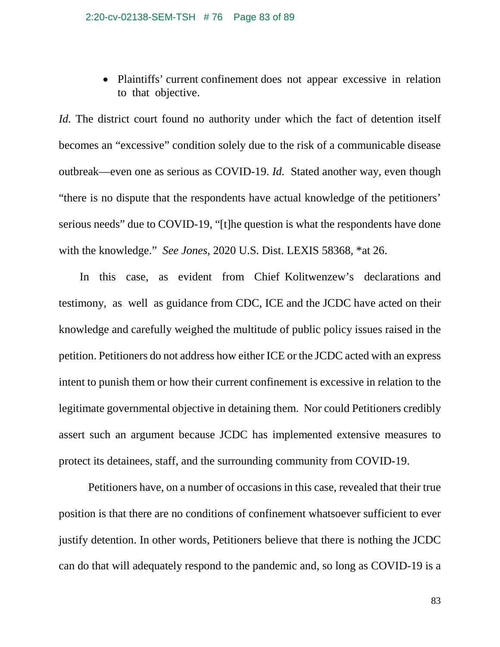• Plaintiffs' current confinement does not appear excessive in relation to that objective.

*Id.* The district court found no authority under which the fact of detention itself becomes an "excessive" condition solely due to the risk of a communicable disease outbreak—even one as serious as COVID-19. *Id.* Stated another way, even though "there is no dispute that the respondents have actual knowledge of the petitioners' serious needs" due to COVID-19, "[t]he question is what the respondents have done with the knowledge." *See Jones*, 2020 U.S. Dist. LEXIS 58368, \*at 26.

In this case, as evident from Chief Kolitwenzew's declarations and testimony, as well as guidance from CDC, ICE and the JCDC have acted on their knowledge and carefully weighed the multitude of public policy issues raised in the petition. Petitioners do not address how either ICE or the JCDC acted with an express intent to punish them or how their current confinement is excessive in relation to the legitimate governmental objective in detaining them. Nor could Petitioners credibly assert such an argument because JCDC has implemented extensive measures to protect its detainees, staff, and the surrounding community from COVID-19.

Petitioners have, on a number of occasions in this case, revealed that their true position is that there are no conditions of confinement whatsoever sufficient to ever justify detention. In other words, Petitioners believe that there is nothing the JCDC can do that will adequately respond to the pandemic and, so long as COVID-19 is a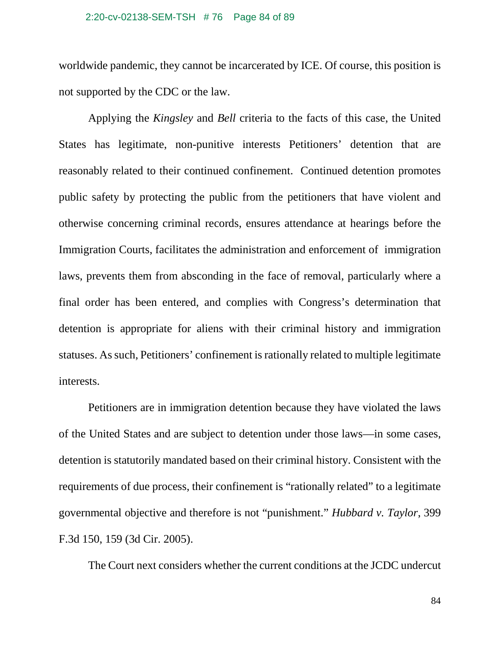#### 2:20-cv-02138-SEM-TSH # 76 Page 84 of 89

worldwide pandemic, they cannot be incarcerated by ICE. Of course, this position is not supported by the CDC or the law.

Applying the *Kingsley* and *Bell* criteria to the facts of this case, the United States has legitimate, non-punitive interests Petitioners' detention that are reasonably related to their continued confinement. Continued detention promotes public safety by protecting the public from the petitioners that have violent and otherwise concerning criminal records, ensures attendance at hearings before the Immigration Courts, facilitates the administration and enforcement of immigration laws, prevents them from absconding in the face of removal, particularly where a final order has been entered, and complies with Congress's determination that detention is appropriate for aliens with their criminal history and immigration statuses. As such, Petitioners' confinement is rationally related to multiple legitimate interests.

Petitioners are in immigration detention because they have violated the laws of the United States and are subject to detention under those laws—in some cases, detention is statutorily mandated based on their criminal history. Consistent with the requirements of due process, their confinement is "rationally related" to a legitimate governmental objective and therefore is not "punishment." *Hubbard v. Taylor*, 399 F.3d 150, 159 (3d Cir. 2005).

The Court next considers whether the current conditions at the JCDC undercut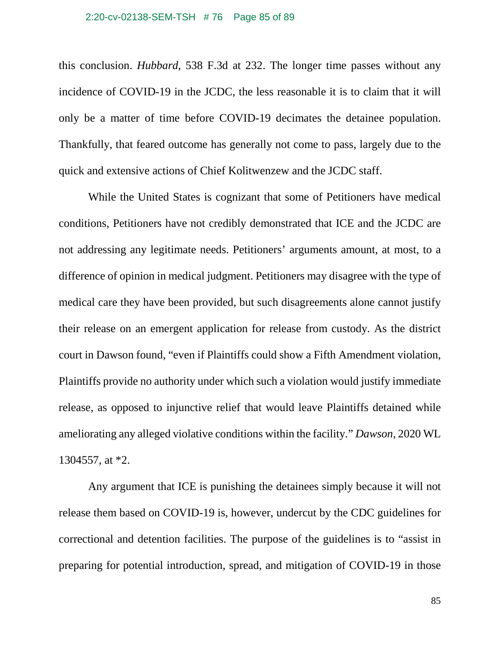#### 2:20-cv-02138-SEM-TSH # 76 Page 85 of 89

this conclusion. *Hubbard*, 538 F.3d at 232. The longer time passes without any incidence of COVID-19 in the JCDC, the less reasonable it is to claim that it will only be a matter of time before COVID-19 decimates the detainee population. Thankfully, that feared outcome has generally not come to pass, largely due to the quick and extensive actions of Chief Kolitwenzew and the JCDC staff.

While the United States is cognizant that some of Petitioners have medical conditions, Petitioners have not credibly demonstrated that ICE and the JCDC are not addressing any legitimate needs. Petitioners' arguments amount, at most, to a difference of opinion in medical judgment. Petitioners may disagree with the type of medical care they have been provided, but such disagreements alone cannot justify their release on an emergent application for release from custody. As the district court in Dawson found, "even if Plaintiffs could show a Fifth Amendment violation, Plaintiffs provide no authority under which such a violation would justify immediate release, as opposed to injunctive relief that would leave Plaintiffs detained while ameliorating any alleged violative conditions within the facility." *Dawson*, 2020 WL 1304557, at \*2.

Any argument that ICE is punishing the detainees simply because it will not release them based on COVID-19 is, however, undercut by the CDC guidelines for correctional and detention facilities. The purpose of the guidelines is to "assist in preparing for potential introduction, spread, and mitigation of COVID-19 in those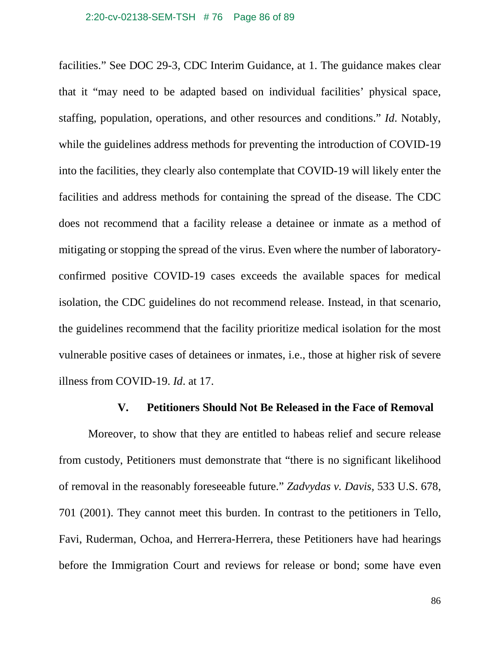facilities." See DOC 29-3, CDC Interim Guidance, at 1. The guidance makes clear that it "may need to be adapted based on individual facilities' physical space, staffing, population, operations, and other resources and conditions." *Id*. Notably, while the guidelines address methods for preventing the introduction of COVID-19 into the facilities, they clearly also contemplate that COVID-19 will likely enter the facilities and address methods for containing the spread of the disease. The CDC does not recommend that a facility release a detainee or inmate as a method of mitigating or stopping the spread of the virus. Even where the number of laboratoryconfirmed positive COVID-19 cases exceeds the available spaces for medical isolation, the CDC guidelines do not recommend release. Instead, in that scenario, the guidelines recommend that the facility prioritize medical isolation for the most vulnerable positive cases of detainees or inmates, i.e., those at higher risk of severe illness from COVID-19. *Id*. at 17.

### **V. Petitioners Should Not Be Released in the Face of Removal**

Moreover, to show that they are entitled to habeas relief and secure release from custody, Petitioners must demonstrate that "there is no significant likelihood of removal in the reasonably foreseeable future." *Zadvydas v. Davis*, 533 U.S. 678, 701 (2001). They cannot meet this burden. In contrast to the petitioners in Tello, Favi, Ruderman, Ochoa, and Herrera-Herrera, these Petitioners have had hearings before the Immigration Court and reviews for release or bond; some have even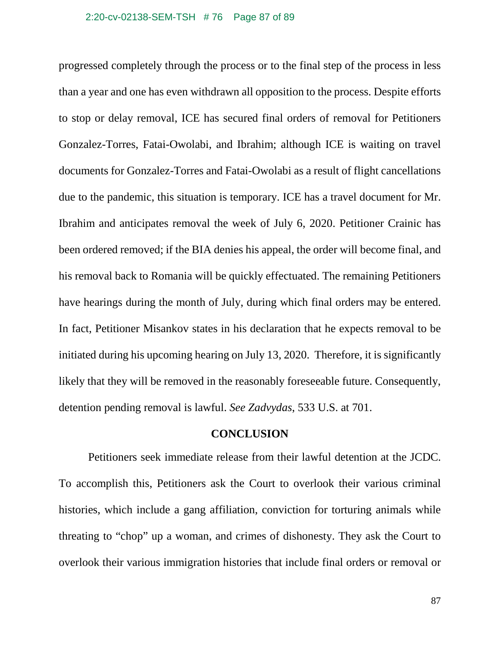progressed completely through the process or to the final step of the process in less than a year and one has even withdrawn all opposition to the process. Despite efforts to stop or delay removal, ICE has secured final orders of removal for Petitioners Gonzalez-Torres, Fatai-Owolabi, and Ibrahim; although ICE is waiting on travel documents for Gonzalez-Torres and Fatai-Owolabi as a result of flight cancellations due to the pandemic, this situation is temporary. ICE has a travel document for Mr. Ibrahim and anticipates removal the week of July 6, 2020. Petitioner Crainic has been ordered removed; if the BIA denies his appeal, the order will become final, and his removal back to Romania will be quickly effectuated. The remaining Petitioners have hearings during the month of July, during which final orders may be entered. In fact, Petitioner Misankov states in his declaration that he expects removal to be initiated during his upcoming hearing on July 13, 2020. Therefore, it is significantly likely that they will be removed in the reasonably foreseeable future. Consequently, detention pending removal is lawful. *See Zadvydas*, 533 U.S. at 701.

### **CONCLUSION**

Petitioners seek immediate release from their lawful detention at the JCDC. To accomplish this, Petitioners ask the Court to overlook their various criminal histories, which include a gang affiliation, conviction for torturing animals while threating to "chop" up a woman, and crimes of dishonesty. They ask the Court to overlook their various immigration histories that include final orders or removal or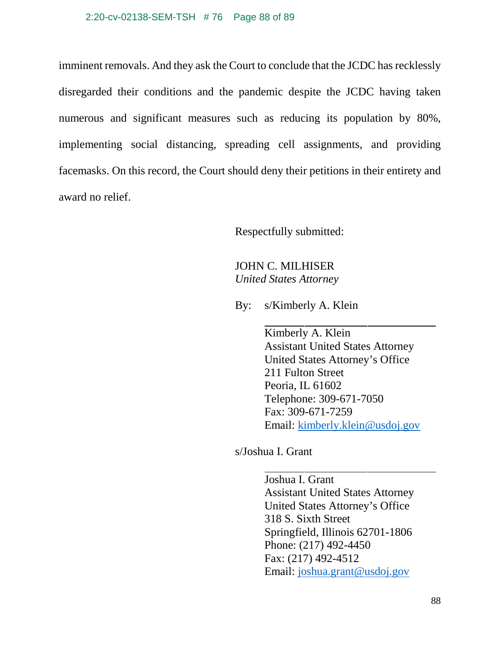imminent removals. And they ask the Court to conclude that the JCDC has recklessly disregarded their conditions and the pandemic despite the JCDC having taken numerous and significant measures such as reducing its population by 80%, implementing social distancing, spreading cell assignments, and providing facemasks. On this record, the Court should deny their petitions in their entirety and award no relief.

Respectfully submitted:

JOHN C. MILHISER *United States Attorney*

By: s/Kimberly A. Klein

Kimberly A. Klein Assistant United States Attorney United States Attorney's Office 211 Fulton Street Peoria, IL 61602 Telephone: 309-671-7050 Fax: 309-671-7259 Email: [kimberly.klein@usdoj.gov](mailto:kimberly.klein@usdoj.gov)

s/Joshua I. Grant

Joshua I. Grant Assistant United States Attorney United States Attorney's Office 318 S. Sixth Street Springfield, Illinois 62701-1806 Phone: (217) 492-4450 Fax: (217) 492-4512 Email: [joshua.grant@usdoj.gov](mailto:joshua.grant@usdoj.gov)